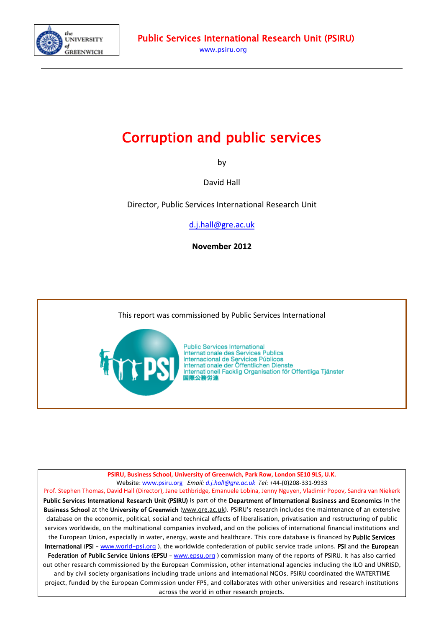

# Corruption and public services

by

David Hall

Director, Public Services International Research Unit

[d.j.hall@gre.ac.uk](mailto:d.j.hall@gre.ac.uk)

**November 2012**

This report was commissioned by Public Services International



**Public Services International** Internationale des Services Publics Internacional de Servicios Públicos Internationale der Öffentlichen Dienste Internationell Facklig Organisation för Offentliga Tjänster 国際公務労連

**PSIRU, Business School, University of Greenwich, Park Row, London SE10 9LS, U.K.** Website: [www.psiru.org](http://www.psiru.org/) *Email: [d.j.hall@gre.ac.uk](mailto:d.j.hall@gre.ac.uk) Tel*: +44-(0)208-331-9933 Prof. Stephen Thomas, David Hall (Director), Jane Lethbridge, Emanuele Lobina, Jenny Nguyen, Vladimir Popov, Sandra van Niekerk

Public Services International Research Unit (PSIRU) is part of the Department of International Business and Economics in the Business School at the University of Greenwich [\(www.gre.ac.uk\)](http://www.gre.ac.uk/). PSIRU's research includes the maintenance of an extensive database on the economic, political, social and technical effects of liberalisation, privatisation and restructuring of public services worldwide, on the multinational companies involved, and on the policies of international financial institutions and the European Union, especially in water, energy, waste and healthcare. This core database is financed by **Public Services** International (PSI - [www.world-psi.org](http://www.world-psi.org/)), the worldwide confederation of public service trade unions. PSI and the European Federation of Public Service Unions (EPSU - [www.epsu.org](http://www.epsu.org/)) commission many of the reports of PSIRU. It has also carried out other research commissioned by the European Commission, other international agencies including the ILO and UNRISD, and by civil society organisations including trade unions and international NGOs. PSIRU coordinated the WATERTIME project, funded by the European Commission under FP5, and collaborates with other universities and research institutions across the world in other research projects.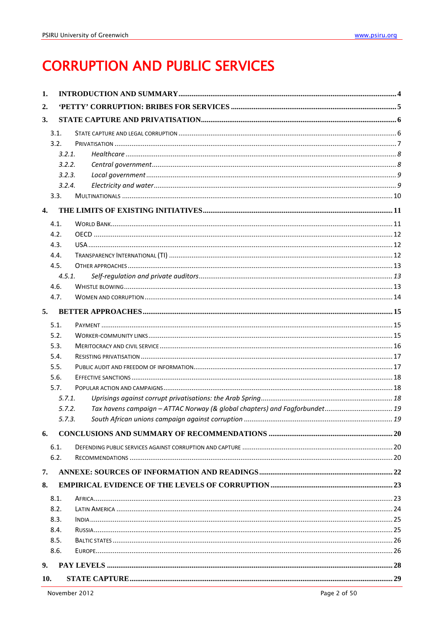# **CORRUPTION AND PUBLIC SERVICES**

| 1.           |        |                                                                            |  |
|--------------|--------|----------------------------------------------------------------------------|--|
| 2.           |        |                                                                            |  |
| 3.           |        |                                                                            |  |
|              | 3.1.   |                                                                            |  |
|              | 3.2.   |                                                                            |  |
|              | 3.2.1. |                                                                            |  |
|              | 3.2.2. |                                                                            |  |
|              | 3.2.3. |                                                                            |  |
|              | 3.2.4. |                                                                            |  |
|              | 3.3.   |                                                                            |  |
| $\mathbf{4}$ |        |                                                                            |  |
|              | 4.1.   |                                                                            |  |
|              | 4.2.   |                                                                            |  |
|              | 4.3.   |                                                                            |  |
|              | 4.4.   |                                                                            |  |
|              | 4.5.   |                                                                            |  |
|              | 4.5.1. |                                                                            |  |
|              | 4.6.   |                                                                            |  |
|              | 4.7.   |                                                                            |  |
| 5.           |        |                                                                            |  |
|              |        |                                                                            |  |
|              | 5.1.   |                                                                            |  |
|              | 5.2.   |                                                                            |  |
|              | 5.3.   |                                                                            |  |
|              | 5.4.   |                                                                            |  |
|              | 5.5.   |                                                                            |  |
|              | 5.6.   |                                                                            |  |
|              | 5.7.   |                                                                            |  |
|              | 5.7.1. |                                                                            |  |
|              | 5.7.2. | Tax havens campaign - ATTAC Norway (& global chapters) and Fagforbundet 19 |  |
|              | 5.7.3. |                                                                            |  |
| 6.           |        |                                                                            |  |
|              | 6.1.   |                                                                            |  |
|              | 6.2.   |                                                                            |  |
| 7.           |        |                                                                            |  |
| 8.           |        |                                                                            |  |
|              | 8.1.   |                                                                            |  |
|              | 8.2.   |                                                                            |  |
|              | 8.3.   |                                                                            |  |
|              | 8.4.   |                                                                            |  |
|              | 8.5.   |                                                                            |  |
|              | 8.6.   |                                                                            |  |
|              |        |                                                                            |  |
| 9.           |        |                                                                            |  |
| 10.          |        |                                                                            |  |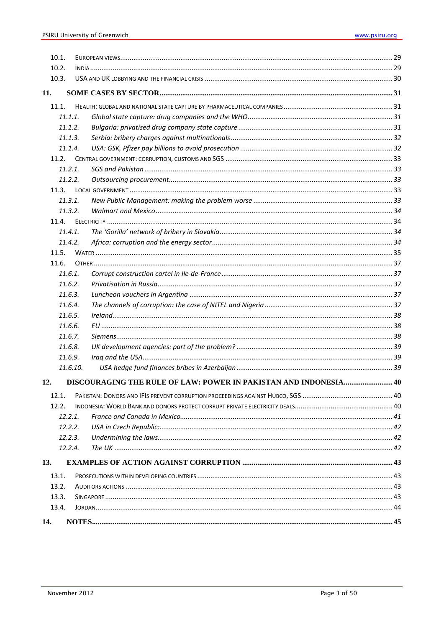| 10.1. |          |                                                                  |  |
|-------|----------|------------------------------------------------------------------|--|
| 10.2. |          |                                                                  |  |
| 10.3. |          |                                                                  |  |
| 11.   |          |                                                                  |  |
| 11.1. |          |                                                                  |  |
|       | 11.1.1.  |                                                                  |  |
|       | 11.1.2.  |                                                                  |  |
|       | 11.1.3.  |                                                                  |  |
|       | 11.1.4.  |                                                                  |  |
|       | 11.2.    |                                                                  |  |
|       | 11.2.1.  |                                                                  |  |
|       | 11.2.2.  |                                                                  |  |
|       | 11.3.    |                                                                  |  |
|       | 11.3.1.  |                                                                  |  |
|       | 11.3.2.  |                                                                  |  |
|       | 11.4.    |                                                                  |  |
|       | 11.4.1.  |                                                                  |  |
|       | 11.4.2.  |                                                                  |  |
| 11.5. |          |                                                                  |  |
| 11.6. |          |                                                                  |  |
|       | 11.6.1.  |                                                                  |  |
|       | 11.6.2.  |                                                                  |  |
|       | 11.6.3.  |                                                                  |  |
|       | 11.6.4.  |                                                                  |  |
|       | 11.6.5.  |                                                                  |  |
|       | 11.6.6.  |                                                                  |  |
|       | 11.6.7.  |                                                                  |  |
|       | 11.6.8.  |                                                                  |  |
|       | 11.6.9.  |                                                                  |  |
|       | 11.6.10. |                                                                  |  |
| 12.   |          | DISCOURAGING THE RULE OF LAW: POWER IN PAKISTAN AND INDONESIA 40 |  |
| 12.1. |          |                                                                  |  |
| 12.2. |          |                                                                  |  |
|       | 12.2.1.  |                                                                  |  |
|       | 12.2.2.  |                                                                  |  |
|       | 12.2.3.  |                                                                  |  |
|       | 12.2.4.  |                                                                  |  |
| 13.   |          |                                                                  |  |
| 13.1. |          |                                                                  |  |
| 13.2. |          |                                                                  |  |
| 13.3. |          |                                                                  |  |
| 13.4. |          |                                                                  |  |
| 14.   |          |                                                                  |  |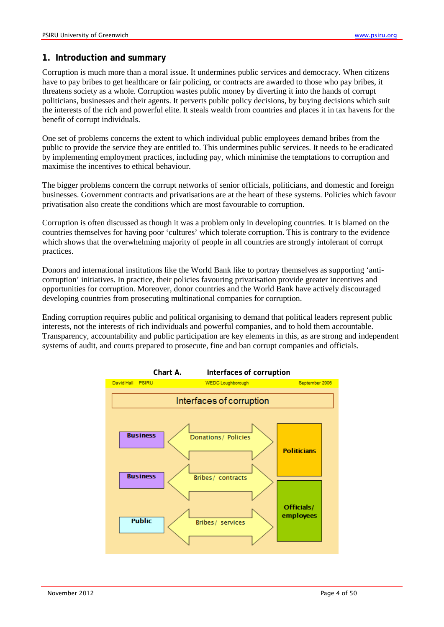## <span id="page-3-0"></span>**1. Introduction and summary**

Corruption is much more than a moral issue. It undermines public services and democracy. When citizens have to pay bribes to get healthcare or fair policing, or contracts are awarded to those who pay bribes, it threatens society as a whole. Corruption wastes public money by diverting it into the hands of corrupt politicians, businesses and their agents. It perverts public policy decisions, by buying decisions which suit the interests of the rich and powerful elite. It steals wealth from countries and places it in tax havens for the benefit of corrupt individuals.

One set of problems concerns the extent to which individual public employees demand bribes from the public to provide the service they are entitled to. This undermines public services. It needs to be eradicated by implementing employment practices, including pay, which minimise the temptations to corruption and maximise the incentives to ethical behaviour.

The bigger problems concern the corrupt networks of senior officials, politicians, and domestic and foreign businesses. Government contracts and privatisations are at the heart of these systems. Policies which favour privatisation also create the conditions which are most favourable to corruption.

Corruption is often discussed as though it was a problem only in developing countries. It is blamed on the countries themselves for having poor 'cultures' which tolerate corruption. This is contrary to the evidence which shows that the overwhelming majority of people in all countries are strongly intolerant of corrupt practices.

Donors and international institutions like the World Bank like to portray themselves as supporting 'anticorruption' initiatives. In practice, their policies favouring privatisation provide greater incentives and opportunities for corruption. Moreover, donor countries and the World Bank have actively discouraged developing countries from prosecuting multinational companies for corruption.

Ending corruption requires public and political organising to demand that political leaders represent public interests, not the interests of rich individuals and powerful companies, and to hold them accountable. Transparency, accountability and public participation are key elements in this, as are strong and independent systems of audit, and courts prepared to prosecute, fine and ban corrupt companies and officials.

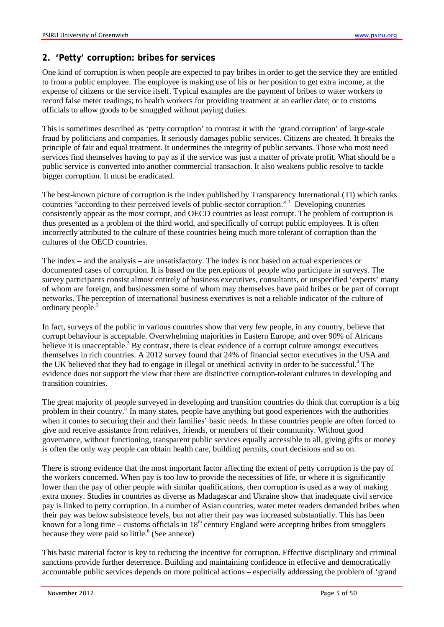# <span id="page-4-0"></span>**2. 'Petty' corruption: bribes for services**

One kind of corruption is when people are expected to pay bribes in order to get the service they are entitled to from a public employee. The employee is making use of his or her position to get extra income, at the expense of citizens or the service itself. Typical examples are the payment of bribes to water workers to record false meter readings; to health workers for providing treatment at an earlier date; or to customs officials to allow goods to be smuggled without paying duties.

This is sometimes described as 'petty corruption' to contrast it with the 'grand corruption' of large-scale fraud by politicians and companies. It seriously damages public services. Citizens are cheated. It breaks the principle of fair and equal treatment. It undermines the integrity of public servants. Those who most need services find themselves having to pay as if the service was just a matter of private profit. What should be a public service is converted into another commercial transaction. It also weakens public resolve to tackle bigger corruption. It must be eradicated.

The best-known picture of corruption is the index published by Transparency International (TI) which ranks countries "according to their perceived levels of public-sector corruption."<sup>1</sup> Developing countries consistently appear as the most corrupt, and OECD countries as least corrupt. The problem of corruption is thus presented as a problem of the third world, and specifically of corrupt public employees. It is often incorrectly attributed to the culture of these countries being much more tolerant of corruption than the cultures of the OECD countries.

The index – and the analysis – are unsatisfactory. The index is not based on actual experiences or documented cases of corruption. It is based on the perceptions of people who participate in surveys. The survey participants consist almost entirely of business executives, consultants, or unspecified 'experts' many of whom are foreign, and businessmen some of whom may themselves have paid bribes or be part of corrupt networks. The perception of international business executives is not a reliable indicator of the culture of ordinary people.2

In fact, surveys of the public in various countries show that very few people, in any country, believe that corrupt behaviour is acceptable. Overwhelming majorities in Eastern Europe, and over 90% of Africans believe it is unacceptable.<sup>3</sup> By contrast, there is clear evidence of a corrupt culture amongst executives themselves in rich countries. A 2012 survey found that 24% of financial sector executives in the USA and the UK believed that they had to engage in illegal or unethical activity in order to be successful.4 The evidence does not support the view that there are distinctive corruption-tolerant cultures in developing and transition countries.

The great majority of people surveyed in developing and transition countries do think that corruption is a big problem in their country.<sup>5</sup> In many states, people have anything but good experiences with the authorities when it comes to securing their and their families' basic needs. In these countries people are often forced to give and receive assistance from relatives, friends, or members of their community. Without good governance, without functioning, transparent public services equally accessible to all, giving gifts or money is often the only way people can obtain health care, building permits, court decisions and so on.

There is strong evidence that the most important factor affecting the extent of petty corruption is the pay of the workers concerned. When pay is too low to provide the necessities of life, or where it is significantly lower than the pay of other people with similar qualifications, then corruption is used as a way of making extra money. Studies in countries as diverse as Madagascar and Ukraine show that inadequate civil service pay is linked to petty corruption. In a number of Asian countries, water meter readers demanded bribes when their pay was below subsistence levels, but not after their pay was increased substantially. This has been known for a long time – customs officials in  $18<sup>th</sup>$  century England were accepting bribes from smugglers because they were paid so little. $6$  (See annexe)

This basic material factor is key to reducing the incentive for corruption. Effective disciplinary and criminal sanctions provide further deterrence. Building and maintaining confidence in effective and democratically accountable public services depends on more political actions – especially addressing the problem of 'grand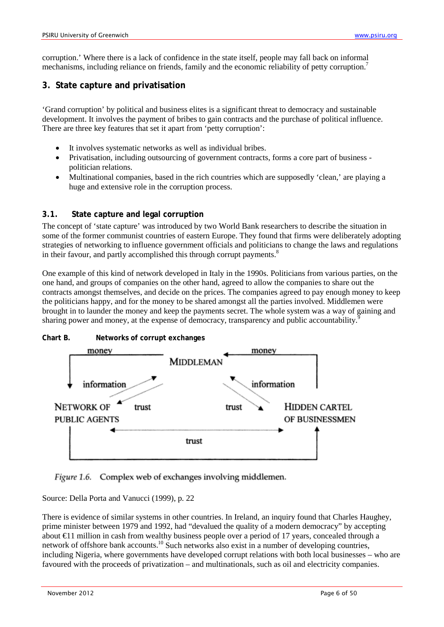corruption.' Where there is a lack of confidence in the state itself, people may fall back on informal mechanisms, including reliance on friends, family and the economic reliability of petty corruption.<sup>7</sup>

# <span id="page-5-0"></span>**3. State capture and privatisation**

'Grand corruption' by political and business elites is a significant threat to democracy and sustainable development. It involves the payment of bribes to gain contracts and the purchase of political influence. There are three key features that set it apart from 'petty corruption':

- It involves systematic networks as well as individual bribes.
- Privatisation, including outsourcing of government contracts, forms a core part of business politician relations.
- Multinational companies, based in the rich countries which are supposedly 'clean,' are playing a huge and extensive role in the corruption process.

## <span id="page-5-1"></span>**3.1. State capture and legal corruption**

The concept of 'state capture' was introduced by two World Bank researchers to describe the situation in some of the former communist countries of eastern Europe. They found that firms were deliberately adopting strategies of networking to influence government officials and politicians to change the laws and regulations in their favour, and partly accomplished this through corrupt payments.<sup>8</sup>

One example of this kind of network developed in Italy in the 1990s. Politicians from various parties, on the one hand, and groups of companies on the other hand, agreed to allow the companies to share out the contracts amongst themselves, and decide on the prices. The companies agreed to pay enough money to keep the politicians happy, and for the money to be shared amongst all the parties involved. Middlemen were brought in to launder the money and keep the payments secret. The whole system was a way of gaining and sharing power and money, at the expense of democracy, transparency and public accountability.<sup>5</sup>



Figure 1.6. Complex web of exchanges involving middlemen.

Source: Della Porta and Vanucci (1999), p. 22

There is evidence of similar systems in other countries. In Ireland, an inquiry found that Charles Haughey, prime minister between 1979 and 1992, had "devalued the quality of a modern democracy" by accepting about €11 million in cash from wealthy business people over a period of 17 years, concealed through a network of offshore bank accounts.<sup>10</sup> Such networks also exist in a number of developing countries, including Nigeria, where governments have developed corrupt relations with both local businesses – who are favoured with the proceeds of privatization – and multinationals, such as oil and electricity companies.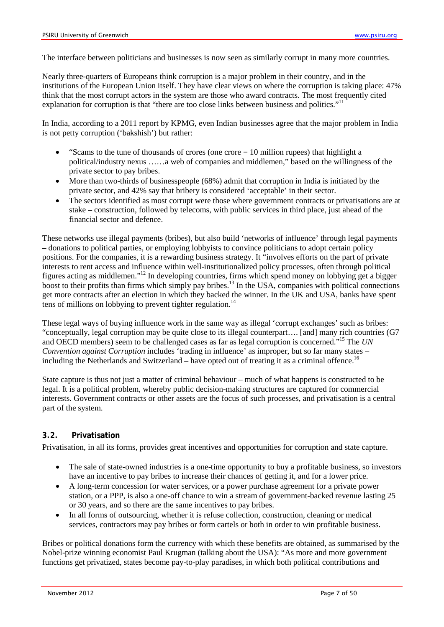The interface between politicians and businesses is now seen as similarly corrupt in many more countries.

Nearly three-quarters of Europeans think corruption is a major problem in their country, and in the institutions of the European Union itself. They have clear views on where the corruption is taking place: 47% think that the most corrupt actors in the system are those who award contracts. The most frequently cited explanation for corruption is that "there are too close links between business and politics."<sup>11</sup>

In India, according to a 2011 report by KPMG, even Indian businesses agree that the major problem in India is not petty corruption ('bakshish') but rather:

- "Scams to the tune of thousands of crores (one crore  $= 10$  million rupees) that highlight a political/industry nexus ……a web of companies and middlemen," based on the willingness of the private sector to pay bribes.
- More than two-thirds of businesspeople (68%) admit that corruption in India is initiated by the private sector, and 42% say that bribery is considered 'acceptable' in their sector.
- The sectors identified as most corrupt were those where government contracts or privatisations are at stake – construction, followed by telecoms, with public services in third place, just ahead of the financial sector and defence.

These networks use illegal payments (bribes), but also build 'networks of influence' through legal payments – donations to political parties, or employing lobbyists to convince politicians to adopt certain policy positions. For the companies, it is a rewarding business strategy. It "involves efforts on the part of private interests to rent access and influence within well-institutionalized policy processes, often through political figures acting as middlemen." <sup>12</sup> In developing countries, firms which spend money on lobbying get a bigger boost to their profits than firms which simply pay bribes.<sup>13</sup> In the USA, companies with political connections get more contracts after an election in which they backed the winner. In the UK and USA, banks have spent tens of millions on lobbying to prevent tighter regulation.<sup>14</sup>

These legal ways of buying influence work in the same way as illegal 'corrupt exchanges' such as bribes: "conceptually, legal corruption may be quite close to its illegal counterpart…. [and] many rich countries (G7 and OECD members) seem to be challenged cases as far as legal corruption is concerned." <sup>15</sup> The *UN Convention against Corruption* includes 'trading in influence' as improper, but so far many states – including the Netherlands and Switzerland – have opted out of treating it as a criminal offence.<sup>16</sup>

State capture is thus not just a matter of criminal behaviour – much of what happens is constructed to be legal. It is a political problem, whereby public decision-making structures are captured for commercial interests. Government contracts or other assets are the focus of such processes, and privatisation is a central part of the system.

## <span id="page-6-0"></span>**3.2. Privatisation**

Privatisation, in all its forms, provides great incentives and opportunities for corruption and state capture.

- The sale of state-owned industries is a one-time opportunity to buy a profitable business, so investors have an incentive to pay bribes to increase their chances of getting it, and for a lower price.
- A long-term concession for water services, or a power purchase agreement for a private power station, or a PPP, is also a one-off chance to win a stream of government-backed revenue lasting 25 or 30 years, and so there are the same incentives to pay bribes.
- In all forms of outsourcing, whether it is refuse collection, construction, cleaning or medical services, contractors may pay bribes or form cartels or both in order to win profitable business.

Bribes or political donations form the currency with which these benefits are obtained, as summarised by the Nobel-prize winning economist Paul Krugman (talking about the USA): "As more and more government functions get privatized, states become pay-to-play paradises, in which both political contributions and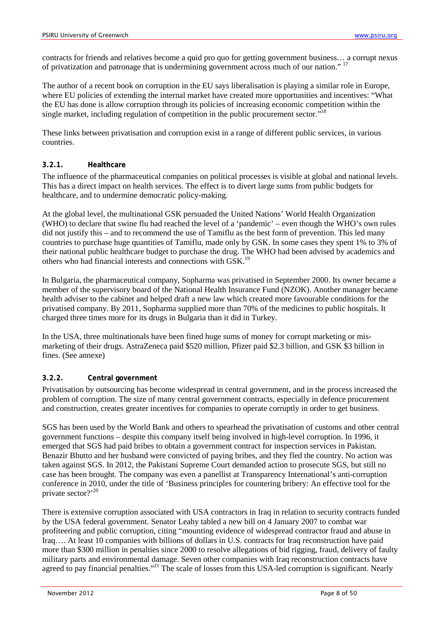contracts for friends and relatives become a quid pro quo for getting government business… a corrupt nexus of privatization and patronage that is undermining government across much of our nation." <sup>17</sup>

The author of a recent book on corruption in the EU says liberalisation is playing a similar role in Europe, where EU policies of extending the internal market have created more opportunities and incentives: "What the EU has done is allow corruption through its policies of increasing economic competition within the single market, including regulation of competition in the public procurement sector."<sup>18</sup>

These links between privatisation and corruption exist in a range of different public services, in various countries.

#### <span id="page-7-0"></span>**3.2.1. Healthcare**

The influence of the pharmaceutical companies on political processes is visible at global and national levels. This has a direct impact on health services. The effect is to divert large sums from public budgets for healthcare, and to undermine democratic policy-making.

At the global level, the multinational GSK persuaded the United Nations' World Health Organization (WHO) to declare that swine flu had reached the level of a 'pandemic' – even though the WHO's own rules did not justify this – and to recommend the use of Tamiflu as the best form of prevention. This led many countries to purchase huge quantities of Tamiflu, made only by GSK. In some cases they spent 1% to 3% of their national public healthcare budget to purchase the drug. The WHO had been advised by academics and others who had financial interests and connections with GSK.<sup>19</sup>

In Bulgaria, the pharmaceutical company, Sopharma was privatised in September 2000. Its owner became a member of the supervisory board of the National Health Insurance Fund (NZOK). Another manager became health adviser to the cabinet and helped draft a new law which created more favourable conditions for the privatised company. By 2011, Sopharma supplied more than 70% of the medicines to public hospitals. It charged three times more for its drugs in Bulgaria than it did in Turkey.

In the USA, three multinationals have been fined huge sums of money for corrupt marketing or mismarketing of their drugs. AstraZeneca paid \$520 million, Pfizer paid \$2.3 billion, and GSK \$3 billion in fines. (See annexe)

## <span id="page-7-1"></span>**3.2.2. Central government**

Privatisation by outsourcing has become widespread in central government, and in the process increased the problem of corruption. The size of many central government contracts, especially in defence procurement and construction, creates greater incentives for companies to operate corruptly in order to get business.

SGS has been used by the World Bank and others to spearhead the privatisation of customs and other central government functions – despite this company itself being involved in high-level corruption. In 1996, it emerged that SGS had paid bribes to obtain a government contract for inspection services in Pakistan. Benazir Bhutto and her husband were convicted of paying bribes, and they fled the country. No action was taken against SGS. In 2012, the Pakistani Supreme Court demanded action to prosecute SGS, but still no case has been brought. The company was even a panellist at Transparency International's anti-corruption conference in 2010, under the title of ['Business principles for countering bribery: An effective tool for the](http://iacconference.org/en/archive/document/business_principles_for_countering_bribery_an_effective_tool_for_the_privat/)  [private sector?'](http://iacconference.org/en/archive/document/business_principles_for_countering_bribery_an_effective_tool_for_the_privat/)<sup>20</sup>

There is extensive corruption associated with USA contractors in Iraq in relation to security contracts funded by the USA federal government. Senator Leahy tabled a new bill on 4 January 2007 to combat war profiteering and public corruption, citing "mounting evidence of widespread contractor fraud and abuse in Iraq…. At least 10 companies with billions of dollars in U.S. contracts for Iraq reconstruction have paid more than \$300 million in penalties since 2000 to resolve allegations of bid rigging, fraud, delivery of faulty military parts and environmental damage. Seven other companies with Iraq reconstruction contracts have agreed to pay financial penalties."<sup>21</sup> The scale of losses from this USA-led corruption is significant. Nearly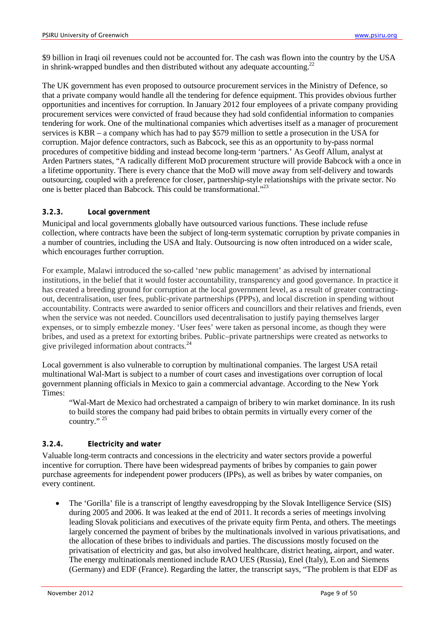\$9 billion in Iraqi oil revenues could not be accounted for. The cash was flown into the country by the USA in shrink-wrapped bundles and then distributed without any adequate accounting.<sup>22</sup>

The UK government has even proposed to outsource procurement services in the Ministry of Defence, so that a private company would handle all the tendering for defence equipment. This provides obvious further opportunities and incentives for corruption. In January 2012 four employees of a private company providing procurement services were convicted of fraud because they had sold confidential information to companies tendering for work. One of the multinational companies which advertises itself as a manager of procurement services is KBR – a company which has had to pay \$579 million to settle a prosecution in the USA for corruption. Major defence contractors, such as Babcock, see this as an opportunity to by-pass normal procedures of competitive bidding and instead become long-term 'partners.' As Geoff Allum, analyst at Arden Partners states, "A radically different MoD procurement structure will provide Babcock with a once in a lifetime opportunity. There is every chance that the MoD will move away from self-delivery and towards outsourcing, coupled with a preference for closer, partnership-style relationships with the private sector. No one is better placed than Babcock. This could be transformational."<sup>23</sup>

#### <span id="page-8-0"></span>**3.2.3. Local government**

Municipal and local governments globally have outsourced various functions. These include refuse collection, where contracts have been the subject of long-term systematic corruption by private companies in a number of countries, including the USA and Italy. Outsourcing is now often introduced on a wider scale, which encourages further corruption.

For example, Malawi introduced the so-called 'new public management' as advised by international institutions, in the belief that it would foster accountability, transparency and good governance. In practice it has created a breeding ground for corruption at the local government level, as a result of greater contractingout, decentralisation, user fees, public-private partnerships (PPPs), and local discretion in spending without accountability. Contracts were awarded to senior officers and councillors and their relatives and friends, even when the service was not needed. Councillors used decentralisation to justify paying themselves larger expenses, or to simply embezzle money. 'User fees' were taken as personal income, as though they were bribes, and used as a pretext for extorting bribes. Public–private partnerships were created as networks to give privileged information about contracts.<sup>24</sup>

Local government is also vulnerable to corruption by multinational companies. The largest USA retail multinational Wal-Mart is subject to a number of court cases and investigations over corruption of local government planning officials in Mexico to gain a commercial advantage. According to the New York Times:

"Wal-Mart de Mexico had orchestrated a campaign of bribery to win market dominance. In its rush to build stores the company had paid bribes to obtain permits in virtually every corner of the country."<sup>25</sup>

#### <span id="page-8-1"></span>**3.2.4. Electricity and water**

Valuable long-term contracts and concessions in the electricity and water sectors provide a powerful incentive for corruption. There have been widespread payments of bribes by companies to gain power purchase agreements for independent power producers (IPPs), as well as bribes by water companies, on every continent.

• The 'Gorilla' file is a transcript of lengthy eavesdropping by the Slovak Intelligence Service (SIS) during 2005 and 2006. It was leaked at the end of 2011. It records a series of meetings involving leading Slovak politicians and executives of the private equity firm Penta, and others. The meetings largely concerned the payment of bribes by the multinationals involved in various privatisations, and the allocation of these bribes to individuals and parties. The discussions mostly focused on the privatisation of electricity and gas, but also involved healthcare, district heating, airport, and water. The energy multinationals mentioned include RAO UES (Russia), Enel (Italy), E.on and Siemens (Germany) and EDF (France). Regarding the latter, the transcript says, "The problem is that EDF as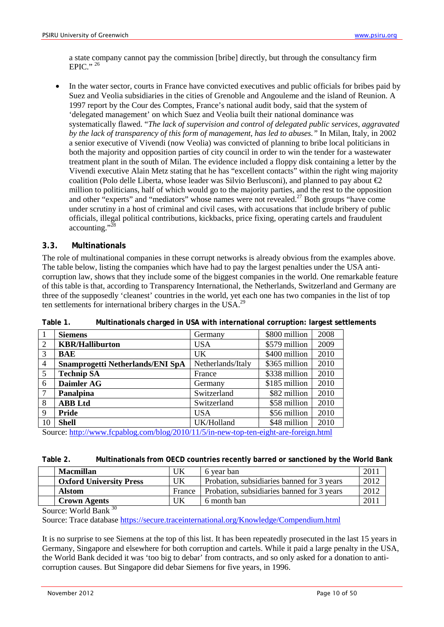a state company cannot pay the commission [bribe] directly, but through the consultancy firm EPIC." $^{26}$ 

• In the water sector, courts in France have convicted executives and public officials for bribes paid by Suez and Veolia subsidiaries in the cities of Grenoble and Angouleme and the island of Reunion. A 1997 report by the Cour des Comptes, France's national audit body, said that the system of 'delegated management' on which Suez and Veolia built their national dominance was systematically flawed. "*The lack of supervision and control of delegated public services, aggravated by the lack of transparency of this form of management, has led to abuses."* In Milan, Italy, in 2002 a senior executive of Vivendi (now Veolia) was convicted of planning to bribe local politicians in both the majority and opposition parties of city council in order to win the tender for a wastewater treatment plant in the south of Milan. The evidence included a floppy disk containing a letter by the Vivendi executive Alain Metz stating that he has "excellent contacts" within the right wing majority coalition (Polo delle Liberta, whose leader was Silvio Berlusconi), and planned to pay about  $\mathcal{Q}$ million to politicians, half of which would go to the majority parties, and the rest to the opposition and other "experts" and "mediators" whose names were not revealed.<sup>27</sup> Both groups "have come under scrutiny in a host of criminal and civil cases, with accusations that include bribery of public officials, illegal political contributions, kickbacks, price fixing, operating cartels and fraudulent accounting."<sup>28</sup>

#### <span id="page-9-0"></span>**3.3. Multinationals**

The role of multinational companies in these corrupt networks is already obvious from the examples above. The table below, listing the companies which have had to pay the largest penalties under the USA anticorruption law, shows that they include some of the biggest companies in the world. One remarkable feature of this table is that, according to Transparency International, the Netherlands, Switzerland and Germany are three of the supposedly 'cleanest' countries in the world, yet each one has two companies in the list of top ten settlements for international bribery charges in the USA.<sup>29</sup>

| 1              | <b>Siemens</b>                          | Germany           | \$800 million | 2008 |  |
|----------------|-----------------------------------------|-------------------|---------------|------|--|
| 2              | <b>KBR/Halliburton</b>                  | USA               | \$579 million | 2009 |  |
| 3              | BAE                                     | UK.               | \$400 million | 2010 |  |
| $\overline{4}$ | <b>Snamprogetti Netherlands/ENI SpA</b> | Netherlands/Italy | \$365 million | 2010 |  |
| 5              | <b>Technip SA</b>                       | France            | \$338 million | 2010 |  |
| 6              | Daimler AG                              | Germany           | \$185 million | 2010 |  |
| 7              | <b>Panalpina</b>                        | Switzerland       | \$82 million  | 2010 |  |
| 8              | <b>ABB</b> Ltd                          | Switzerland       | \$58 million  | 2010 |  |
| 9              | <b>Pride</b>                            | <b>USA</b>        | \$56 million  | 2010 |  |
| 10             | <b>Shell</b>                            | UK/Holland        | \$48 million  | 2010 |  |
|                |                                         |                   |               |      |  |

**Table 1. Multinationals charged in USA with international corruption: largest settlements**

Source:<http://www.fcpablog.com/blog/2010/11/5/in-new-top-ten-eight-are-foreign.html>

| Table 2. |  | Multinationals from OECD countries recently barred or sanctioned by the World Bank |  |  |
|----------|--|------------------------------------------------------------------------------------|--|--|
|----------|--|------------------------------------------------------------------------------------|--|--|

| <b>Macmillan</b>               | UΚ     | 6 year ban                                 | 2011 |
|--------------------------------|--------|--------------------------------------------|------|
| <b>Oxford University Press</b> | UK     | Probation, subsidiaries banned for 3 years | 2012 |
| <b>Alstom</b>                  | France | Probation, subsidiaries banned for 3 years | 2012 |
| <b>Crown Agents</b>            | UK     | 6 month ban                                | 2011 |

Source: World Bank 30

Source: Trace database<https://secure.traceinternational.org/Knowledge/Compendium.html>

It is no surprise to see Siemens at the top of this list. It has been repeatedly prosecuted in the last 15 years in Germany, Singapore and elsewhere for both corruption and cartels. While it paid a large penalty in the USA, the World Bank decided it was 'too big to debar' from contracts, and so only asked for a donation to anticorruption causes. But Singapore did debar Siemens for five years, in 1996.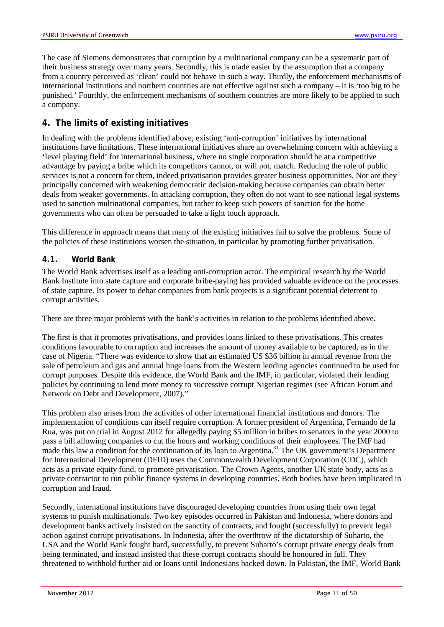The case of Siemens demonstrates that corruption by a multinational company can be a systematic part of their business strategy over many years. Secondly, this is made easier by the assumption that a company from a country perceived as 'clean' could not behave in such a way. Thirdly, the enforcement mechanisms of international institutions and northern countries are not effective against such a company – it is 'too big to be punished.' Fourthly, the enforcement mechanisms of southern countries are more likely to be applied to such a company.

# <span id="page-10-0"></span>**4. The limits of existing initiatives**

In dealing with the problems identified above, existing 'anti-corruption' initiatives by international institutions have limitations. These international initiatives share an overwhelming concern with achieving a 'level playing field' for international business, where no single corporation should be at a competitive advantage by paying a bribe which its competitors cannot, or will not, match. Reducing the role of public services is not a concern for them, indeed privatisation provides greater business opportunities. Nor are they principally concerned with weakening democratic decision-making because companies can obtain better deals from weaker governments. In attacking corruption, they often do not want to see national legal systems used to sanction multinational companies, but rather to keep such powers of sanction for the home governments who can often be persuaded to take a light touch approach.

This difference in approach means that many of the existing initiatives fail to solve the problems. Some of the policies of these institutions worsen the situation, in particular by promoting further privatisation.

## <span id="page-10-1"></span>**4.1. World Bank**

The World Bank advertises itself as a leading anti-corruption actor. The empirical research by the World Bank Institute into state capture and corporate bribe-paying has provided valuable evidence on the processes of state capture. Its power to debar companies from bank projects is a significant potential deterrent to corrupt activities.

There are three major problems with the bank's activities in relation to the problems identified above.

The first is that it promotes privatisations, and provides loans linked to these privatisations. This creates conditions favourable to corruption and increases the amount of money available to be captured, as in the case of Nigeria. "There was evidence to show that an estimated US \$36 billion in annual revenue from the sale of petroleum and gas and annual huge loans from the Western lending agencies continued to be used for corrupt purposes. Despite this evidence, the World Bank and the IMF, in particular, violated their lending policies by continuing to lend more money to successive corrupt Nigerian regimes (see African Forum and Network on Debt and Development, 2007)."

This problem also arises from the activities of other international financial institutions and donors. The implementation of conditions can itself require corruption. A former president of Argentina, Fernando de la Rua, was put on trial in August 2012 for allegedly paying \$5 million in bribes to senators in the year 2000 to pass a bill allowing companies to cut the hours and working conditions of their employees. The IMF had made this law a condition for the continuation of its loan to Argentina.<sup>31</sup> The UK government's Department for International Development (DFID) uses the Commonwealth Development Corporation (CDC), which acts as a private equity fund, to promote privatisation. The Crown Agents, another UK state body, acts as a private contractor to run public finance systems in developing countries. Both bodies have been implicated in corruption and fraud.

Secondly, international institutions have discouraged developing countries from using their own legal systems to punish multinationals. Two key episodes occurred in Pakistan and Indonesia, where donors and development banks actively insisted on the sanctity of contracts, and fought (successfully) to prevent legal action against corrupt privatisations. In Indonesia, after the overthrow of the dictatorship of Suharto, the USA and the World Bank fought hard, successfully, to prevent Suharto's corrupt private energy deals from being terminated, and instead insisted that these corrupt contracts should be honoured in full. They threatened to withhold further aid or loans until Indonesians backed down. In Pakistan, the IMF, World Bank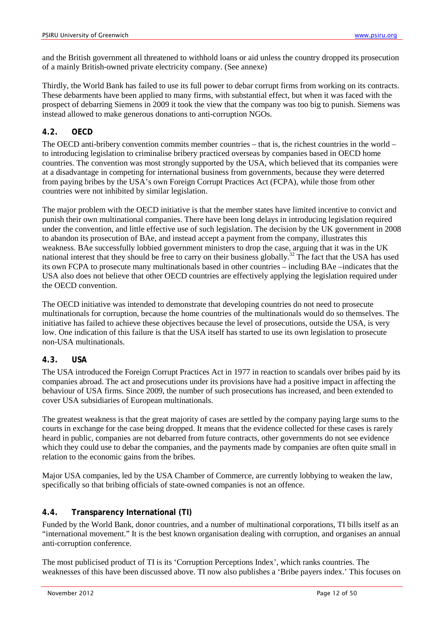and the British government all threatened to withhold loans or aid unless the country dropped its prosecution of a mainly British-owned private electricity company. (See annexe)

Thirdly, the World Bank has failed to use its full power to debar corrupt firms from working on its contracts. These debarments have been applied to many firms, with substantial effect, but when it was faced with the prospect of debarring Siemens in 2009 it took the view that the company was too big to punish. Siemens was instead allowed to make generous donations to anti-corruption NGOs.

## <span id="page-11-0"></span>**4.2. OECD**

The OECD anti-bribery convention commits member countries – that is, the richest countries in the world – to introducing legislation to criminalise bribery practiced overseas by companies based in OECD home countries. The convention was most strongly supported by the USA, which believed that its companies were at a disadvantage in competing for international business from governments, because they were deterred from paying bribes by the USA's own Foreign Corrupt Practices Act (FCPA), while those from other countries were not inhibited by similar legislation.

The major problem with the OECD initiative is that the member states have limited incentive to convict and punish their own multinational companies. There have been long delays in introducing legislation required under the convention, and little effective use of such legislation. The decision by the UK government in 2008 to abandon its prosecution of BAe, and instead accept a payment from the company, illustrates this weakness. BAe successfully lobbied government ministers to drop the case, arguing that it was in the UK national interest that they should be free to carry on their business globally.<sup>32</sup> The fact that the USA has used its own FCPA to prosecute many multinationals based in other countries – including BAe –indicates that the USA also does not believe that other OECD countries are effectively applying the legislation required under the OECD convention.

The OECD initiative was intended to demonstrate that developing countries do not need to prosecute multinationals for corruption, because the home countries of the multinationals would do so themselves. The initiative has failed to achieve these objectives because the level of prosecutions, outside the USA, is very low. One indication of this failure is that the USA itself has started to use its own legislation to prosecute non-USA multinationals.

## <span id="page-11-1"></span>**4.3. USA**

The USA introduced the Foreign Corrupt Practices Act in 1977 in reaction to scandals over bribes paid by its companies abroad. The act and prosecutions under its provisions have had a positive impact in affecting the behaviour of USA firms. Since 2009, the number of such prosecutions has increased, and been extended to cover USA subsidiaries of European multinationals.

The greatest weakness is that the great majority of cases are settled by the company paying large sums to the courts in exchange for the case being dropped. It means that the evidence collected for these cases is rarely heard in public, companies are not debarred from future contracts, other governments do not see evidence which they could use to debar the companies, and the payments made by companies are often quite small in relation to the economic gains from the bribes.

Major USA companies, led by the USA Chamber of Commerce, are currently lobbying to weaken the law, specifically so that bribing officials of state-owned companies is not an offence.

## <span id="page-11-2"></span>**4.4. Transparency International (TI)**

Funded by the World Bank, donor countries, and a number of multinational corporations, TI bills itself as an "international movement." It is the best known organisation dealing with corruption, and organises an annual anti-corruption conference.

The most publicised product of TI is its 'Corruption Perceptions Index', which ranks countries. The weaknesses of this have been discussed above. TI now also publishes a 'Bribe payers index.' This focuses on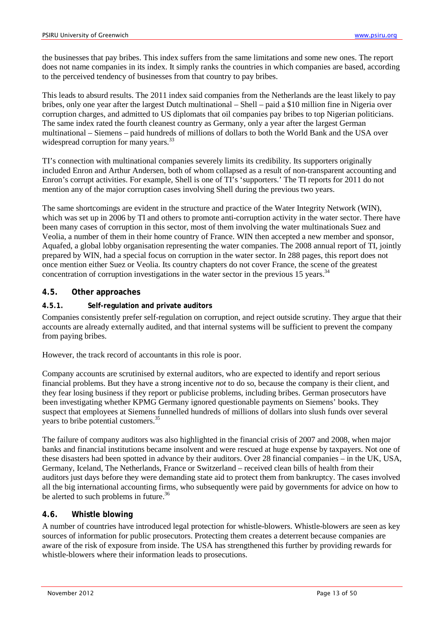the businesses that pay bribes. This index suffers from the same limitations and some new ones. The report does not name companies in its index. It simply ranks the countries in which companies are based, according to the perceived tendency of businesses from that country to pay bribes.

This leads to absurd results. The 2011 index said companies from the Netherlands are the least likely to pay bribes, only one year after the largest Dutch multinational – Shell – paid a \$10 million fine in Nigeria over corruption charges, and admitted to US diplomats that oil companies pay bribes to top Nigerian politicians. The same index rated the fourth cleanest country as Germany, only a year after the largest German multinational – Siemens – paid hundreds of millions of dollars to both the World Bank and the USA over widespread corruption for many years.<sup>33</sup>

TI's connection with multinational companies severely limits its credibility. Its supporters originally included Enron and Arthur Andersen, both of whom collapsed as a result of non-transparent accounting and Enron's corrupt activities. For example, Shell is one of TI's 'supporters.' The TI reports for 2011 do not mention any of the major corruption cases involving Shell during the previous two years.

The same shortcomings are evident in the structure and practice of the Water Integrity Network (WIN), which was set up in 2006 by TI and others to promote anti-corruption activity in the water sector. There have been many cases of corruption in this sector, most of them involving the water multinationals Suez and Veolia, a number of them in their home country of France. WIN then accepted a new member and sponsor, Aquafed, a global lobby organisation representing the water companies. The 2008 annual report of TI, jointly prepared by WIN, had a special focus on corruption in the water sector. In 288 pages, this report does not once mention either Suez or Veolia. Its country chapters do not cover France, the scene of the greatest concentration of corruption investigations in the water sector in the previous 15 years.<sup>34</sup>

#### <span id="page-12-0"></span>**4.5. Other approaches**

#### <span id="page-12-1"></span>**4.5.1. Self-regulation and private auditors**

Companies consistently prefer self-regulation on corruption, and reject outside scrutiny. They argue that their accounts are already externally audited, and that internal systems will be sufficient to prevent the company from paying bribes.

However, the track record of accountants in this role is poor.

Company accounts are scrutinised by external auditors, who are expected to identify and report serious financial problems. But they have a strong incentive *not* to do so, because the company is their client, and they fear losing business if they report or publicise problems, including bribes. German prosecutors have been investigating whether KPMG Germany ignored questionable payments on Siemens' books. They suspect that employees at Siemens funnelled hundreds of millions of dollars into slush funds over several years to bribe potential customers.<sup>35</sup>

The failure of company auditors was also highlighted in the financial crisis of 2007 and 2008, when major banks and financial institutions became insolvent and were rescued at huge expense by taxpayers. Not one of these disasters had been spotted in advance by their auditors. Over 28 financial companies – in the UK, USA, Germany, Iceland, The Netherlands, France or Switzerland – received clean bills of health from their auditors just days before they were demanding state aid to protect them from bankruptcy. The cases involved all the big international accounting firms, who subsequently were paid by governments for advice on how to be alerted to such problems in future.<sup>36</sup>

#### <span id="page-12-2"></span>**4.6. Whistle blowing**

A number of countries have introduced legal protection for whistle-blowers. Whistle-blowers are seen as key sources of information for public prosecutors. Protecting them creates a deterrent because companies are aware of the risk of exposure from inside. The USA has strengthened this further by providing rewards for whistle-blowers where their information leads to prosecutions.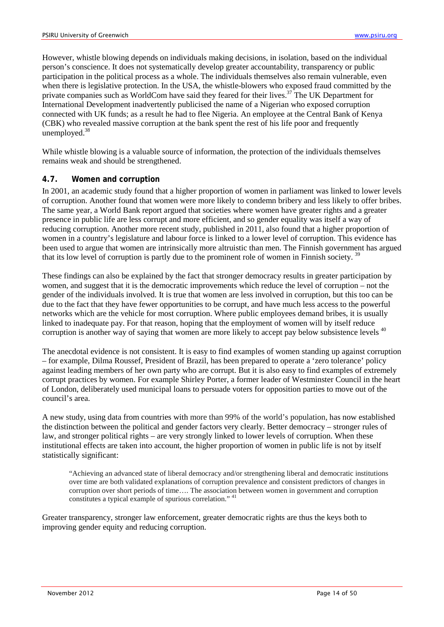However, whistle blowing depends on individuals making decisions, in isolation, based on the individual person's conscience. It does not systematically develop greater accountability, transparency or public participation in the political process as a whole. The individuals themselves also remain vulnerable, even when there is legislative protection. In the USA, the whistle-blowers who exposed fraud committed by the private companies such as WorldCom have said they feared for their lives.<sup>37</sup> The UK Department for International Development inadvertently publicised the name of a Nigerian who exposed corruption connected with UK funds; as a result he had to flee Nigeria. An employee at the Central Bank of Kenya (CBK) who revealed massive corruption at the bank spent the rest of his life poor and frequently unemployed.<sup>38</sup>

While whistle blowing is a valuable source of information, the protection of the individuals themselves remains weak and should be strengthened.

#### <span id="page-13-0"></span>**4.7. Women and corruption**

In 2001, an academic study found that a higher proportion of women in parliament was linked to lower levels of corruption. Another found that women were more likely to condemn bribery and less likely to offer bribes. The same year, a World Bank report argued that societies where women have greater rights and a greater presence in public life are less corrupt and more efficient, and so gender equality was itself a way of reducing corruption. Another more recent study, published in 2011, also found that a higher proportion of women in a country's legislature and labour force is linked to a lower level of corruption. This evidence has been used to argue that women are intrinsically more altruistic than men. The Finnish government has argued that its low level of corruption is partly due to the prominent role of women in Finnish society.<sup>39</sup>

These findings can also be explained by the fact that stronger democracy results in greater participation by women, and suggest that it is the democratic improvements which reduce the level of corruption – not the gender of the individuals involved. It is true that women are less involved in corruption, but this too can be due to the fact that they have fewer opportunities to be corrupt, and have much less access to the powerful networks which are the vehicle for most corruption. Where public employees demand bribes, it is usually linked to inadequate pay. For that reason, hoping that the employment of women will by itself reduce corruption is another way of saying that women are more likely to accept pay below subsistence levels <sup>40</sup>

The anecdotal evidence is not consistent. It is easy to find examples of women standing up against corruption – for example, Dilma Roussef, President of Brazil, has been prepared to operate a 'zero tolerance' policy against leading members of her own party who are corrupt. But it is also easy to find examples of extremely corrupt practices by women. For example Shirley Porter, a former leader of Westminster Council in the heart of London, deliberately used municipal loans to persuade voters for opposition parties to move out of the council's area.

A new study, using data from countries with more than 99% of the world's population, has now established the distinction between the political and gender factors very clearly. Better democracy – stronger rules of law, and stronger political rights – are very strongly linked to lower levels of corruption. When these institutional effects are taken into account, the higher proportion of women in public life is not by itself statistically significant:

"Achieving an advanced state of liberal democracy and/or strengthening liberal and democratic institutions over time are both validated explanations of corruption prevalence and consistent predictors of changes in corruption over short periods of time…. The association between women in government and corruption constitutes a typical example of spurious correlation." <sup>41</sup>

Greater transparency, stronger law enforcement, greater democratic rights are thus the keys both to improving gender equity and reducing corruption.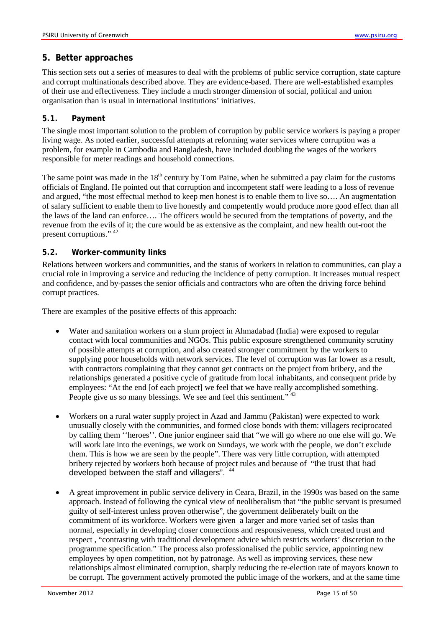## <span id="page-14-0"></span>**5. Better approaches**

This section sets out a series of measures to deal with the problems of public service corruption, state capture and corrupt multinationals described above. They are evidence-based. There are well-established examples of their use and effectiveness. They include a much stronger dimension of social, political and union organisation than is usual in international institutions' initiatives.

#### <span id="page-14-1"></span>**5.1. Payment**

The single most important solution to the problem of corruption by public service workers is paying a proper living wage. As noted earlier, successful attempts at reforming water services where corruption was a problem, for example in Cambodia and Bangladesh, have included doubling the wages of the workers responsible for meter readings and household connections.

The same point was made in the  $18<sup>th</sup>$  century by Tom Paine, when he submitted a pay claim for the customs officials of England. He pointed out that corruption and incompetent staff were leading to a loss of revenue and argued, "the most effectual method to keep men honest is to enable them to live so…. An augmentation of salary sufficient to enable them to live honestly and competently would produce more good effect than all the laws of the land can enforce…. The officers would be secured from the temptations of poverty, and the revenue from the evils of it; the cure would be as extensive as the complaint, and new health out-root the present corruptions." <sup>42</sup>

#### <span id="page-14-2"></span>**5.2. Worker-community links**

Relations between workers and communities, and the status of workers in relation to communities, can play a crucial role in improving a service and reducing the incidence of petty corruption. It increases mutual respect and confidence, and by-passes the senior officials and contractors who are often the driving force behind corrupt practices.

There are examples of the positive effects of this approach:

- Water and sanitation workers on a slum project in Ahmadabad (India) were exposed to regular contact with local communities and NGOs. This public exposure strengthened community scrutiny of possible attempts at corruption, and also created stronger commitment by the workers to supplying poor households with network services. The level of corruption was far lower as a result, with contractors complaining that they cannot get contracts on the project from bribery, and the relationships generated a positive cycle of gratitude from local inhabitants, and consequent pride by employees: "At the end [of each project] we feel that we have really accomplished something. People give us so many blessings. We see and feel this sentiment."<sup>43</sup>
- Workers on a rural water supply project in Azad and Jammu (Pakistan) were expected to work unusually closely with the communities, and formed close bonds with them: villagers reciprocated by calling them ''heroes''. One junior engineer said that "we will go where no one else will go. We will work late into the evenings, we work on Sundays, we work with the people, we don't exclude them. This is how we are seen by the people". There was very little corruption, with attempted bribery rejected by workers both because of project rules and because of "the trust that had developed between the staff and villagers". <sup>44</sup>
- A great improvement in public service delivery in Ceara, Brazil, in the 1990s was based on the same approach. Instead of following the cynical view of neoliberalism that "the public servant is presumed guilty of self-interest unless proven otherwise", the government deliberately built on the commitment of its workforce. Workers were given a larger and more varied set of tasks than normal, especially in developing closer connections and responsiveness, which created trust and respect , "contrasting with traditional development advice which restricts workers' discretion to the programme specification." The process also professionalised the public service, appointing new employees by open competition, not by patronage. As well as improving services, these new relationships almost eliminated corruption, sharply reducing the re-election rate of mayors known to be corrupt. The government actively promoted the public image of the workers, and at the same time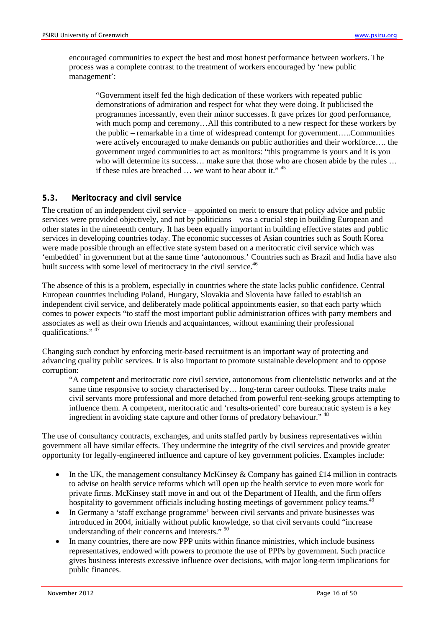encouraged communities to expect the best and most honest performance between workers. The process was a complete contrast to the treatment of workers encouraged by 'new public management':

"Government itself fed the high dedication of these workers with repeated public demonstrations of admiration and respect for what they were doing. It publicised the programmes incessantly, even their minor successes. It gave prizes for good performance, with much pomp and ceremony...All this contributed to a new respect for these workers by the public – remarkable in a time of widespread contempt for government…..Communities were actively encouraged to make demands on public authorities and their workforce…. the government urged communities to act as monitors: "this programme is yours and it is you who will determine its success... make sure that those who are chosen abide by the rules ... if these rules are breached … we want to hear about it." <sup>45</sup>

#### <span id="page-15-0"></span>**5.3. Meritocracy and civil service**

The creation of an independent civil service – appointed on merit to ensure that policy advice and public services were provided objectively, and not by politicians – was a crucial step in building European and other states in the nineteenth century. It has been equally important in building effective states and public services in developing countries today. The economic successes of Asian countries such as South Korea were made possible through an effective state system based on a meritocratic civil service which was 'embedded' in government but at the same time 'autonomous.' Countries such as Brazil and India have also built success with some level of meritocracy in the civil service.<sup>46</sup>

The absence of this is a problem, especially in countries where the state lacks public confidence. Central European countries including Poland, Hungary, Slovakia and Slovenia have failed to establish an independent civil service, and deliberately made political appointments easier, so that each party which comes to power expects "to staff the most important public administration offices with party members and associates as well as their own friends and acquaintances, without examining their professional qualifications."  $47$ 

Changing such conduct by enforcing merit-based recruitment is an important way of protecting and advancing quality public services. It is also important to promote sustainable development and to oppose corruption:

"A competent and meritocratic core civil service, autonomous from clientelistic networks and at the same time responsive to society characterised by… long-term career outlooks. These traits make civil servants more professional and more detached from powerful rent-seeking groups attempting to influence them. A competent, meritocratic and 'results-oriented' core bureaucratic system is a key ingredient in avoiding state capture and other forms of predatory behaviour." 48

The use of consultancy contracts, exchanges, and units staffed partly by business representatives within government all have similar effects. They undermine the integrity of the civil services and provide greater opportunity for legally-engineered influence and capture of key government policies. Examples include:

- In the UK, the management consultancy McKinsey & Company has gained  $\pounds 14$  million in contracts to advise on health service reforms which will open up the health service to even more work for private firms. McKinsey staff move in and out of the Department of Health, and the firm offers hospitality to government officials including hosting meetings of government policy teams.<sup>49</sup>
- In Germany a 'staff exchange programme' between civil servants and private businesses was introduced in 2004, initially without public knowledge, so that civil servants could "increase understanding of their concerns and interests."<sup>50</sup>
- In many countries, there are now PPP units within finance ministries, which include business representatives, endowed with powers to promote the use of PPPs by government. Such practice gives business interests excessive influence over decisions, with major long-term implications for public finances.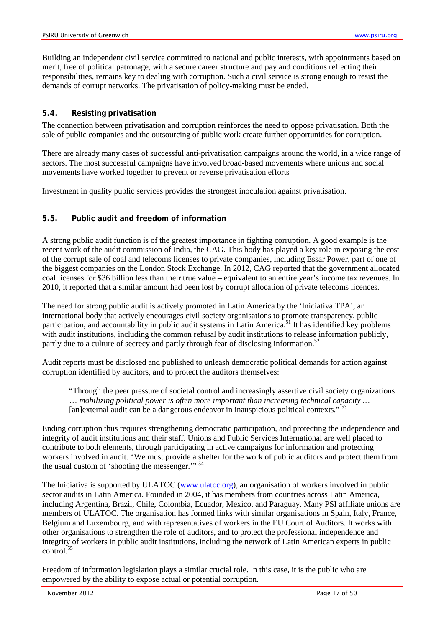Building an independent civil service committed to national and public interests, with appointments based on merit, free of political patronage, with a secure career structure and pay and conditions reflecting their responsibilities, remains key to dealing with corruption. Such a civil service is strong enough to resist the demands of corrupt networks. The privatisation of policy-making must be ended.

#### <span id="page-16-0"></span>**5.4. Resisting privatisation**

The connection between privatisation and corruption reinforces the need to oppose privatisation. Both the sale of public companies and the outsourcing of public work create further opportunities for corruption.

There are already many cases of successful anti-privatisation campaigns around the world, in a wide range of sectors. The most successful campaigns have involved broad-based movements where unions and social movements have worked together to prevent or reverse privatisation efforts

Investment in quality public services provides the strongest inoculation against privatisation.

## <span id="page-16-1"></span>**5.5. Public audit and freedom of information**

A strong public audit function is of the greatest importance in fighting corruption. A good example is the recent work of the audit commission of India, the CAG. This body has played a key role in exposing the cost of the corrupt sale of coal and telecoms licenses to private companies, including Essar Power, part of one of the biggest companies on the London Stock Exchange. In 2012, CAG reported that the government allocated coal licenses for \$36 billion less than their true value – equivalent to an entire year's income tax revenues. In 2010, it reported that a similar amount had been lost by corrupt allocation of private telecoms licences.

The need for strong public audit is actively promoted in Latin America by the 'Iniciativa TPA', an international body that actively encourages civil society organisations to promote transparency, public participation, and accountability in public audit systems in Latin America.<sup>51</sup> It has identified key problems with audit institutions, including the common refusal by audit institutions to release information publicly, partly due to a culture of secrecy and partly through fear of disclosing information.<sup>52</sup>

Audit reports must be disclosed and published to unleash democratic political demands for action against corruption identified by auditors, and to protect the auditors themselves:

"Through the peer pressure of societal control and increasingly assertive civil society organizations … *mobilizing political power is often more important than increasing technical capacity …*  [an]external audit can be a dangerous endeavor in inauspicious political contexts."<sup>53</sup>

Ending corruption thus requires strengthening democratic participation, and protecting the independence and integrity of audit institutions and their staff. Unions and Public Services International are well placed to contribute to both elements, through participating in active campaigns for information and protecting workers involved in audit. "We must provide a shelter for the work of public auditors and protect them from the usual custom of 'shooting the messenger.'" <sup>54</sup>

The Iniciativa is supported by ULATOC [\(www.ulatoc.org\)](http://www.ulatoc.org/), an organisation of workers involved in public sector audits in Latin America. Founded in 2004, it has members from countries across Latin America, including Argentina, Brazil, Chile, Colombia, Ecuador, Mexico, and Paraguay. Many PSI affiliate unions are members of ULATOC. The organisation has formed links with similar organisations in Spain, Italy, France, Belgium and Luxembourg, and with representatives of workers in the EU Court of Auditors. It works with other organisations to strengthen the role of auditors, and to protect the professional independence and integrity of workers in public audit institutions, including the network of Latin American experts in public control. 55

Freedom of information legislation plays a similar crucial role. In this case, it is the public who are empowered by the ability to expose actual or potential corruption.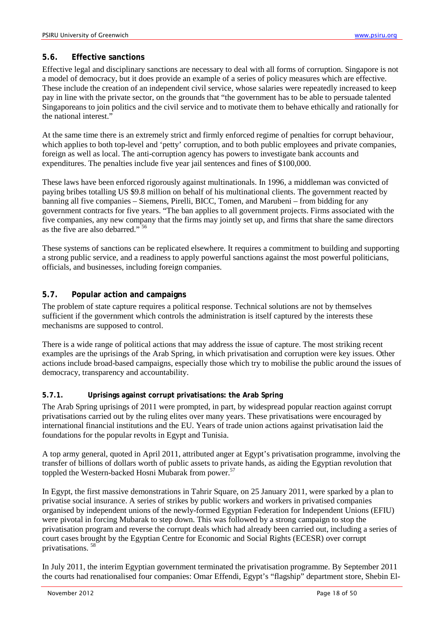## <span id="page-17-0"></span>**5.6. Effective sanctions**

Effective legal and disciplinary sanctions are necessary to deal with all forms of corruption. Singapore is not a model of democracy, but it does provide an example of a series of policy measures which are effective. These include the creation of an independent civil service, whose salaries were repeatedly increased to keep pay in line with the private sector, on the grounds that "the government has to be able to persuade talented Singaporeans to join politics and the civil service and to motivate them to behave ethically and rationally for the national interest."

At the same time there is an extremely strict and firmly enforced regime of penalties for corrupt behaviour, which applies to both top-level and 'petty' corruption, and to both public employees and private companies, foreign as well as local. The anti-corruption agency has powers to investigate bank accounts and expenditures. The penalties include five year jail sentences and fines of \$100,000.

These laws have been enforced rigorously against multinationals. In 1996, a middleman was convicted of paying bribes totalling US \$9.8 million on behalf of his multinational clients. The government reacted by banning all five companies – Siemens, Pirelli, BICC, Tomen, and Marubeni – from bidding for any government contracts for five years. "The ban applies to all government projects. Firms associated with the five companies, any new company that the firms may jointly set up, and firms that share the same directors as the five are also debarred."<sup>56</sup>

These systems of sanctions can be replicated elsewhere. It requires a commitment to building and supporting a strong public service, and a readiness to apply powerful sanctions against the most powerful politicians, officials, and businesses, including foreign companies.

## <span id="page-17-1"></span>**5.7. Popular action and campaigns**

The problem of state capture requires a political response. Technical solutions are not by themselves sufficient if the government which controls the administration is itself captured by the interests these mechanisms are supposed to control.

There is a wide range of political actions that may address the issue of capture. The most striking recent examples are the uprisings of the Arab Spring, in which privatisation and corruption were key issues. Other actions include broad-based campaigns, especially those which try to mobilise the public around the issues of democracy, transparency and accountability.

#### <span id="page-17-2"></span>**5.7.1. Uprisings against corrupt privatisations: the Arab Spring**

The Arab Spring uprisings of 2011 were prompted, in part, by widespread popular reaction against corrupt privatisations carried out by the ruling elites over many years. These privatisations were encouraged by international financial institutions and the EU. Years of trade union actions against privatisation laid the foundations for the popular revolts in Egypt and Tunisia.

A top army general, quoted in April 2011, attributed anger at Egypt's privatisation programme, involving the transfer of billions of dollars worth of public assets to private hands, as aiding the Egyptian revolution that toppled the Western-backed Hosni Mubarak from power.<sup>57</sup>

In Egypt, the first massive demonstrations in Tahrir Square, on 25 January 2011, were sparked by a plan to privatise social insurance. A series of strikes by public workers and workers in privatised companies organised by independent unions of the newly-formed Egyptian Federation for Independent Unions (EFIU) were pivotal in forcing Mubarak to step down. This was followed by a strong campaign to stop the privatisation program and reverse the corrupt deals which had already been carried out, including a series of court cases brought by the Egyptian Centre for Economic and Social Rights (ECESR) over corrupt privatisations. <sup>58</sup>

In July 2011, the interim Egyptian government terminated the privatisation programme. By September 2011 the courts had renationalised four companies: Omar Effendi, Egypt's "flagship" department store, Shebin El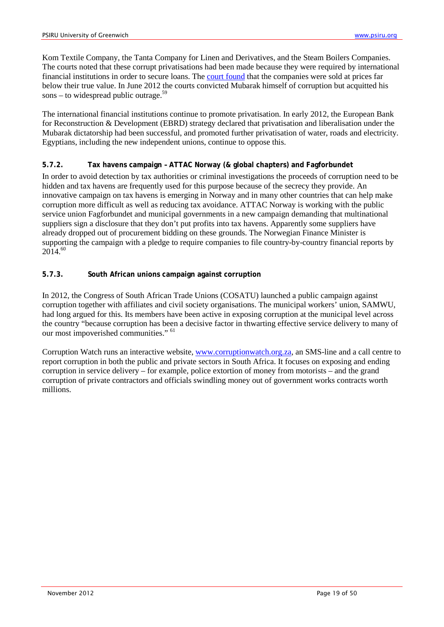Kom Textile Company, the Tanta Company for Linen and Derivatives, and the Steam Boilers Companies. The courts noted that these corrupt privatisations had been made because they were required by international financial institutions in order to secure loans. The [court found](http://english.ahram.org.eg/News/22500.aspx) that the companies were sold at prices far below their true value. In June 2012 the courts convicted Mubarak himself of corruption but acquitted his sons – to widespread public outrage.<sup>59</sup>

The international financial institutions continue to promote privatisation. In early 2012, the European Bank for Reconstruction & Development (EBRD) strategy declared that privatisation and liberalisation under the Mubarak dictatorship had been successful, and promoted further privatisation of water, roads and electricity. Egyptians, including the new independent unions, continue to oppose this.

#### <span id="page-18-0"></span>**5.7.2. Tax havens campaign – ATTAC Norway (& global chapters) and Fagforbundet**

In order to avoid detection by tax authorities or criminal investigations the proceeds of corruption need to be hidden and tax havens are frequently used for this purpose because of the secrecy they provide. An innovative campaign on tax havens is emerging in Norway and in many other countries that can help make corruption more difficult as well as reducing tax avoidance. ATTAC Norway is working with the public service union Fagforbundet and municipal governments in a new campaign demanding that multinational suppliers sign a disclosure that they don't put profits into tax havens. Apparently some suppliers have already dropped out of procurement bidding on these grounds. The Norwegian Finance Minister is supporting the campaign with a pledge to require companies to file country-by-country financial reports by 2014. 60

#### <span id="page-18-1"></span>**5.7.3. South African unions campaign against corruption**

In 2012, the Congress of South African Trade Unions (COSATU) launched a public campaign against corruption together with affiliates and civil society organisations. The municipal workers' union, SAMWU, had long argued for this. Its members have been active in exposing corruption at the municipal level across the country "because corruption has been a decisive factor in thwarting effective service delivery to many of our most impoverished communities." <sup>61</sup>

Corruption Watch runs an interactive website, www.corruptionwatch.org.za, an SMS-line and a call centre to report corruption in both the public and private sectors in South Africa. It focuses on exposing and ending corruption in service delivery – for example, police extortion of money from motorists – and the grand corruption of private contractors and officials swindling money out of government works contracts worth millions.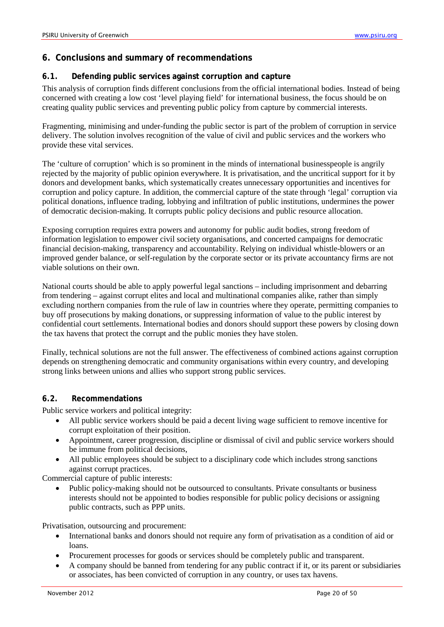# <span id="page-19-0"></span>**6. Conclusions and summary of recommendations**

#### <span id="page-19-1"></span>**6.1. Defending public services against corruption and capture**

This analysis of corruption finds different conclusions from the official international bodies. Instead of being concerned with creating a low cost 'level playing field' for international business, the focus should be on creating quality public services and preventing public policy from capture by commercial interests.

Fragmenting, minimising and under-funding the public sector is part of the problem of corruption in service delivery. The solution involves recognition of the value of civil and public services and the workers who provide these vital services.

The 'culture of corruption' which is so prominent in the minds of international businesspeople is angrily rejected by the majority of public opinion everywhere. It is privatisation, and the uncritical support for it by donors and development banks, which systematically creates unnecessary opportunities and incentives for corruption and policy capture. In addition, the commercial capture of the state through 'legal' corruption via political donations, influence trading, lobbying and infiltration of public institutions, undermines the power of democratic decision-making. It corrupts public policy decisions and public resource allocation.

Exposing corruption requires extra powers and autonomy for public audit bodies, strong freedom of information legislation to empower civil society organisations, and concerted campaigns for democratic financial decision-making, transparency and accountability. Relying on individual whistle-blowers or an improved gender balance, or self-regulation by the corporate sector or its private accountancy firms are not viable solutions on their own.

National courts should be able to apply powerful legal sanctions – including imprisonment and debarring from tendering – against corrupt elites and local and multinational companies alike, rather than simply excluding northern companies from the rule of law in countries where they operate, permitting companies to buy off prosecutions by making donations, or suppressing information of value to the public interest by confidential court settlements. International bodies and donors should support these powers by closing down the tax havens that protect the corrupt and the public monies they have stolen.

Finally, technical solutions are not the full answer. The effectiveness of combined actions against corruption depends on strengthening democratic and community organisations within every country, and developing strong links between unions and allies who support strong public services.

#### <span id="page-19-2"></span>**6.2. Recommendations**

Public service workers and political integrity:

- All public service workers should be paid a decent living wage sufficient to remove incentive for corrupt exploitation of their position.
- Appointment, career progression, discipline or dismissal of civil and public service workers should be immune from political decisions,
- All public employees should be subject to a disciplinary code which includes strong sanctions against corrupt practices.

Commercial capture of public interests:

• Public policy-making should not be outsourced to consultants. Private consultants or business interests should not be appointed to bodies responsible for public policy decisions or assigning public contracts, such as PPP units.

Privatisation, outsourcing and procurement:

- International banks and donors should not require any form of privatisation as a condition of aid or loans.
- Procurement processes for goods or services should be completely public and transparent.
- A company should be banned from tendering for any public contract if it, or its parent or subsidiaries or associates, has been convicted of corruption in any country, or uses tax havens.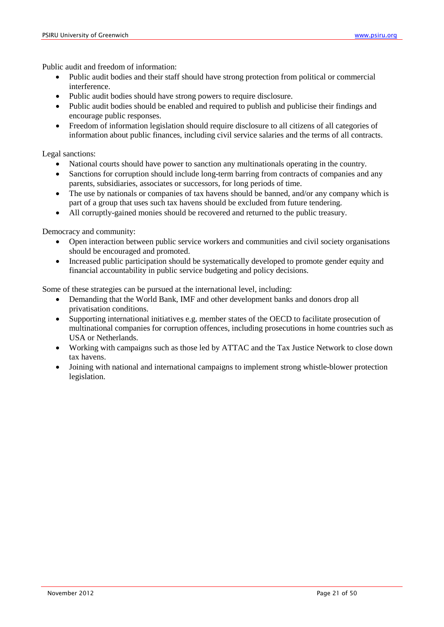Public audit and freedom of information:

- Public audit bodies and their staff should have strong protection from political or commercial interference.
- Public audit bodies should have strong powers to require disclosure.
- Public audit bodies should be enabled and required to publish and publicise their findings and encourage public responses.
- Freedom of information legislation should require disclosure to all citizens of all categories of information about public finances, including civil service salaries and the terms of all contracts.

Legal sanctions:

- National courts should have power to sanction any multinationals operating in the country.
- Sanctions for corruption should include long-term barring from contracts of companies and any parents, subsidiaries, associates or successors, for long periods of time.
- The use by nationals or companies of tax havens should be banned, and/or any company which is part of a group that uses such tax havens should be excluded from future tendering.
- All corruptly-gained monies should be recovered and returned to the public treasury.

Democracy and community:

- Open interaction between public service workers and communities and civil society organisations should be encouraged and promoted.
- Increased public participation should be systematically developed to promote gender equity and financial accountability in public service budgeting and policy decisions.

Some of these strategies can be pursued at the international level, including:

- Demanding that the World Bank, IMF and other development banks and donors drop all privatisation conditions.
- Supporting international initiatives e.g. member states of the OECD to facilitate prosecution of multinational companies for corruption offences, including prosecutions in home countries such as USA or Netherlands.
- Working with campaigns such as those led by ATTAC and the Tax Justice Network to close down tax havens.
- Joining with national and international campaigns to implement strong whistle-blower protection legislation.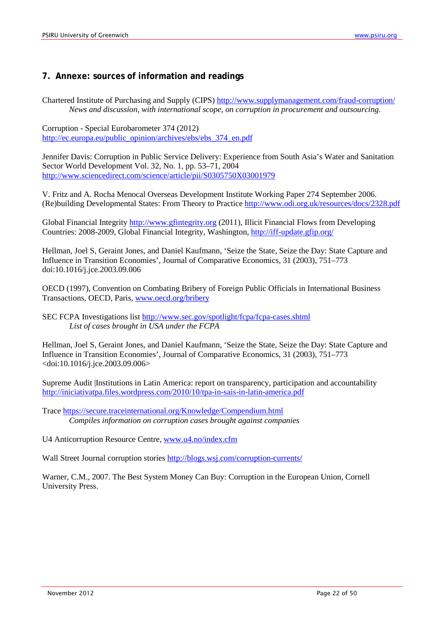# <span id="page-21-0"></span>**7. Annexe: sources of information and readings**

Chartered Institute of Purchasing and Supply (CIPS) <http://www.supplymanagement.com/fraud-corruption/> *News and discussion, with international scope, on corruption in procurement and outsourcing.*

Corruption - Special Eurobarometer 374 (2012) [http://ec.europa.eu/public\\_opinion/archives/ebs/ebs\\_374\\_en.pdf](http://ec.europa.eu/public_opinion/archives/ebs/ebs_374_en.pdf)

Jennifer Davis: Corruption in Public Service Delivery: Experience from South Asia's Water and Sanitation Sector World Development Vol. 32, No. 1, pp. 53–71, 2004 <http://www.sciencedirect.com/science/article/pii/S0305750X03001979>

V. Fritz and A. Rocha Menocal Overseas Development Institute Working Paper 274 September 2006. (Re)building Developmental States: From Theory to Practice<http://www.odi.org.uk/resources/docs/2328.pdf>

Global Financial Integrity [http://www.gfintegrity.org](http://www.gfintegrity.org/) (2011), Illicit Financial Flows from Developing Countries: 2008-2009, Global Financial Integrity, Washington,<http://iff-update.gfip.org/>

Hellman, Joel S, Geraint Jones, and Daniel Kaufmann, 'Seize the State, Seize the Day: State Capture and Influence in Transition Economies', Journal of Comparative Economics, 31 (2003), 751–773 doi:10.1016/j.jce.2003.09.006

OECD (1997), Convention on Combating Bribery of Foreign Public Officials in International Business Transactions, OECD, Paris, [www.oecd.org/bribery](http://www.oecd.org/bribery)

SEC FCPA Investigations list<http://www.sec.gov/spotlight/fcpa/fcpa-cases.shtml> *List of cases brought in USA under the FCPA*

Hellman, Joel S, Geraint Jones, and Daniel Kaufmann, 'Seize the State, Seize the Day: State Capture and Influence in Transition Economies', Journal of Comparative Economics, 31 (2003), 751–773 <doi:10.1016/j.jce.2003.09.006>

Supreme Audit |Institutions in Latin America: report on transparency, participation and accountability <http://iniciativatpa.files.wordpress.com/2010/10/tpa-in-sais-in-latin-america.pdf>

Trace <https://secure.traceinternational.org/Knowledge/Compendium.html> *Compiles information on corruption cases brought against companies*

U4 Anticorruption Resource Centre, [www.u4.no/index.cfm](http://www.u4.no/index.cfm)

Wall Street Journal corruption stories <http://blogs.wsj.com/corruption-currents/>

Warner, C.M., 2007. The Best System Money Can Buy: Corruption in the European Union, Cornell University Press.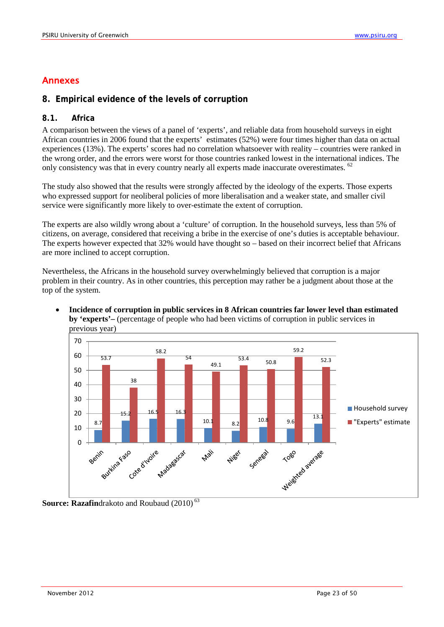# Annexes

## <span id="page-22-0"></span>**8. Empirical evidence of the levels of corruption**

## <span id="page-22-1"></span>**8.1. Africa**

A comparison between the views of a panel of 'experts', and reliable data from household surveys in eight African countries in 2006 found that the experts' estimates (52%) were four times higher than data on actual experiences (13%). The experts' scores had no correlation whatsoever with reality – countries were ranked in the wrong order, and the errors were worst for those countries ranked lowest in the international indices. The only consistency was that in every country nearly all experts made inaccurate overestimates. <sup>62</sup>

The study also showed that the results were strongly affected by the ideology of the experts. Those experts who expressed support for neoliberal policies of more liberalisation and a weaker state, and smaller civil service were significantly more likely to over-estimate the extent of corruption.

The experts are also wildly wrong about a 'culture' of corruption. In the household surveys, less than 5% of citizens, on average, considered that receiving a bribe in the exercise of one's duties is acceptable behaviour. The experts however expected that 32% would have thought so – based on their incorrect belief that Africans are more inclined to accept corruption.

Nevertheless, the Africans in the household survey overwhelmingly believed that corruption is a major problem in their country. As in other countries, this perception may rather be a judgment about those at the top of the system.



• **Incidence of corruption in public services in 8 African countries far lower level than estimated by 'experts'–** (percentage of people who had been victims of corruption in public services in previous year)

**Source: Razafindrakoto and Roubaud (2010)<sup>63</sup>**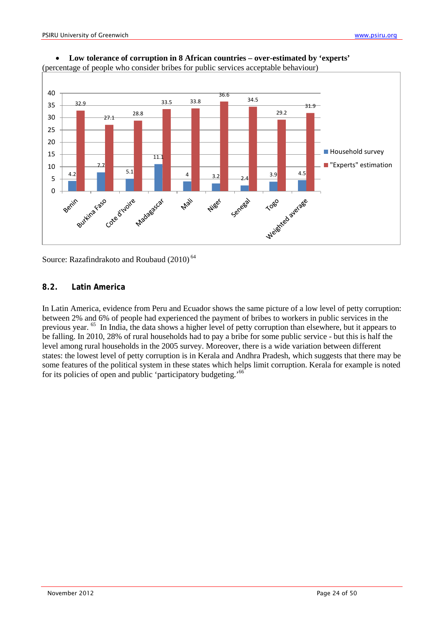



Source: Razafindrakoto and Roubaud (2010)<sup>64</sup>

## <span id="page-23-0"></span>**8.2. Latin America**

In Latin America, evidence from Peru and Ecuador shows the same picture of a low level of petty corruption: between 2% and 6% of people had experienced the payment of bribes to workers in public services in the previous year. 65 In India, the data shows a higher level of petty corruption than elsewhere, but it appears to be falling. In 2010, 28% of rural households had to pay a bribe for some public service - but this is half the level among rural households in the 2005 survey. Moreover, there is a wide variation between different states: the lowest level of petty corruption is in Kerala and Andhra Pradesh, which suggests that there may be some features of the political system in these states which helps limit corruption. Kerala for example is noted for its policies of open and public 'participatory budgeting.'<sup>66</sup>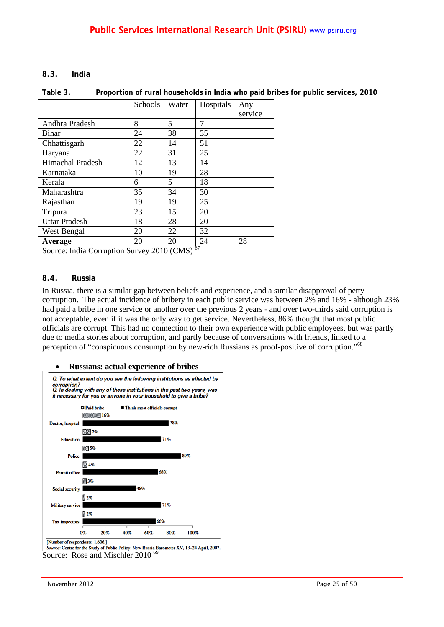#### <span id="page-24-0"></span>**8.3. India**

#### **Table 3. Proportion of rural households in India who paid bribes for public services, 2010**

|                         | Schools | Water | Hospitals | Any     |
|-------------------------|---------|-------|-----------|---------|
|                         |         |       |           | service |
| Andhra Pradesh          | 8       | 5     | 7         |         |
| Bihar                   | 24      | 38    | 35        |         |
| Chhattisgarh            | 22      | 14    | 51        |         |
| Haryana                 | 22      | 31    | 25        |         |
| <b>Himachal Pradesh</b> | 12      | 13    | 14        |         |
| Karnataka               | 10      | 19    | 28        |         |
| Kerala                  | 6       | 5     | 18        |         |
| Maharashtra             | 35      | 34    | 30        |         |
| Rajasthan               | 19      | 19    | 25        |         |
| Tripura                 | 23      | 15    | 20        |         |
| <b>Uttar Pradesh</b>    | 18      | 28    | 20        |         |
| West Bengal             | 20      | 22    | 32        |         |
| Average                 | 20      | 20    | 24        | 28      |

Source: India Corruption Survey 2010 (CMS)<sup>67</sup>

## <span id="page-24-1"></span>**8.4. Russia**

In Russia, there is a similar gap between beliefs and experience, and a similar disapproval of petty corruption. The actual incidence of bribery in each public service was between 2% and 16% - although 23% had paid a bribe in one service or another over the previous 2 years - and over two-thirds said corruption is not acceptable, even if it was the only way to get service. Nevertheless, 86% thought that most public officials are corrupt. This had no connection to their own experience with public employees, but was partly due to media stories about corruption, and partly because of conversations with friends, linked to a perception of "conspicuous consumption by new-rich Russians as proof-positive of corruption."<sup>68</sup>

#### • **Russians: actual experience of bribes**



[Number of respondents: 1,606.]

Source: Centre for the Study of Public Policy, New Russia Barometer XV, 13-24 April, 2007.<br>SOUTCE: ROSE and Mischler  $2010^{69}$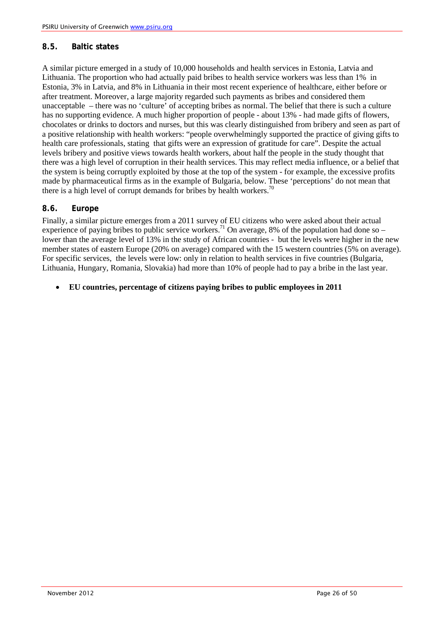## <span id="page-25-0"></span>**8.5. Baltic states**

A similar picture emerged in a study of 10,000 households and health services in Estonia, Latvia and Lithuania. The proportion who had actually paid bribes to health service workers was less than 1% in Estonia, 3% in Latvia, and 8% in Lithuania in their most recent experience of healthcare, either before or after treatment. Moreover, a large majority regarded such payments as bribes and considered them unacceptable – there was no 'culture' of accepting bribes as normal. The belief that there is such a culture has no supporting evidence. A much higher proportion of people - about 13% - had made gifts of flowers, chocolates or drinks to doctors and nurses, but this was clearly distinguished from bribery and seen as part of a positive relationship with health workers: "people overwhelmingly supported the practice of giving gifts to health care professionals, stating that gifts were an expression of gratitude for care". Despite the actual levels bribery and positive views towards health workers, about half the people in the study thought that there was a high level of corruption in their health services. This may reflect media influence, or a belief that the system is being corruptly exploited by those at the top of the system - for example, the excessive profits made by pharmaceutical firms as in the example of Bulgaria, below. These 'perceptions' do not mean that there is a high level of corrupt demands for bribes by health workers.<sup>70</sup>

## <span id="page-25-1"></span>**8.6. Europe**

Finally, a similar picture emerges from a 2011 survey of EU citizens who were asked about their actual experience of paying bribes to public service workers.<sup>71</sup> On average, 8% of the population had done so – lower than the average level of 13% in the study of African countries - but the levels were higher in the new member states of eastern Europe (20% on average) compared with the 15 western countries (5% on average). For specific services, the levels were low: only in relation to health services in five countries (Bulgaria, Lithuania, Hungary, Romania, Slovakia) had more than 10% of people had to pay a bribe in the last year.

## • **EU countries, percentage of citizens paying bribes to public employees in 2011**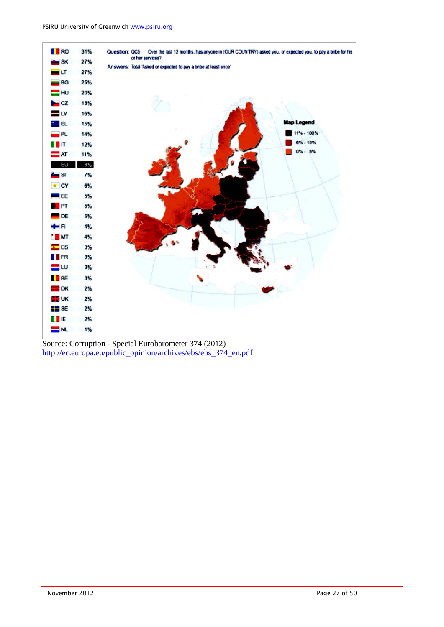

Source: Corruption - Special Eurobarometer 374 (2012) [http://ec.europa.eu/public\\_opinion/archives/ebs/ebs\\_374\\_en.pdf](http://ec.europa.eu/public_opinion/archives/ebs/ebs_374_en.pdf)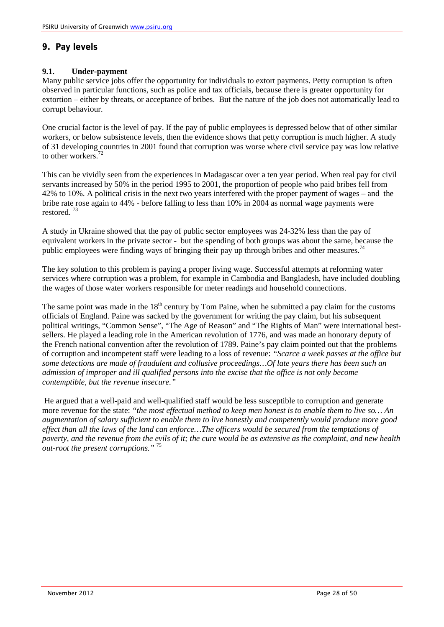# <span id="page-27-0"></span>**9. Pay levels**

#### **9.1. Under-payment**

Many public service jobs offer the opportunity for individuals to extort payments. Petty corruption is often observed in particular functions, such as police and tax officials, because there is greater opportunity for extortion – either by threats, or acceptance of bribes. But the nature of the job does not automatically lead to corrupt behaviour.

One crucial factor is the level of pay. If the pay of public employees is depressed below that of other similar workers, or below subsistence levels, then the evidence shows that petty corruption is much higher. A study of 31 developing countries in 2001 found that corruption was worse where civil service pay was low relative to other workers.<sup>72</sup>

This can be vividly seen from the experiences in Madagascar over a ten year period. When real pay for civil servants increased by 50% in the period 1995 to 2001, the proportion of people who paid bribes fell from 42% to 10%. A political crisis in the next two years interfered with the proper payment of wages – and the bribe rate rose again to 44% - before falling to less than 10% in 2004 as normal wage payments were restored. 73

A study in Ukraine showed that the pay of public sector employees was 24-32% less than the pay of equivalent workers in the private sector - but the spending of both groups was about the same, because the public employees were finding ways of bringing their pay up through bribes and other measures.<sup>74</sup>

The key solution to this problem is paying a proper living wage. Successful attempts at reforming water services where corruption was a problem, for example in Cambodia and Bangladesh, have included doubling the wages of those water workers responsible for meter readings and household connections.

The same point was made in the  $18<sup>th</sup>$  century by Tom Paine, when he submitted a pay claim for the customs officials of England. Paine was sacked by the government for writing the pay claim, but his subsequent political writings, "Common Sense", "The Age of Reason" and "The Rights of Man" were international bestsellers. He played a leading role in the American revolution of 1776, and was made an honorary deputy of the French national convention after the revolution of 1789. Paine's pay claim pointed out that the problems of corruption and incompetent staff were leading to a loss of revenue: *"Scarce a week passes at the office but some detections are made of fraudulent and collusive proceedings…Of late years there has been such an admission of improper and ill qualified persons into the excise that the office is not only become contemptible, but the revenue insecure."*

He argued that a well-paid and well-qualified staff would be less susceptible to corruption and generate more revenue for the state: *"the most effectual method to keep men honest is to enable them to live so… An augmentation of salary sufficient to enable them to live honestly and competently would produce more good effect than all the laws of the land can enforce…The officers would be secured from the temptations of poverty, and the revenue from the evils of it; the cure would be as extensive as the complaint, and new health out-root the present corruptions."* 75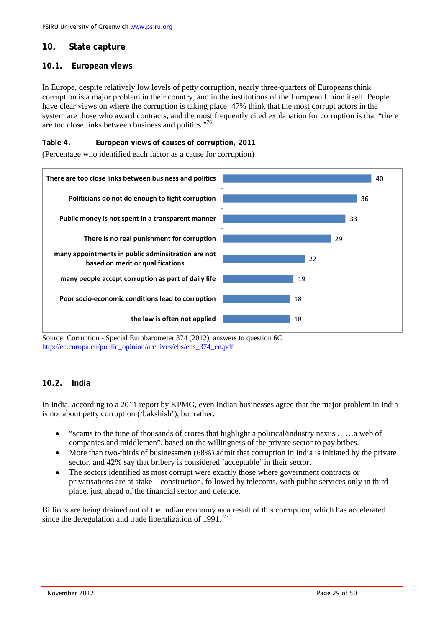# <span id="page-28-0"></span>**10. State capture**

## <span id="page-28-1"></span>**10.1. European views**

In Europe, despite relatively low levels of petty corruption, nearly three-quarters of Europeans think corruption is a major problem in their country, and in the institutions of the European Union itself. People have clear views on where the corruption is taking place: 47% think that the most corrupt actors in the system are those who award contracts, and the most frequently cited explanation for corruption is that "there are too close links between business and politics."76

## **Table 4. European views of causes of corruption, 2011**

(Percentage who identified each factor as a cause for corruption)



Source: Corruption - Special Eurobarometer 374 (2012), answers to question 6C [http://ec.europa.eu/public\\_opinion/archives/ebs/ebs\\_374\\_en.pdf](http://ec.europa.eu/public_opinion/archives/ebs/ebs_374_en.pdf)

# <span id="page-28-2"></span>**10.2. India**

In India, according to a 2011 report by KPMG, even Indian businesses agree that the major problem in India is not about petty corruption ('bakshish'), but rather:

- "scams to the tune of thousands of crores that highlight a political/industry nexus ……a web of companies and middlemen", based on the willingness of the private sector to pay bribes.
- More than two-thirds of businessmen (68%) admit that corruption in India is initiated by the private sector, and 42% say that bribery is considered 'acceptable' in their sector.
- The sectors identified as most corrupt were exactly those where government contracts or privatisations are at stake – construction, followed by telecoms, with public services only in third place, just ahead of the financial sector and defence.

Billions are being drained out of the Indian economy as a result of this corruption, which has accelerated since the deregulation and trade liberalization of 1991.<sup>77</sup>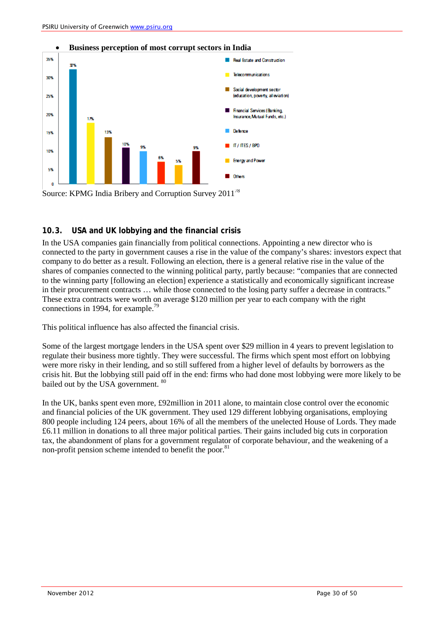

## <span id="page-29-0"></span>**10.3. USA and UK lobbying and the financial crisis**

In the USA companies gain financially from political connections. Appointing a new director who is connected to the party in government causes a rise in the value of the company's shares: investors expect that company to do better as a result. Following an election, there is a general relative rise in the value of the shares of companies connected to the winning political party, partly because: "companies that are connected to the winning party [following an election] experience a statistically and economically significant increase in their procurement contracts … while those connected to the losing party suffer a decrease in contracts." These extra contracts were worth on average \$120 million per year to each company with the right connections in 1994, for example.<sup>79</sup>

This political influence has also affected the financial crisis.

Some of the largest mortgage lenders in the USA spent over \$29 million in 4 years to prevent legislation to regulate their business more tightly. They were successful. The firms which spent most effort on lobbying were more risky in their lending, and so still suffered from a higher level of defaults by borrowers as the crisis hit. But the lobbying still paid off in the end: firms who had done most lobbying were more likely to be bailed out by the USA government. <sup>80</sup>

In the UK, banks spent even more, £92million in 2011 alone, to maintain close control over the economic and financial policies of the UK government. They used 129 different lobbying organisations, employing 800 people including 124 peers, about 16% of all the members of the unelected House of Lords. They made £6.11 million in donations to all three major political parties. Their gains included big cuts in corporation tax, the abandonment of plans for a government regulator of corporate behaviour, and the weakening of a non-profit pension scheme intended to benefit the poor.<sup>81</sup>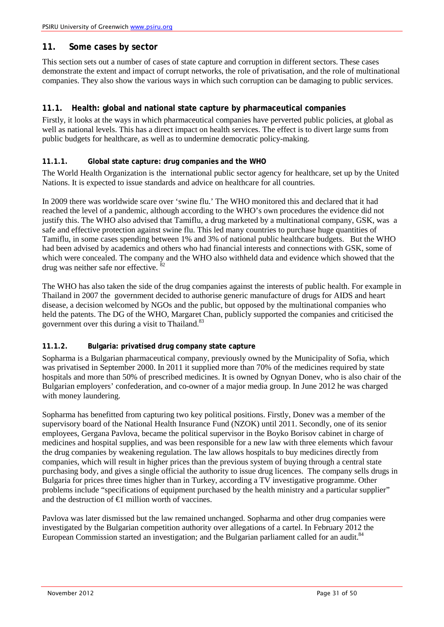# <span id="page-30-0"></span>**11. Some cases by sector**

This section sets out a number of cases of state capture and corruption in different sectors. These cases demonstrate the extent and impact of corrupt networks, the role of privatisation, and the role of multinational companies. They also show the various ways in which such corruption can be damaging to public services.

# <span id="page-30-1"></span>**11.1. Health: global and national state capture by pharmaceutical companies**

Firstly, it looks at the ways in which pharmaceutical companies have perverted public policies, at global as well as national levels. This has a direct impact on health services. The effect is to divert large sums from public budgets for healthcare, as well as to undermine democratic policy-making.

## <span id="page-30-2"></span>**11.1.1. Global state capture: drug companies and the WHO**

The World Health Organization is the international public sector agency for healthcare, set up by the United Nations. It is expected to issue standards and advice on healthcare for all countries.

In 2009 there was worldwide scare over 'swine flu.' The WHO monitored this and declared that it had reached the level of a pandemic, although according to the WHO's own procedures the evidence did not justify this. The WHO also advised that Tamiflu, a drug marketed by a multinational company, GSK, was a safe and effective protection against swine flu. This led many countries to purchase huge quantities of Tamiflu, in some cases spending between 1% and 3% of national public healthcare budgets. But the WHO had been advised by academics and others who had financial interests and connections with GSK, some of which were concealed. The company and the WHO also withheld data and evidence which showed that the drug was neither safe nor effective.  $8$ 

The WHO has also taken the side of the drug companies against the interests of public health. For example in Thailand in 2007 the government decided to authorise generic manufacture of drugs for AIDS and heart disease, a decision welcomed by NGOs and the public, but opposed by the multinational companies who held the patents. The DG of the WHO, Margaret Chan, publicly supported the companies and criticised the government over this during a visit to Thailand.<sup>83</sup>

## <span id="page-30-3"></span>**11.1.2. Bulgaria: privatised drug company state capture**

Sopharma is a Bulgarian pharmaceutical company, previously owned by the Municipality of Sofia, which was privatised in September 2000. In 2011 it supplied more than 70% of the medicines required by state hospitals and more than 50% of prescribed medicines. It is owned by Ognyan Donev, who is also chair of the Bulgarian employers' confederation, and co-owner of a major media group. In June 2012 he was charged with money laundering.

Sopharma has benefitted from capturing two key political positions. Firstly, Donev was a member of the supervisory board of the National Health Insurance Fund (NZOK) until 2011. Secondly, one of its senior employees, Gergana Pavlova, became the political supervisor in the Boyko Borisov cabinet in charge of medicines and hospital supplies, and was been responsible for a new law with three elements which favour the drug companies by weakening regulation. The law allows hospitals to buy medicines directly from companies, which will result in higher prices than the previous system of buying through a central state purchasing body, and gives a single official the authority to issue drug licences. The company sells drugs in Bulgaria for prices three times higher than in Turkey, according a TV investigative programme. Other problems include "specifications of equipment purchased by the health ministry and a particular supplier" and the destruction of  $\bigoplus$  million worth of vaccines.

Pavlova was later dismissed but the law remained unchanged. Sopharma and other drug companies were investigated by the Bulgarian competition authority over allegations of a cartel. In February 2012 the European Commission started an investigation; and the Bulgarian parliament called for an audit.<sup>84</sup>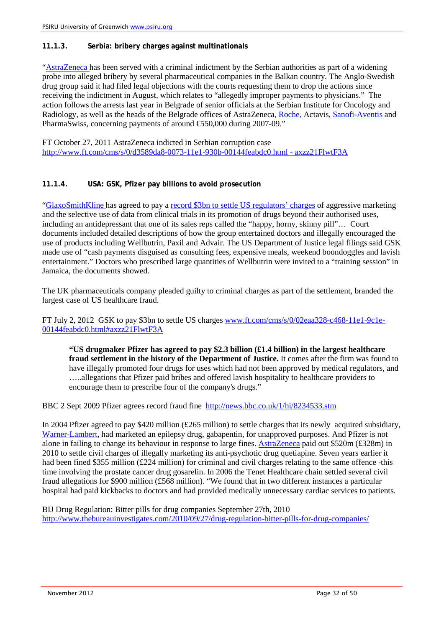#### <span id="page-31-0"></span>**11.1.3. Serbia: bribery charges against multinationals**

["AstraZeneca h](http://markets.ft.com/tearsheets/performance.asp?s=uk:AZN)as been served with a criminal indictment by the Serbian authorities as part of a widening probe into alleged bribery by several pharmaceutical companies in the Balkan country. The Anglo-Swedish drug group said it had filed legal objections with the courts requesting them to drop the actions since receiving the indictment in August, which relates to "allegedly improper payments to physicians." The action follows the arrests last year in Belgrade of senior officials at the Serbian Institute for Oncology and Radiology, as well as the heads of the Belgrade offices of AstraZeneca, [Roche,](http://markets.ft.com/tearsheets/performance.asp?s=ch:RO) Actavis, [Sanofi-Aventis](http://markets.ft.com/tearsheets/performance.asp?s=fr:SAN) and PharmaSwiss, concerning payments of around €550,000 during 2007-09."

FT October 27, 2011 AstraZeneca indicted in Serbian corruption case [http://www.ft.com/cms/s/0/d3589da8-0073-11e1-930b-00144feabdc0.html -](http://www.ft.com/cms/s/0/d3589da8-0073-11e1-930b-00144feabdc0.html#axzz21FlwtF3A) axzz21FlwtF3A

#### <span id="page-31-1"></span>**11.1.4. USA: GSK, Pfizer pay billions to avoid prosecution**

["GlaxoSmithKline h](http://markets.ft.com/tearsheets/performance.asp?s=uk:GSK)as agreed to pay a [record \\$3bn to settle US regulators' charges](http://ftalphaville.ft.com/blog/2012/07/02/1067931/how-to-sound-contrite-as-a-potential-kid-poisoner/) of aggressive marketing and the selective use of data from clinical trials in its promotion of drugs beyond their authorised uses, including an antidepressant that one of its sales reps called the "happy, horny, skinny pill"… Court documents included detailed descriptions of how the group entertained doctors and illegally encouraged the use of products including Wellbutrin, Paxil and Advair. The US Department of Justice legal filings said GSK made use of "cash payments disguised as consulting fees, expensive meals, weekend boondoggles and lavish entertainment." Doctors who prescribed large quantities of Wellbutrin were invited to a "training session" in Jamaica, the documents showed.

The UK pharmaceuticals company pleaded guilty to criminal charges as part of the settlement, branded the largest case of US healthcare fraud.

FT July 2, 2012 GSK to pay \$3bn to settle US charge[s www.ft.com/cms/s/0/02eaa328-c468-11e1-9c1e-](http://www.ft.com/cms/s/0/02eaa328-c468-11e1-9c1e-00144feabdc0.html#axzz21FlwtF3A)[00144feabdc0.html#axzz21FlwtF3A](http://www.ft.com/cms/s/0/02eaa328-c468-11e1-9c1e-00144feabdc0.html#axzz21FlwtF3A)

**"US drugmaker Pfizer has agreed to pay \$2.3 billion (£1.4 billion) in the largest healthcare fraud settlement in the history of the Department of Justice.** It comes after the firm was found to have illegally promoted four drugs for uses which had not been approved by medical regulators, and …..allegations that Pfizer paid bribes and offered lavish hospitality to healthcare providers to encourage them to prescribe four of the company's drugs."

BBC 2 Sept 2009 Pfizer agrees record fraud fine <http://news.bbc.co.uk/1/hi/8234533.stm>

In 2004 Pfizer agreed to pay \$420 million (£265 million) to settle charges that its newly acquired subsidiary, [Warner-Lambert,](http://www.pfizer.com/about/history/pfizer_warner_lambert.jsp) had marketed an epilepsy drug, gabapentin, for unapproved purposes. And Pfizer is not alone in failing to change its behaviour in response to large fines[. AstraZeneca](http://www.astrazeneca.com/) paid out \$520m (£328m) in 2010 to settle civil charges of illegally marketing its anti-psychotic drug quetiapine. Seven years earlier it had been fined \$355 million (£224 million) for criminal and civil charges relating to the same offence -this time involving the prostate cancer drug gosarelin. In 2006 the Tenet Healthcare chain settled several civil fraud allegations for \$900 million (£568 million). "We found that in two different instances a particular hospital had paid kickbacks to doctors and had provided medically unnecessary cardiac services to patients.

BIJ Drug Regulation: Bitter pills for drug companies September 27th, 2010 <http://www.thebureauinvestigates.com/2010/09/27/drug-regulation-bitter-pills-for-drug-companies/>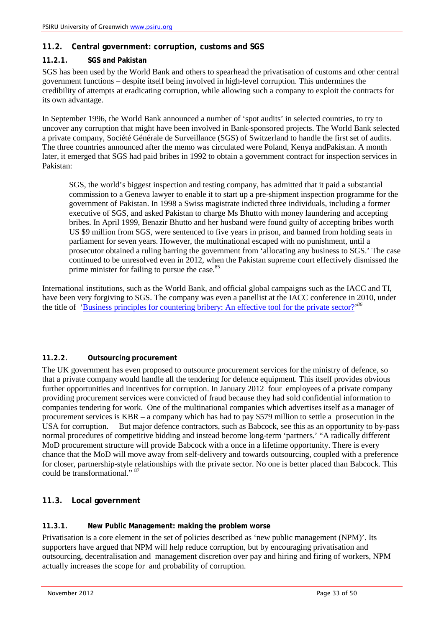# <span id="page-32-0"></span>**11.2. Central government: corruption, customs and SGS**

# <span id="page-32-1"></span>**11.2.1. SGS and Pakistan**

SGS has been used by the World Bank and others to spearhead the privatisation of customs and other central government functions – despite itself being involved in high-level corruption. This undermines the credibility of attempts at eradicating corruption, while allowing such a company to exploit the contracts for its own advantage.

In September 1996, the World Bank announced a number of 'spot audits' in selected countries, to try to uncover any corruption that might have been involved in Bank-sponsored projects. The World Bank selected a private company, Société Générale de Surveillance (SGS) of Switzerland to handle the first set of audits. The three countries announced after the memo was circulated were Poland, Kenya andPakistan. A month later, it emerged that SGS had paid bribes in 1992 to obtain a government contract for inspection services in Pakistan:

SGS, the world's biggest inspection and testing company, has admitted that it paid a substantial commission to a Geneva lawyer to enable it to start up a pre-shipment inspection programme for the government of Pakistan. In 1998 a Swiss magistrate indicted three individuals, including a former executive of SGS, and asked Pakistan to charge Ms Bhutto with money laundering and accepting bribes. In April 1999, Benazir Bhutto and her husband were found guilty of accepting bribes worth US \$9 million from SGS, were sentenced to five years in prison, and banned from holding seats in parliament for seven years. However, the multinational escaped with no punishment, until a prosecutor obtained a ruling barring the government from 'allocating any business to SGS.' The case continued to be unresolved even in 2012, when the Pakistan supreme court effectively dismissed the prime minister for failing to pursue the case.<sup>85</sup>

International institutions, such as the World Bank, and official global campaigns such as the IACC and TI, have been very forgiving to SGS. The company was even a panellist at the IACC conference in 2010, under the title of 'Business principles for countering bribery: An effective tool for the private sector?<sup>86</sup>

## <span id="page-32-2"></span>**11.2.2. Outsourcing procurement**

The UK government has even proposed to outsource procurement services for the ministry of defence, so that a private company would handle all the tendering for defence equipment. This itself provides obvious further opportunities and incentives for corruption. In January 2012 four employees of a private company providing procurement services were convicted of fraud because they had sold confidential information to companies tendering for work. One of the multinational companies which advertises itself as a manager of procurement services is KBR – a company which has had to pay \$579 million to settle a prosecution in the USA for corruption. But major defence contractors, such as Babcock, see this as an opportunity to by-pass normal procedures of competitive bidding and instead become long-term 'partners.' "A radically different MoD procurement structure will provide Babcock with a once in a lifetime opportunity. There is every chance that the MoD will move away from self-delivery and towards outsourcing, coupled with a preference for closer, partnership-style relationships with the private sector. No one is better placed than Babcock. This could be transformational." <sup>87</sup>

# <span id="page-32-3"></span>**11.3. Local government**

## <span id="page-32-4"></span>**11.3.1. New Public Management: making the problem worse**

Privatisation is a core element in the set of policies described as 'new public management (NPM)'. Its supporters have argued that NPM will help reduce corruption, but by encouraging privatisation and outsourcing, decentralisation and management discretion over pay and hiring and firing of workers, NPM actually increases the scope for and probability of corruption.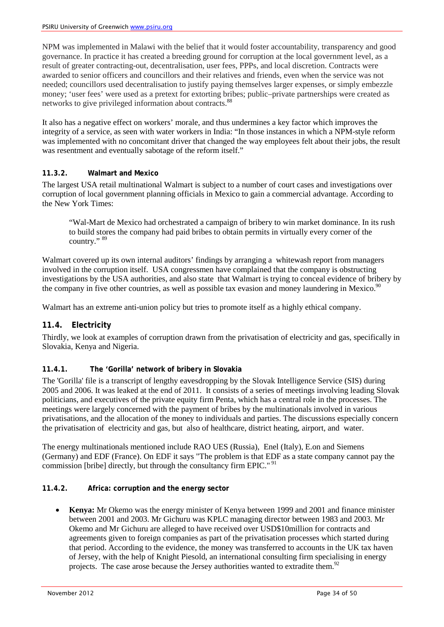NPM was implemented in Malawi with the belief that it would foster accountability, transparency and good governance. In practice it has created a breeding ground for corruption at the local government level, as a result of greater contracting-out, decentralisation, user fees, PPPs, and local discretion. Contracts were awarded to senior officers and councillors and their relatives and friends, even when the service was not needed; councillors used decentralisation to justify paying themselves larger expenses, or simply embezzle money; 'user fees' were used as a pretext for extorting bribes; public–private partnerships were created as networks to give privileged information about contracts.<sup>88</sup>

It also has a negative effect on workers' morale, and thus undermines a key factor which improves the integrity of a service, as seen with water workers in India: "In those instances in which a NPM-style reform was implemented with no concomitant driver that changed the way employees felt about their jobs, the result was resentment and eventually sabotage of the reform itself."

## <span id="page-33-0"></span>**11.3.2. Walmart and Mexico**

The largest USA retail multinational Walmart is subject to a number of court cases and investigations over corruption of local government planning officials in Mexico to gain a commercial advantage. According to the New York Times:

"Wal-Mart de Mexico had orchestrated a campaign of bribery to win market dominance. In its rush to build stores the company had paid bribes to obtain permits in virtually every corner of the country." 89

Walmart covered up its own internal auditors' findings by arranging a whitewash report from managers involved in the corruption itself. USA congressmen have complained that the company is obstructing investigations by the USA authorities, and also state that Walmart is trying to conceal evidence of bribery by the company in five other countries, as well as possible tax evasion and money laundering in Mexico.<sup>90</sup>

Walmart has an extreme anti-union policy but tries to promote itself as a highly ethical company.

# <span id="page-33-1"></span>**11.4. Electricity**

Thirdly, we look at examples of corruption drawn from the privatisation of electricity and gas, specifically in Slovakia, Kenya and Nigeria.

# <span id="page-33-2"></span>**11.4.1. The 'Gorilla' network of bribery in Slovakia**

The 'Gorilla' file is a transcript of lengthy eavesdropping by the Slovak Intelligence Service (SIS) during 2005 and 2006. It was leaked at the end of 2011. It consists of a series of meetings involving leading Slovak politicians, and executives of the private equity firm Penta, which has a central role in the processes. The meetings were largely concerned with the payment of bribes by the multinationals involved in various privatisations, and the allocation of the money to individuals and parties. The discussions especially concern the privatisation of electricity and gas, but also of healthcare, district heating, airport, and water.

The energy multinationals mentioned include RAO UES (Russia), Enel (Italy), E.on and Siemens (Germany) and EDF (France). On EDF it says "The problem is that EDF as a state company cannot pay the commission [bribe] directly, but through the consultancy firm EPIC."<sup>91</sup>

## <span id="page-33-3"></span>**11.4.2. Africa: corruption and the energy sector**

• **Kenya:** Mr Okemo was the energy minister of Kenya between 1999 and 2001 and finance minister between 2001 and 2003. Mr Gichuru was KPLC managing director between 1983 and 2003. Mr Okemo and Mr Gichuru are alleged to have received over USD\$10million for contracts and agreements given to foreign companies as part of the privatisation processes which started during that period. According to the evidence, the money was transferred to accounts in the UK tax haven of Jersey, with the help of Knight Piesold, an international consulting firm specialising in energy projects. The case arose because the Jersey authorities wanted to extradite them.<sup>92</sup>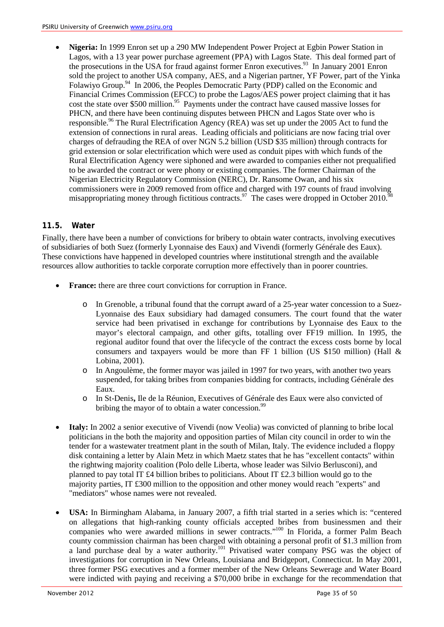• **Nigeria:** In 1999 Enron set up a 290 MW Independent Power Project at Egbin Power Station in Lagos, with a 13 year power purchase agreement (PPA) with Lagos State. This deal formed part of the prosecutions in the USA for fraud against former Enron executives.<sup>93</sup> In January 2001 Enron sold the project to another USA company, AES, and a Nigerian partner, YF Power, part of the Yinka Folawiyo Group.<sup>94</sup> In 2006, the Peoples Democratic Party (PDP) called on the Economic and Financial Crimes Commission (EFCC) to probe the Lagos/AES power project claiming that it has cost the state over \$500 million.<sup>95</sup> Payments under the contract have caused massive losses for PHCN, and there have been continuing disputes between PHCN and Lagos State over who is responsible.<sup>96</sup> The Rural Electrification Agency (REA) was set up under the 2005 Act to fund the extension of connections in rural areas. Leading officials and politicians are now facing trial over charges of defrauding the REA of over NGN 5.2 billion (USD \$35 million) through contracts for grid extension or solar electrification which were used as conduit pipes with which funds of the Rural Electrification Agency were siphoned and were awarded to companies either not prequalified to be awarded the contract or were phony or existing companies. The former Chairman of the Nigerian Electricity Regulatory Commission (NERC), Dr. Ransome Owan, and his six commissioners were in 2009 removed from office and charged with 197 counts of fraud involving misappropriating money through fictitious contracts.<sup>97</sup> The cases were dropped in October 2010.<sup>9</sup>

## <span id="page-34-0"></span>**11.5. Water**

Finally, there have been a number of convictions for bribery to obtain water contracts, involving executives of subsidiaries of both Suez (formerly Lyonnaise des Eaux) and Vivendi (formerly Générale des Eaux). These convictions have happened in developed countries where institutional strength and the available resources allow authorities to tackle corporate corruption more effectively than in poorer countries.

- **France:** there are three court convictions for corruption in France.
	- o In Grenoble, a tribunal found that the corrupt award of a 25-year water concession to a Suez-Lyonnaise des Eaux subsidiary had damaged consumers. The court found that the water service had been privatised in exchange for contributions by Lyonnaise des Eaux to the mayor's electoral campaign, and other gifts, totalling over FF19 million. In 1995, the regional auditor found that over the lifecycle of the contract the excess costs borne by local consumers and taxpayers would be more than FF 1 billion (US \$150 million) (Hall  $\&$ Lobina, 2001).
	- o In Angoulème, the former mayor was jailed in 1997 for two years, with another two years suspended, for taking bribes from companies bidding for contracts, including Générale des Eaux.
	- o In St-Denis**,** Ile de la Réunion, Executives of Générale des Eaux were also convicted of bribing the mayor of to obtain a water concession.<sup>99</sup>
- **Italy:** In 2002 a senior executive of Vivendi (now Veolia) was convicted of planning to bribe local politicians in the both the majority and opposition parties of Milan city council in order to win the tender for a wastewater treatment plant in the south of Milan, Italy. The evidence included a floppy disk containing a letter by Alain Metz in which Maetz states that he has "excellent contacts" within the rightwing majority coalition (Polo delle Liberta, whose leader was Silvio Berlusconi), and planned to pay total IT £4 billion bribes to politicians. About IT £2.3 billion would go to the majority parties, IT £300 million to the opposition and other money would reach "experts" and "mediators" whose names were not revealed.
- **USA:** In Birmingham Alabama, in January 2007, a fifth trial started in a series which is: "centered on allegations that high-ranking county officials accepted bribes from businessmen and their companies who were awarded millions in sewer contracts."<sup>100</sup> In Florida, a former Palm Beach county commission chairman has been charged with obtaining a personal profit of \$1.3 million from a land purchase deal by a water authority.<sup>101</sup> Privatised water company PSG was the object of investigations for corruption in New Orleans, Louisiana and Bridgeport, Connecticut. In May 2001, three former PSG executives and a former member of the New Orleans Sewerage and Water Board were indicted with paying and receiving a \$70,000 bribe in exchange for the recommendation that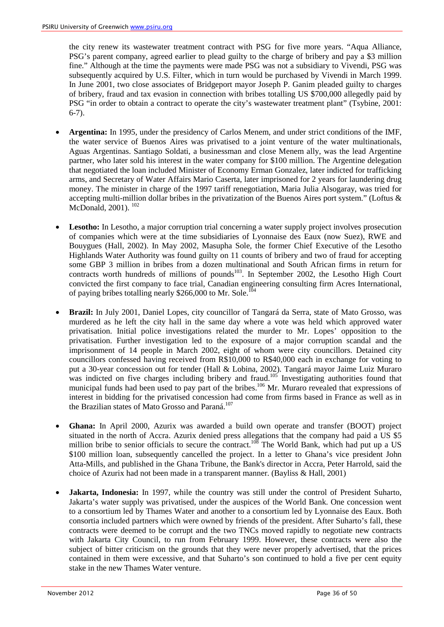the city renew its wastewater treatment contract with PSG for five more years. "Aqua Alliance, PSG's parent company, agreed earlier to plead guilty to the charge of bribery and pay a \$3 million fine." Although at the time the payments were made PSG was not a subsidiary to Vivendi, PSG was subsequently acquired by U.S. Filter, which in turn would be purchased by Vivendi in March 1999. In June 2001, two close associates of Bridgeport mayor Joseph P. Ganim pleaded guilty to charges of bribery, fraud and tax evasion in connection with bribes totalling US \$700,000 allegedly paid by PSG "in order to obtain a contract to operate the city's wastewater treatment plant" (Tsybine, 2001:  $6-7$ ).

- **Argentina:** In 1995, under the presidency of Carlos Menem, and under strict conditions of the IMF, the water service of Buenos Aires was privatised to a joint venture of the water multinationals, Aguas Argentinas. Santiago Soldati, a businessman and close Menem ally, was the lead Argentine partner, who later sold his interest in the water company for \$100 million. The Argentine delegation that negotiated the loan included Minister of Economy Erman Gonzalez, later indicted for trafficking arms, and Secretary of Water Affairs Mario Caserta, later imprisoned for 2 years for laundering drug money. The minister in charge of the 1997 tariff renegotiation, Maria Julia Alsogaray, was tried for accepting multi-million dollar bribes in the privatization of the Buenos Aires port system." (Loftus & McDonald, 2001). <sup>102</sup>
- Lesotho: In Lesotho, a major corruption trial concerning a water supply project involves prosecution of companies which were at the time subsidiaries of Lyonnaise des Eaux (now Suez), RWE and Bouygues (Hall, 2002). In May 2002, Masupha Sole, the former Chief Executive of the Lesotho Highlands Water Authority was found guilty on 11 counts of bribery and two of fraud for accepting some GBP 3 million in bribes from a dozen multinational and South African firms in return for contracts worth hundreds of millions of pounds $103$ . In September 2002, the Lesotho High Court convicted the first company to face trial, Canadian engineering consulting firm Acres International, of paying bribes totalling nearly \$266,000 to Mr. Sole.<sup>104</sup>
- **Brazil:** In July 2001, Daniel Lopes, city councillor of Tangará da Serra, state of Mato Grosso, was murdered as he left the city hall in the same day where a vote was held which approved water privatisation. Initial police investigations related the murder to Mr. Lopes' opposition to the privatisation. Further investigation led to the exposure of a major corruption scandal and the imprisonment of 14 people in March 2002, eight of whom were city councillors. Detained city councillors confessed having received from R\$10,000 to R\$40,000 each in exchange for voting to put a 30-year concession out for tender (Hall & Lobina, 2002). Tangará mayor Jaime Luiz Muraro was indicted on five charges including bribery and fraud.<sup>105</sup> Investigating authorities found that municipal funds had been used to pay part of the bribes.<sup>106</sup> Mr. Muraro revealed that expressions of interest in bidding for the privatised concession had come from firms based in France as well as in the Brazilian states of Mato Grosso and Paraná.<sup>107</sup>
- **Ghana:** In April 2000, Azurix was awarded a build own operate and transfer (BOOT) project situated in the north of Accra. Azurix denied press allegations that the company had paid a US \$5 million bribe to senior officials to secure the contract.<sup>108</sup> The World Bank, which had put up a US \$100 million loan, subsequently cancelled the project. In a letter to Ghana's vice president John Atta-Mills, and published in the Ghana Tribune, the Bank's director in Accra, Peter Harrold, said the choice of Azurix had not been made in a transparent manner. (Bayliss & Hall, 2001)
- **Jakarta, Indonesia:** In 1997, while the country was still under the control of President Suharto, Jakarta's water supply was privatised, under the auspices of the World Bank. One concession went to a consortium led by Thames Water and another to a consortium led by Lyonnaise des Eaux. Both consortia included partners which were owned by friends of the president. After Suharto's fall, these contracts were deemed to be corrupt and the two TNCs moved rapidly to negotiate new contracts with Jakarta City Council, to run from February 1999. However, these contracts were also the subject of bitter criticism on the grounds that they were never properly advertised, that the prices contained in them were excessive, and that Suharto's son continued to hold a five per cent equity stake in the new Thames Water venture.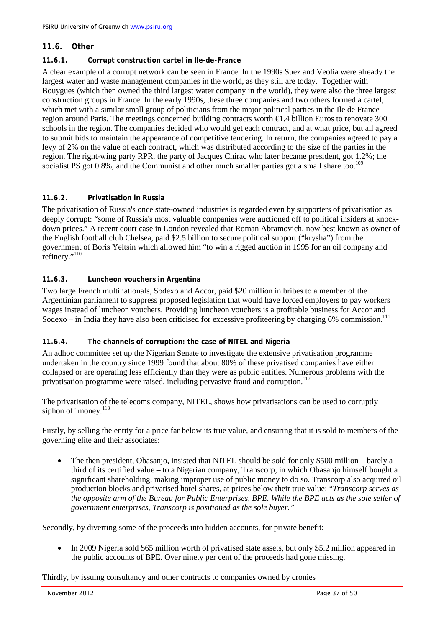## <span id="page-36-0"></span>**11.6. Other**

#### <span id="page-36-1"></span>**11.6.1. Corrupt construction cartel in Ile-de-France**

A clear example of a corrupt network can be seen in France. In the 1990s Suez and Veolia were already the largest water and waste management companies in the world, as they still are today. Together with Bouygues (which then owned the third largest water company in the world), they were also the three largest construction groups in France. In the early 1990s, these three companies and two others formed a cartel, which met with a similar small group of politicians from the major political parties in the Ile de France region around Paris. The meetings concerned building contracts worth €1.4 billion Euros to renovate 300 schools in the region. The companies decided who would get each contract, and at what price, but all agreed to submit bids to maintain the appearance of competitive tendering. In return, the companies agreed to pay a levy of 2% on the value of each contract, which was distributed according to the size of the parties in the region. The right-wing party RPR, the party of Jacques Chirac who later became president, got 1.2%; the socialist PS got  $0.8\%$ , and the Communist and other much smaller parties got a small share too.<sup>109</sup>

#### <span id="page-36-2"></span>**11.6.2. Privatisation in Russia**

The privatisation of Russia's once state-owned industries is regarded even by supporters of privatisation as deeply corrupt: "some of Russia's most valuable companies were auctioned off to political insiders at knockdown prices." A recent court case in London revealed that Roman Abramovich, now best known as owner of the English football club Chelsea, paid \$2.5 billion to secure political support ("krysha") from the government of Boris Yeltsin which allowed him "to win a rigged auction in 1995 for an oil company and refinery."<sup>110</sup>

#### <span id="page-36-3"></span>**11.6.3. Luncheon vouchers in Argentina**

Two large French multinationals, Sodexo and Accor, paid \$20 million in bribes to a member of the Argentinian parliament to suppress proposed legislation that would have forced employers to pay workers wages instead of luncheon vouchers. Providing luncheon vouchers is a profitable business for Accor and Sodexo – in India they have also been criticised for excessive profiteering by charging 6% commission.<sup>111</sup>

#### <span id="page-36-4"></span>**11.6.4. The channels of corruption: the case of NITEL and Nigeria**

An adhoc committee set up the Nigerian Senate to investigate the extensive privatisation programme undertaken in the country since 1999 found that about 80% of these privatised companies have either collapsed or are operating less efficiently than they were as public entities. Numerous problems with the privatisation programme were raised, including pervasive fraud and corruption.<sup>112</sup>

The privatisation of the telecoms company, NITEL, shows how privatisations can be used to corruptly siphon off money. $^{113}$ 

Firstly, by selling the entity for a price far below its true value, and ensuring that it is sold to members of the governing elite and their associates:

• The then president, Obasanjo, insisted that NITEL should be sold for only \$500 million – barely a third of its certified value – to a Nigerian company, Transcorp, in which Obasanjo himself bought a significant shareholding, making improper use of public money to do so. Transcorp also acquired oil production blocks and privatised hotel shares, at prices below their true value: "*Transcorp serves as the opposite arm of the Bureau for Public Enterprises, BPE. While the BPE acts as the sole seller of government enterprises, Transcorp is positioned as the sole buyer."*

Secondly, by diverting some of the proceeds into hidden accounts, for private benefit:

• In 2009 Nigeria sold \$65 million worth of privatised state assets, but only \$5.2 million appeared in the public accounts of BPE. Over ninety per cent of the proceeds had gone missing.

Thirdly, by issuing consultancy and other contracts to companies owned by cronies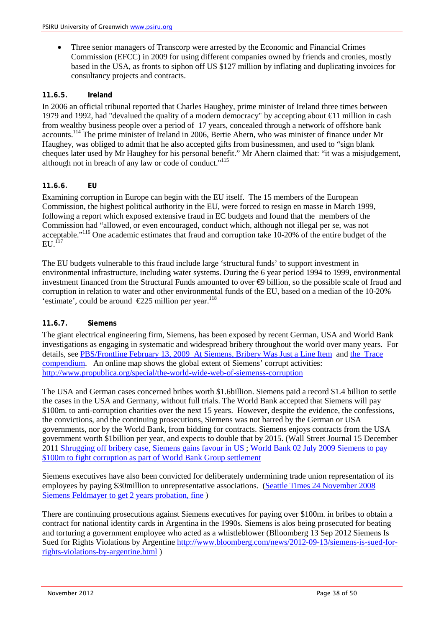• Three senior managers of Transcorp were arrested by the Economic and Financial Crimes Commission (EFCC) in 2009 for using different companies owned by friends and cronies, mostly based in the USA, as fronts to siphon off US \$127 million by inflating and duplicating invoices for consultancy projects and contracts.

#### <span id="page-37-0"></span>**11.6.5. Ireland**

In 2006 an official tribunal reported that Charles Haughey, prime minister of Ireland three times between 1979 and 1992, had "devalued the quality of a modern democracy" by accepting about €11 million in cash from wealthy business people over a period of 17 years, concealed through a network of offshore bank accounts.<sup>114</sup> The prime minister of Ireland in 2006, Bertie Ahern, who was minister of finance under Mr Haughey, was obliged to admit that he also accepted gifts from businessmen, and used to "sign blank cheques later used by Mr Haughey for his personal benefit." Mr Ahern claimed that: "it was a misjudgement, although not in breach of any law or code of conduct."<sup>115</sup>

#### <span id="page-37-1"></span>**11.6.6. EU**

Examining corruption in Europe can begin with the EU itself. The 15 members of the European Commission, the highest political authority in the EU, were forced to resign en masse in March 1999, following a report which exposed extensive fraud in EC budgets and found that the members of the Commission had "allowed, or even encouraged, conduct which, although not illegal per se, was not acceptable."116 One academic estimates that fraud and corruption take 10-20% of the entire budget of the  $ELU<sup>117</sup>$ 

The EU budgets vulnerable to this fraud include large 'structural funds' to support investment in environmental infrastructure, including water systems. During the 6 year period 1994 to 1999, environmental investment financed from the Structural Funds amounted to over €9 billion, so the possible scale of fraud and corruption in relation to water and other environmental funds of the EU, based on a median of the 10-20% 'estimate', could be around  $\epsilon$ 225 million per year.<sup>118</sup>

#### <span id="page-37-2"></span>**11.6.7. Siemens**

The giant electrical engineering firm, Siemens, has been exposed by recent German, USA and World Bank investigations as engaging in systematic and widespread bribery throughout the world over many years. For details, see PBS/Frontline February 13, 2009 At Siemens, Bribery Was Just a Line Item and [the Trace](https://secure.traceinternational.org/Knowledge/Compendium.html)  [compendium.](https://secure.traceinternational.org/Knowledge/Compendium.html) An online map shows the global extent of Siemens' corrupt activities: <http://www.propublica.org/special/the-world-wide-web-of-siemenss-corruption>

The USA and German cases concerned bribes worth \$1.6billion. Siemens paid a record \$1.4 billion to settle the cases in the USA and Germany, without full trials. The World Bank accepted that Siemens will pay \$100m. to anti-corruption charities over the next 15 years. However, despite the evidence, the confessions, the convictions, and the continuing prosecutions, Siemens was not barred by the German or USA governments, nor by the World Bank, from bidding for contracts. Siemens enjoys contracts from the USA government worth \$1billion per year, and expects to double that by 2015. (Wall Street Journal 15 December 2011 [Shrugging off bribery case, Siemens gains favour in US](http://online.wsj.com/article/SB10001424052970203893404577098632947522176.html) ; [World Bank 02 July 2009 Siemens to pay](http://go.worldbank.org/WXRNSDVI40)  [\\$100m to fight corruption as part of World Bank Group settlement](http://go.worldbank.org/WXRNSDVI40)

Siemens executives have also been convicted for deliberately undermining trade union representation of its employees by paying \$30million to unrepresentative associations. [\(Seattle Times 24 November 2008](http://seattletimes.com/html/businesstechnology/2008428948_apeugermanysiemenscorruption.html?syndication=)  [Siemens Feldmayer to get 2 years probation, fine](http://seattletimes.com/html/businesstechnology/2008428948_apeugermanysiemenscorruption.html?syndication=) )

There are continuing prosecutions against Siemens executives for paying over \$100m. in bribes to obtain a contract for national identity cards in Argentina in the 1990s. Siemens is alos being prosecuted for beating and torturing a government employee who acted as a whistleblower (Blloomberg 13 Sep 2012 Siemens Is Sued for Rights Violations by Argentine [http://www.bloomberg.com/news/2012-09-13/siemens-is-sued-for](http://www.bloomberg.com/news/2012-09-13/siemens-is-sued-for-rights-violations-by-argentine.html)[rights-violations-by-argentine.html](http://www.bloomberg.com/news/2012-09-13/siemens-is-sued-for-rights-violations-by-argentine.html) )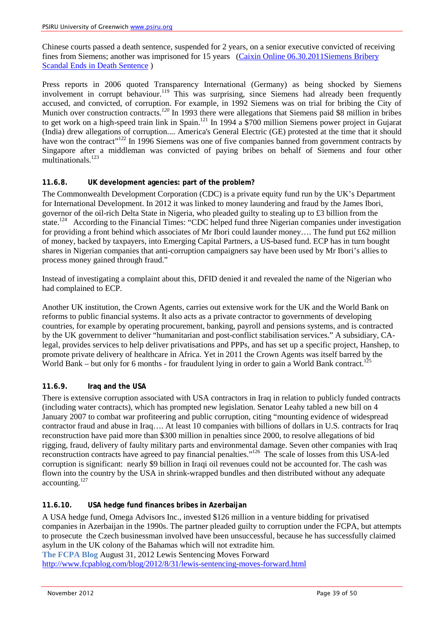Chinese courts passed a death sentence, suspended for 2 years, on a senior executive convicted of receiving fines from Siemens; another was imprisoned for 15 years [\(Caixin Online 06.30.2011Siemens Bribery](http://english.caixin.com/2011-06-30/100274546.html)  [Scandal Ends in Death Sentence](http://english.caixin.com/2011-06-30/100274546.html) )

Press reports in 2006 quoted Transparency International (Germany) as being shocked by Siemens involvement in corrupt behaviour.<sup>119</sup> This was surprising, since Siemens had already been frequently accused, and convicted, of corruption. For example, in 1992 Siemens was on trial for bribing the City of Munich over construction contracts.<sup>120</sup> In 1993 there were allegations that Siemens paid \$8 million in bribes to get work on a high-speed train link in Spain.<sup>121</sup> In 1994 a \$700 million Siemens power project in Gujarat (India) drew allegations of corruption.... America's General Electric (GE) protested at the time that it should have won the contract<sup>"122</sup> In 1996 Siemens was one of five companies banned from government contracts by Singapore after a middleman was convicted of paying bribes on behalf of Siemens and four other multinationals. 123

## <span id="page-38-0"></span>**11.6.8. UK development agencies: part of the problem?**

The Commonwealth Development Corporation (CDC) is a private equity fund run by the UK's Department for International Development. In 2012 it was linked to money laundering and fraud by the James Ibori, governor of the oil-rich Delta State in Nigeria, who pleaded guilty to stealing up to £3 billion from the state.<sup>124</sup> According to the Financial Times: "CDC helped fund three Nigerian companies under investigation for providing a front behind which associates of Mr Ibori could launder money…. The fund put £62 million of money, backed by taxpayers, into Emerging Capital Partners, a US-based fund. ECP has in turn bought shares in Nigerian companies that anti-corruption campaigners say have been used by Mr Ibori's allies to process money gained through fraud."

Instead of investigating a complaint about this, DFID denied it and revealed the name of the Nigerian who had complained to ECP.

Another UK institution, the Crown Agents, carries out extensive work for the UK and the World Bank on reforms to public financial systems. It also acts as a private contractor to governments of developing countries, for example by operating procurement, banking, payroll and pensions systems, and is contracted by the UK government to deliver "humanitarian and post-conflict stabilisation services." A subsidiary, CAlegal, provides services to help deliver privatisations and PPPs, and has set up a specific project, Hanshep, to promote private delivery of healthcare in Africa. Yet in 2011 the Crown Agents was itself barred by the World Bank – but only for 6 months - for fraudulent lying in order to gain a World Bank contract.<sup>125</sup>

## <span id="page-38-1"></span>**11.6.9. Iraq and the USA**

There is extensive corruption associated with USA contractors in Iraq in relation to publicly funded contracts (including water contracts), which has prompted new legislation. Senator Leahy tabled a new bill on 4 January 2007 to combat war profiteering and public corruption, citing "mounting evidence of widespread contractor fraud and abuse in Iraq…. At least 10 companies with billions of dollars in U.S. contracts for Iraq reconstruction have paid more than \$300 million in penalties since 2000, to resolve allegations of bid rigging, fraud, delivery of faulty military parts and environmental damage. Seven other companies with Iraq reconstruction contracts have agreed to pay financial penalties." 126 The scale of losses from this USA-led corruption is significant: nearly \$9 billion in Iraqi oil revenues could not be accounted for. The cash was flown into the country by the USA in shrink-wrapped bundles and then distributed without any adequate accounting.127

## <span id="page-38-2"></span>**11.6.10. USA hedge fund finances bribes in Azerbaijan**

A USA hedge fund, Omega Advisors Inc., invested \$126 million in a venture bidding for privatised companies in Azerbaijan in the 1990s. The partner pleaded guilty to corruption under the FCPA, but attempts to prosecute the Czech businessman involved have been unsuccessful, because he has successfully claimed asylum in the UK colony of the Bahamas which will not extradite him. **The FCPA Blog** August 31, 2012 Lewis Sentencing Moves Forward

<http://www.fcpablog.com/blog/2012/8/31/lewis-sentencing-moves-forward.html>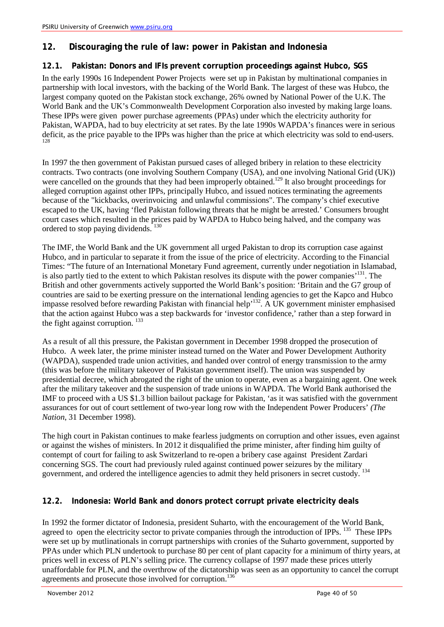# <span id="page-39-0"></span>**12. Discouraging the rule of law: power in Pakistan and Indonesia**

## <span id="page-39-1"></span>**12.1. Pakistan: Donors and IFIs prevent corruption proceedings against Hubco, SGS**

In the early 1990s 16 Independent Power Projects were set up in Pakistan by multinational companies in partnership with local investors, with the backing of the World Bank. The largest of these was Hubco, the largest company quoted on the Pakistan stock exchange, 26% owned by National Power of the U.K. The World Bank and the UK's Commonwealth Development Corporation also invested by making large loans. These IPPs were given power purchase agreements (PPAs) under which the electricity authority for Pakistan, WAPDA, had to buy electricity at set rates. By the late 1990s WAPDA's finances were in serious deficit, as the price payable to the IPPs was higher than the price at which electricity was sold to end-users. 128

In 1997 the then government of Pakistan pursued cases of alleged bribery in relation to these electricity contracts. Two contracts (one involving Southern Company (USA), and one involving National Grid (UK)) were cancelled on the grounds that they had been improperly obtained.<sup>129</sup> It also brought proceedings for alleged corruption against other IPPs, principally Hubco, and issued notices terminating the agreements because of the "kickbacks, overinvoicing and unlawful commissions". The company's chief executive escaped to the UK, having 'fled Pakistan following threats that he might be arrested.' Consumers brought court cases which resulted in the prices paid by WAPDA to Hubco being halved, and the company was ordered to stop paying dividends.<sup>130</sup>

The IMF, the World Bank and the UK government all urged Pakistan to drop its corruption case against Hubco, and in particular to separate it from the issue of the price of electricity. According to the Financial Times: "The future of an International Monetary Fund agreement, currently under negotiation in Islamabad, is also partly tied to the extent to which Pakistan resolves its dispute with the power companies'131. The British and other governments actively supported the World Bank's position: 'Britain and the G7 group of countries are said to be exerting pressure on the international lending agencies to get the Kapco and Hubco impasse resolved before rewarding Pakistan with financial help'132*.* A UK government minister emphasised that the action against Hubco was a step backwards for 'investor confidence,' rather than a step forward in the fight against corruption.  $133$ 

As a result of all this pressure, the Pakistan government in December 1998 dropped the prosecution of Hubco. A week later, the prime minister instead turned on the Water and Power Development Authority (WAPDA), suspended trade union activities, and handed over control of energy transmission to the army (this was before the military takeover of Pakistan government itself). The union was suspended by presidential decree, which abrogated the right of the union to operate, even as a bargaining agent. One week after the military takeover and the suspension of trade unions in WAPDA. The World Bank authorised the IMF to proceed with a US \$1.3 billion bailout package for Pakistan, 'as it was satisfied with the government assurances for out of court settlement of two-year long row with the Independent Power Producers' *(The Nation*, 31 December 1998).

The high court in Pakistan continues to make fearless judgments on corruption and other issues, even against or against the wishes of ministers. In 2012 it disqualified the prime minister, after finding him guilty of contempt of court for failing to ask Switzerland to re-open a bribery case against President Zardari concerning SGS. The court had previously ruled against continued power seizures by the military government, and ordered the intelligence agencies to admit they held prisoners in secret custody.

# <span id="page-39-2"></span>**12.2. Indonesia: World Bank and donors protect corrupt private electricity deals**

In 1992 the former dictator of Indonesia, president Suharto, with the encouragement of the World Bank, agreed to open the electricity sector to private companies through the introduction of IPPs. <sup>135</sup> These IPPs were set up by mutlinationals in corrupt partnerships with cronies of the Suharto government, supported by PPAs under which PLN undertook to purchase 80 per cent of plant capacity for a minimum of thirty years, at prices well in excess of PLN's selling price. The currency collapse of 1997 made these prices utterly unaffordable for PLN, and the overthrow of the dictatorship was seen as an opportunity to cancel the corrupt agreements and prosecute those involved for corruption.<sup>136</sup>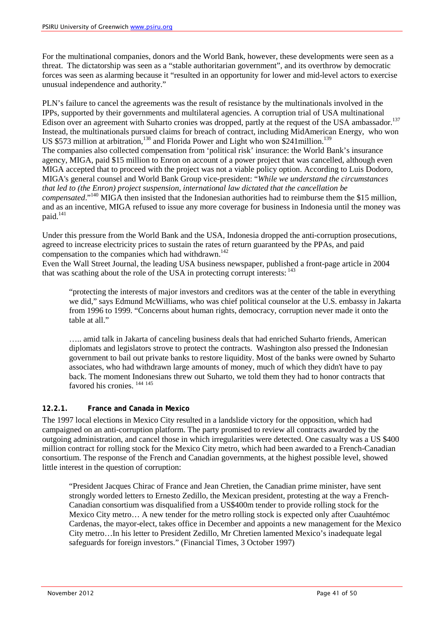For the multinational companies, donors and the World Bank, however, these developments were seen as a threat. The dictatorship was seen as a "stable authoritarian government", and its overthrow by democratic forces was seen as alarming because it "resulted in an opportunity for lower and mid-level actors to exercise unusual independence and authority."

PLN's failure to cancel the agreements was the result of resistance by the multinationals involved in the IPPs, supported by their governments and multilateral agencies. A corruption trial of USA multinational Edison over an agreement with Suharto cronies was dropped, partly at the request of the USA ambassador.<sup>137</sup> Instead, the multinationals pursued claims for breach of contract, including MidAmerican Energy, who won US \$573 million at arbitration,<sup>138</sup> and Florida Power and Light who won \$241 million.<sup>139</sup> The companies also collected compensation from 'political risk' insurance: the World Bank's insurance agency, MIGA, paid \$15 million to Enron on account of a power project that was cancelled, although even MIGA accepted that to proceed with the project was not a viable policy option. According to Luis Dodoro, MIGA's general counsel and World Bank Group vice-president: "*While we understand the circumstances that led to (the Enron) project suspension, international law dictated that the cancellation be compensated*."140 MIGA then insisted that the Indonesian authorities had to reimburse them the \$15 million, and as an incentive, MIGA refused to issue any more coverage for business in Indonesia until the money was paid.<sup>141</sup>

Under this pressure from the World Bank and the USA, Indonesia dropped the anti-corruption prosecutions, agreed to increase electricity prices to sustain the rates of return guaranteed by the PPAs, and paid compensation to the companies which had withdrawn.<sup>142</sup>

Even the Wall Street Journal, the leading USA business newspaper, published a front-page article in 2004 that was scathing about the role of the USA in protecting corrupt interests:  $143$ 

"protecting the interests of major investors and creditors was at the center of the table in everything we did," says Edmund McWilliams, who was chief political counselor at the U.S. embassy in Jakarta from 1996 to 1999. "Concerns about human rights, democracy, corruption never made it onto the table at all."

….. amid talk in Jakarta of canceling business deals that had enriched Suharto friends, American diplomats and legislators strove to protect the contracts. Washington also pressed the Indonesian government to bail out private banks to restore liquidity. Most of the banks were owned by Suharto associates, who had withdrawn large amounts of money, much of which they didn't have to pay back. The moment Indonesians threw out Suharto, we told them they had to honor contracts that favored his cronies. 144 <sup>145</sup>

## <span id="page-40-0"></span>**12.2.1. France and Canada in Mexico**

The 1997 local elections in Mexico City resulted in a landslide victory for the opposition, which had campaigned on an anti-corruption platform. The party promised to review all contracts awarded by the outgoing administration, and cancel those in which irregularities were detected. One casualty was a US \$400 million contract for rolling stock for the Mexico City metro, which had been awarded to a French-Canadian consortium. The response of the French and Canadian governments, at the highest possible level, showed little interest in the question of corruption:

"President Jacques Chirac of France and Jean Chretien, the Canadian prime minister, have sent strongly worded letters to Ernesto Zedillo, the Mexican president, protesting at the way a French-Canadian consortium was disqualified from a US\$400m tender to provide rolling stock for the Mexico City metro… A new tender for the metro rolling stock is expected only after Cuauhtémoc Cardenas, the mayor-elect, takes office in December and appoints a new management for the Mexico City metro…In his letter to President Zedillo, Mr Chretien lamented Mexico's inadequate legal safeguards for foreign investors." (Financial Times, 3 October 1997)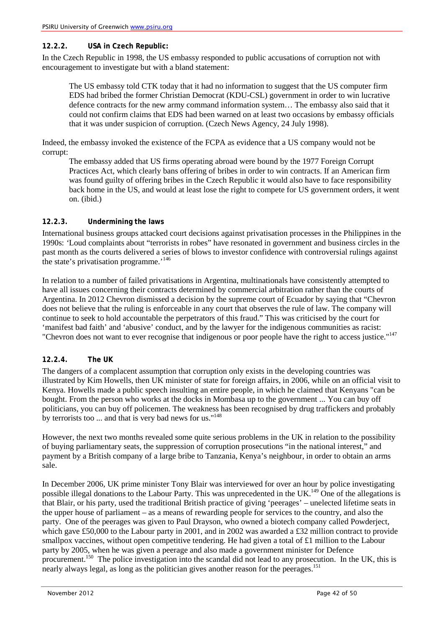#### <span id="page-41-0"></span>**12.2.2. USA in Czech Republic:**

In the Czech Republic in 1998, the US embassy responded to public accusations of corruption not with encouragement to investigate but with a bland statement:

The US embassy told CTK today that it had no information to suggest that the US computer firm EDS had bribed the former Christian Democrat (KDU-CSL) government in order to win lucrative defence contracts for the new army command information system… The embassy also said that it could not confirm claims that EDS had been warned on at least two occasions by embassy officials that it was under suspicion of corruption. (Czech News Agency, 24 July 1998).

Indeed, the embassy invoked the existence of the FCPA as evidence that a US company would not be corrupt:

The embassy added that US firms operating abroad were bound by the 1977 Foreign Corrupt Practices Act, which clearly bans offering of bribes in order to win contracts. If an American firm was found guilty of offering bribes in the Czech Republic it would also have to face responsibility back home in the US, and would at least lose the right to compete for US government orders, it went on. (ibid.)

#### <span id="page-41-1"></span>**12.2.3. Undermining the laws**

International business groups attacked court decisions against privatisation processes in the Philippines in the 1990s: *'*Loud complaints about "terrorists in robes" have resonated in government and business circles in the past month as the courts delivered a series of blows to investor confidence with controversial rulings against the state's privatisation programme.<sup>'146</sup>

In relation to a number of failed privatisations in Argentina, multinationals have consistently attempted to have all issues concerning their contracts determined by commercial arbitration rather than the courts of Argentina. In 2012 Chevron dismissed a decision by the supreme court of Ecuador by saying that "Chevron does not believe that the ruling is enforceable in any court that observes the rule of law. The company will continue to seek to hold accountable the perpetrators of this fraud." This was criticised by the court for 'manifest bad faith' and 'abusive' conduct, and by the lawyer for the indigenous communities as racist: "Chevron does not want to ever recognise that indigenous or poor people have the right to access justice."<sup>147</sup>

## <span id="page-41-2"></span>**12.2.4. The UK**

The dangers of a complacent assumption that corruption only exists in the developing countries was illustrated by Kim Howells, then UK minister of state for foreign affairs, in 2006, while on an official visit to Kenya. Howells made a public speech insulting an entire people, in which he claimed that Kenyans "can be bought. From the person who works at the docks in Mombasa up to the government ... You can buy off politicians, you can buy off policemen. The weakness has been recognised by drug traffickers and probably by terrorists too ... and that is very bad news for us."<sup>148</sup>

However, the next two months revealed some quite serious problems in the UK in relation to the possibility of buying parliamentary seats, the suppression of corruption prosecutions "in the national interest," and payment by a British company of a large bribe to Tanzania, Kenya's neighbour, in order to obtain an arms sale.

In December 2006, UK prime minister Tony Blair was interviewed for over an hour by police investigating possible illegal donations to the Labour Party. This was unprecedented in the UK.<sup>149</sup> One of the allegations is that Blair, or his party, used the traditional British practice of giving 'peerages' – unelected lifetime seats in the upper house of parliament – as a means of rewarding people for services to the country, and also the party. One of the peerages was given to Paul Drayson, who owned a biotech company called Powderject, which gave £50,000 to the Labour party in 2001, and in 2002 was awarded a £32 million contract to provide smallpox vaccines, without open competitive tendering. He had given a total of £1 million to the Labour party by 2005, when he was given a peerage and also made a government minister for Defence procurement.<sup>150</sup> The police investigation into the scandal did not lead to any prosecution. In the UK, this is nearly always legal, as long as the politician gives another reason for the peerages.<sup>151</sup>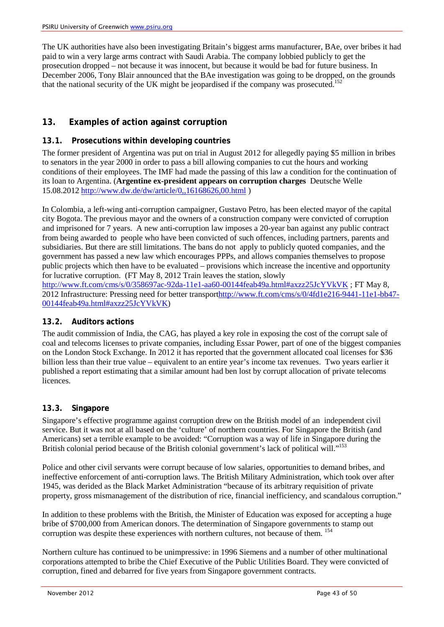The UK authorities have also been investigating Britain's biggest arms manufacturer, BAe, over bribes it had paid to win a very large arms contract with Saudi Arabia. The company lobbied publicly to get the prosecution dropped – not because it was innocent, but because it would be bad for future business. In December 2006, Tony Blair announced that the BAe investigation was going to be dropped, on the grounds that the national security of the UK might be jeopardised if the company was prosecuted.<sup>152</sup>

# <span id="page-42-0"></span>**13. Examples of action against corruption**

# <span id="page-42-1"></span>**13.1. Prosecutions within developing countries**

The former president of Argentina was put on trial in August 2012 for allegedly paying \$5 million in bribes to senators in the year 2000 in order to pass a bill allowing companies to cut the hours and working conditions of their employees. The IMF had made the passing of this law a condition for the continuation of its loan to Argentina. (**Argentine ex-president appears on corruption charges** Deutsche Welle 15.08.2012 <http://www.dw.de/dw/article/0,,16168626,00.html> )

In Colombia, a left-wing anti-corruption campaigner, Gustavo Petro, has been elected mayor of the capital city Bogota. The previous mayor and the owners of a construction company were convicted of corruption and imprisoned for 7 years. A new anti-corruption law imposes a 20-year ban against any public contract from being awarded to people who have been convicted of such offences, including partners, parents and subsidiaries. But there are still limitations. The bans do not apply to publicly quoted companies, and the government has passed a new law which encourages PPPs, and allows companies themselves to propose public projects which then have to be evaluated – provisions which increase the incentive and opportunity for lucrative corruption. (FT May 8, 2012 Train leaves the station, slowly <http://www.ft.com/cms/s/0/358697ac-92da-11e1-aa60-00144feab49a.html#axzz25JcYVkVK> ; FT May 8,

2012 Infrastructure: Pressing need for better transpor[thttp://www.ft.com/cms/s/0/4fd1e216-9441-11e1-bb47-](http://www.ft.com/cms/s/0/4fd1e216-9441-11e1-bb47-00144feab49a.html#axzz25JcYVkVK) [00144feab49a.html#axzz25JcYVkVK\)](http://www.ft.com/cms/s/0/4fd1e216-9441-11e1-bb47-00144feab49a.html#axzz25JcYVkVK)

## <span id="page-42-2"></span>**13.2. Auditors actions**

The audit commission of India, the CAG, has played a key role in exposing the cost of the corrupt sale of coal and telecoms licenses to private companies, including Essar Power, part of one of the biggest companies on the London Stock Exchange. In 2012 it has reported that the government allocated coal licenses for \$36 billion less than their true value – equivalent to an entire year's income tax revenues. Two years earlier it published a report estimating that a similar amount had ben lost by corrupt allocation of private telecoms licences.

## <span id="page-42-3"></span>**13.3. Singapore**

Singapore's effective programme against corruption drew on the British model of an independent civil service. But it was not at all based on the 'culture' of northern countries. For Singapore the British (and Americans) set a terrible example to be avoided: "Corruption was a way of life in Singapore during the British colonial period because of the British colonial government's lack of political will."<sup>153</sup>

Police and other civil servants were corrupt because of low salaries, opportunities to demand bribes, and ineffective enforcement of anti-corruption laws. The British Military Administration, which took over after 1945, was derided as the Black Market Administration "because of its arbitrary requisition of private property, gross mismanagement of the distribution of rice, financial inefficiency, and scandalous corruption."

In addition to these problems with the British, the Minister of Education was exposed for accepting a huge bribe of \$700,000 from American donors. The determination of Singapore governments to stamp out corruption was despite these experiences with northern cultures, not because of them. <sup>154</sup>

Northern culture has continued to be unimpressive: in 1996 Siemens and a number of other multinational corporations attempted to bribe the Chief Executive of the Public Utilities Board. They were convicted of corruption, fined and debarred for five years from Singapore government contracts.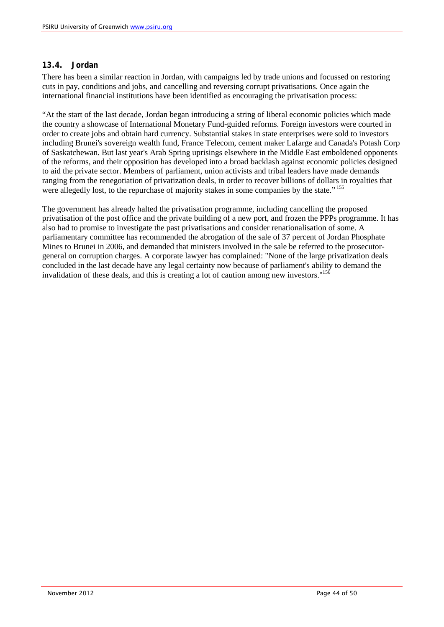## <span id="page-43-0"></span>**13.4. Jordan**

There has been a similar reaction in Jordan, with campaigns led by trade unions and focussed on restoring cuts in pay, conditions and jobs, and cancelling and reversing corrupt privatisations. Once again the international financial institutions have been identified as encouraging the privatisation process:

"At the start of the last decade, Jordan began introducing a string of liberal economic policies which made the country a showcase of International Monetary Fund-guided reforms. Foreign investors were courted in order to create jobs and obtain hard currency. Substantial stakes in state enterprises were sold to investors including Brunei's sovereign wealth fund, France Telecom, cement maker Lafarge and Canada's Potash Corp of Saskatchewan. But last year's Arab Spring uprisings elsewhere in the Middle East emboldened opponents of the reforms, and their opposition has developed into a broad backlash against economic policies designed to aid the private sector. Members of parliament, union activists and tribal leaders have made demands ranging from the renegotiation of privatization deals, in order to recover billions of dollars in royalties that were allegedly lost, to the repurchase of majority stakes in some companies by the state." <sup>155</sup>

The government has already halted the privatisation programme, including cancelling the proposed privatisation of the post office and the private building of a new port, and frozen the PPPs programme. It has also had to promise to investigate the past privatisations and consider renationalisation of some. A parliamentary committee has recommended the abrogation of the sale of 37 percent of Jordan Phosphate Mines to Brunei in 2006, and demanded that ministers involved in the sale be referred to the prosecutorgeneral on corruption charges. A corporate lawyer has complained: "None of the large privatization deals concluded in the last decade have any legal certainty now because of parliament's ability to demand the invalidation of these deals, and this is creating a lot of caution among new investors."<sup>156</sup>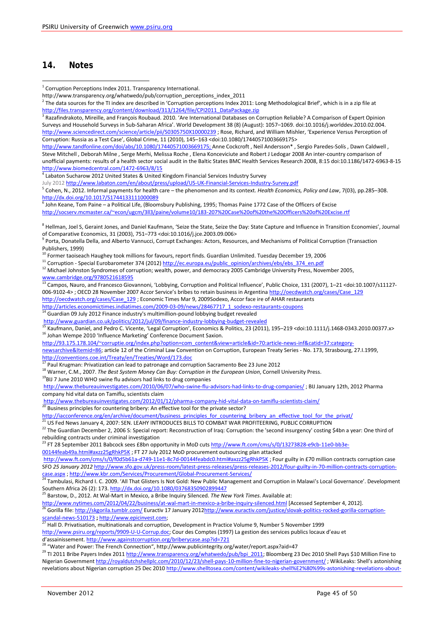# <span id="page-44-0"></span>**14. Notes**

<sup>11</sup> Corruption - Special Eurobarometer 374 (2012[\) http://ec.europa.eu/public\\_opinion/archives/ebs/ebs\\_374\\_en.pdf](http://ec.europa.eu/public_opinion/archives/ebs/ebs_374_en.pdf)

<sup>12</sup> Michael Johnston Syndromes of corruption; wealth, power, and democracy 2005 Cambridge University Press, November 2005, [www.cambridge.org/9780521618595](http://www.cambridge.org/9780521618595)

<sup>13</sup> Campos, Nauro, and Francesco Giovannoni, 'Lobbying, Corruption and Political Influence', Public Choice, 131 (2007), 1–21 <doi:10.1007/s11127-006-9102-4> ; OECD 28 November 2007 Accor Service's bribes to retain business in Argentina [http://oecdwatch.org/cases/Case\\_129](http://oecdwatch.org/cases/Case_129) [http://oecdwatch.org/cases/Case\\_129](http://oecdwatch.org/cases/Case_129) ; Economic Times Mar 9, 2009Sodexo, Accor face ire of AHAR restaurants [http://articles.economictimes.indiatimes.com/2009-03-09/news/28467717\\_1\\_sodexo-restaurants-coupons](http://articles.economictimes.indiatimes.com/2009-03-09/news/28467717_1_sodexo-restaurants-coupons)

<sup>14</sup> Guardian 09 July 2012 Finance industry's multimillion-pound lobbying budget revealed

<http://www.guardian.co.uk/politics/2012/jul/09/finance-industry-lobbying-budget-revealed> <sup>15</sup> Kaufmann, Daniel, and Pedro C. Vicente, 'Legal Corruption', Economics & Politics, 23 (2011), 195–219 <doi:10.1111/j.1468-0343.2010.00377.x>

```
http://93.175.178.104/~corruptie.org/index.php?option=com_content&view=article&id=70:article-news-inf&catid=37:category-
```

```
newsarchive&Itemid=86; article 12 of the Criminal Law Convention on Corruption, European Treaty Series - No. 173, Strasbourg, 27.I.1999, 
http://conventions.coe.int/Treaty/en/Treaties/Word/173.doc
```
<sup>19</sup>BIJ 7 June 2010 WHO swine flu advisors had links to drug companies

```
http://www.thebureauinvestigates.com/2010/06/07/who-swine-flu-advisors-had-links-to-drug-companies/ ; BIJ January 12th, 2012 Pharma 
company hid vital data on Tamiflu, scientists claim
```
<http://www.thebureauinvestigates.com/2012/01/12/pharma-company-hid-vital-data-on-tamiflu-scientists-claim/>

<sup>20</sup> Business principles for countering bribery: An effective tool for the private sector?

```
http://iacconference.org/en/archive/document/business_principles_for_countering_bribery_an_effective_tool_for_the_privat/
```
 $^{21}$  US Fed News January 4, 2007: SEN. LEAHY INTRODUCES BILLS TO COMBAT WAR PROFITEERING, PUBLIC CORRUPTION

22 The Guardian December 2, 2006 S: Special report: Reconstruction of Iraq: Corruption: the 'second insurgency' costing \$4bn a year: One third of rebuilding contracts under criminal investigation

<sup>23</sup> FT 28 September 2011 Babcock sees £8bn opportunity in MoD cuts [http://www.ft.com/cms/s/0/13273828-e9cb-11e0-bb3e-](http://www.ft.com/cms/s/0/13273828-e9cb-11e0-bb3e-00144feab49a.html#axzz25gRhkP5K)

[00144feab49a.html#axzz25gRhkP5K](http://www.ft.com/cms/s/0/13273828-e9cb-11e0-bb3e-00144feab49a.html#axzz25gRhkP5K) ; FT 27 July 2012 MoD procurement outsourcing plan attacked

```
http://www.ft.com/cms/s/0/f0d5b61a-d749-11e1-8c7d-00144feabdc0.html#axzz25gRhkP5K; Four guilty in £70 million contracts corruption case
SFO 25 January 2012 http://www.sfo.gov.uk/press-room/latest-press-releases/press-releases-2012/four-guilty-in-70-million-contracts-corruption-
case.aspx ; http://www.kbr.com/Services/Procurement/Global-Procurement-Services/
```
<sup>24</sup> Tambulasi, Richard I. C. 2009. 'All That Glisters Is Not Gold: New Public Management and Corruption in Malawi's Local Governance'. Development Southern Africa 26 (2): 173[. http://dx.doi.org/10.1080/03768350902899447](http://dx.doi.org/10.1080/03768350902899447)

<sup>25</sup> Barstow, D., 2012. At Wal-Mart in Mexico, a Bribe Inquiry Silenced. *The New York Times*. Available at:

<http://www.nytimes.com/2012/04/22/business/at-wal-mart-in-mexico-a-bribe-inquiry-silenced.html> [Accessed September 4, 2012].

<sup>26</sup> Gorilla file:<http://skgorila.tumblr.com/> Euractiv 17 January 201[2http://www.euractiv.com/justice/slovak-politics-rocked-gorilla-corruption](http://www.euractiv.com/justice/slovak-politics-rocked-gorilla-corruption-scandal-news-510173)[scandal-news-510173](http://www.euractiv.com/justice/slovak-politics-rocked-gorilla-corruption-scandal-news-510173) **;** [http://www.epicinvest.com;](http://www.epicinvest.com/)

<sup>27</sup> Hall D. Privatisation, multinationals and corruption, Development in Practice Volume 9, Number 5 November 1999

[http://www.psiru.org/reports/9909-U-U-Corrup.doc;](http://www.psiru.org/reports/9909-U-U-Corrup.doc) Cour des Comptes (1997) La gestion des services publics locaux d'eau et d'assainissement. <http://www.againstcorruption.org/briberycase.asp?id=721>

<sup>28</sup> "Water and Power: The French Connection", http://www.publicintegrity.org/water/report.aspx?aid=47

<sup>29</sup> TI 2011 Bribe Payers Index 201[1 http://www.transparency.org/whatwedo/pub/bpi\\_2011;](http://www.transparency.org/whatwedo/pub/bpi_2011) Bloomberg 23 Dec 2010 Shell Pays \$10 Million Fine to Nigerian Government<http://royaldutchshellplc.com/2010/12/23/shell-pays-10-million-fine-to-nigerian-government/> ; WikiLeaks: Shell's astonishing revelations about Nigerian corruption 25 Dec 2010 [http://www.shelltosea.com/content/wikileaks-shell%E2%80%99s-astonishing-revelations-about-](http://www.shelltosea.com/content/wikileaks-shell%E2%80%99s-astonishing-revelations-about-nigerian-corruption)

 $1$  Corruption Perceptions Index 2011. Transparency International.

http://www.transparency.org/whatwedo/pub/corruption\_perceptions\_index\_2011

 $<sup>2</sup>$  The data sources for the TI index are described in 'Corruption perceptions Index 2011: Long Methodological Brief', which is in a zip file at</sup> [http://files.transparency.org/content/download/313/1264/file/CPI2011\\_DataPackage.zip](http://files.transparency.org/content/download/313/1264/file/CPI2011_DataPackage.zip)

<sup>&</sup>lt;sup>3</sup> Razafindrakoto, Mireille, and François Roubaud. 2010. 'Are International Databases on Corruption Reliable? A Comparison of Expert Opinion Surveys and Household Surveys in Sub-Saharan Africa'. World Development 38 (8) (August): 1057–1069. doi:10.1016/j.worlddev.2010.02.004. <http://www.sciencedirect.com/science/article/pii/S0305750X10000239> ; Rose, Richard, and William Mishler, 'Experience Versus Perception of Corruption: Russia as a Test Case', Global Crime, 11 (2010), 145–163 <doi:10.1080/17440571003669175>

[http://www.tandfonline.com/doi/abs/10.1080/17440571003669175;](http://www.tandfonline.com/doi/abs/10.1080/17440571003669175) Anne Cockcroft , Neil Andersson\* , Sergio Paredes-Solís , Dawn Caldwell , Steve Mitchell , Deborah Milne , Serge Merhi, Melissa Roche , Elena Konceviciute and Robert J Ledogar 2008 An inter-country comparison of unofficial payments: results of a health sector social audit in the Baltic States BMC Health Services Research 2008, 8:15 doi:10.1186/1472-6963-8-15 <http://www.biomedcentral.com/1472-6963/8/15>

<sup>&</sup>lt;sup>4</sup> Labaton Sucharow 2012 United States & United Kingdom Financial Services Industry Survey

July 2012 <http://www.labaton.com/en/about/press/upload/US-UK-Financial-Services-Industry-Survey.pdf>

<sup>5</sup> Cohen, N., 2012. Informal payments for health care – the phenomenon and its context. *Health Economics, Policy and Law*, 7(03), pp.285–308. <http://dx.doi.org/10.1017/S1744133111000089>

John Keane, Tom Paine – a Political Life, (Bloomsbury Publishing, 1995; Thomas Paine 1772 Case of the Officers of Excise <http://socserv.mcmaster.ca/~econ/ugcm/3ll3/paine/volume10/183-207%20Case%20of%20the%20Officers%20of%20Excise.rtf>

<sup>&</sup>lt;sup>8</sup> Hellman, Joel S, Geraint Jones, and Daniel Kaufmann, 'Seize the State, Seize the Day: State Capture and Influence in Transition Economies', Journal of Comparative Economics, 31 (2003), 751–773 <doi:10.1016/j.jce.2003.09.006>

Porta, Donatella Della, and Alberto Vannucci, Corrupt Exchanges: Actors, Resources, and Mechanisms of Political Corruption (Transaction Publishers, 1999)

 $^{9}$  Former taoiseach Haughey took millions for favours, report finds[. Guardian Unlimited.](http://www.guardian.co.uk/) Tuesday December 19, 2006

 $16$  Johan Wempe 2010 'Influence Marketing' Conference Document Saxion.

<sup>&</sup>lt;sup>17</sup> Paul Krugman: Privatization can lead to patronage and corruption Sacramento Bee 23 June 2012

<sup>18</sup> Warner, C.M., 2007. *The Best System Money Can Buy: Corruption in the European Union*, Cornell University Press.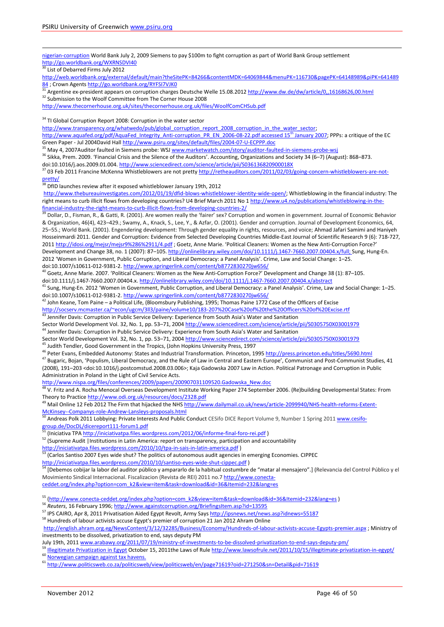<u>.</u> nigerian-corruption World Bank July 2, 2009 Siemens to pay \$100m to fight corruption as part of World Bank Group settlement <http://go.worldbank.org/WXRNSDVI40> List of Debarred Firms July 2012 [http://web.worldbank.org/external/default/main?theSitePK=84266&contentMDK=64069844&menuPK=116730&pagePK=64148989&piPK=641489](http://web.worldbank.org/external/default/main?theSitePK=84266&contentMDK=64069844&menuPK=116730&pagePK=64148989&piPK=64148984) [84](http://web.worldbank.org/external/default/main?theSitePK=84266&contentMDK=64069844&menuPK=116730&pagePK=64148989&piPK=64148984) ; Crown Agents<http://go.worldbank.org/RYFSI7VJK0> Argentine ex-president appears on corruption charges Deutsche Welle 15.08.201[2 http://www.dw.de/dw/article/0,,16168626,00.html](http://www.dw.de/dw/article/0,,16168626,00.html) 32 Submission to the Woolf Committee from The Corner House 2008 <http://www.thecornerhouse.org.uk/sites/thecornerhouse.org.uk/files/WoolfComCHSub.pdf> <sup>34</sup> TI Global Corruption Report 2008: Corruption in the water sector http://www.transparency.org/whatwedo/pub/global\_corruption\_report\_2008\_corruption\_in\_the\_water\_sector; [http://www.aquafed.org/pdf/AquaFed\\_Integrity\\_Anti-corruption\\_PR\\_EN\\_2006-08-22.pdf accessed 15](http://www.aquafed.org/pdf/AquaFed_Integrity_Anti-corruption_PR_EN_2006-08-22.pdf%20accessed%2015th%20January%202007)<sup>th</sup> January 2007; PPPs: a critique of the EC Green Paper - Jul 2004David Hall <http://www.psiru.org/sites/default/files/2004-07-U-ECPPP.doc> <sup>35</sup> May 4, 2007Auditor faulted in Siemens probe: WSJ [www.marketwatch.com/story/auditor-faulted-in-siemens-probe-wsj](http://www.marketwatch.com/story/auditor-faulted-in-siemens-probe-wsj) <sup>36</sup> Sikka, Prem. 2009. 'Financial Crisis and the Silence of the Auditors'. Accounting, Organizations and Society 34 (6–7) (August): 868–873. doi:10.1016/j.aos.2009.01.004.http://www.sciencedirect.com/science/article/pii/S036136820900018X  $37$  03 Feb 2011 Francine McKenna Whistleblowers are not pretty [http://retheauditors.com/2011/02/03/going-concern-whistleblowers-are-not](http://retheauditors.com/2011/02/03/going-concern-whistleblowers-are-not-pretty/)[pretty/](http://retheauditors.com/2011/02/03/going-concern-whistleblowers-are-not-pretty/) <sup>38</sup> DfID launches review after it exposed whistleblower January 19th, 2012 [http://www.thebureauinvestigates.com/2012/01/19/dfid-blows-whistleblower-identity-wide-open/;](http://www.thebureauinvestigates.com/2012/01/19/dfid-blows-whistleblower-identity-wide-open/) Whistleblowing in the financial industry: The right means to curb illicit flows from developing countries? U4 Brief March 2011 No [1 http://www.u4.no/publications/whistleblowing-in-the](http://www.u4.no/publications/whistleblowing-in-the-financial-industry-the-right-means-to-curb-illicit-flows-from-developing-countries-2/)[financial-industry-the-right-means-to-curb-illicit-flows-from-developing-countries-2/](http://www.u4.no/publications/whistleblowing-in-the-financial-industry-the-right-means-to-curb-illicit-flows-from-developing-countries-2/) <sup>39</sup> Dollar, D., Fisman, R., & Gatti, R. (2001). Are women really the 'fairer' sex? Corruption and women in government. Journal of Economic Behavior & Organization, 46(4), 423–429.; Swamy, A., Knack, S., Lee, Y., & Azfar, O. (2001). Gender and corruption. Journal of Development Economics, 64, 25–55.; World Bank. (2001). Engendering development: Through gender equality in rights, resources, and voice; Ahmad Jafari Samimi and Haniyeh Hosseinmardi 2011. Gender and Corruption: Evidence from Selected Developing Countries Middle-East Journal of Scientific Research 9 (6): 718-727, 2011 <http://idosi.org/mejsr/mejsr9%286%2911/4.pdf> ; Goetz, Anne Marie. 'Political Cleaners: Women as the New Anti-Corruption Force?' Development and Change 38, no. 1 (2007): 87–105. [http://onlinelibrary.wiley.com/doi/10.1111/j.1467-7660.2007.00404.x/full;](http://onlinelibrary.wiley.com/doi/10.1111/j.1467-7660.2007.00404.x/full) Sung, Hung-En. 2012 'Women in Government, Public Corruption, and Liberal Democracy: a Panel Analysis'. Crime, Law and Social Change: 1–25. doi:10.1007/s10611-012-9381-2[. http://www.springerlink.com/content/b8772830270jw656/](http://www.springerlink.com/content/b8772830270jw656/) <sup>40</sup> Goetz, Anne Marie. 2007. 'Political Cleaners: Women as the New Anti-Corruption Force?' Development and Change 38 (1): 87–105. doi:10.1111/j.1467-7660.2007.00404.x[. http://onlinelibrary.wiley.com/doi/10.1111/j.1467-7660.2007.00404.x/abstract](http://onlinelibrary.wiley.com/doi/10.1111/j.1467-7660.2007.00404.x/abstract) 41 Sung, Hung-En. 2012 'Women in Government, Public Corruption, and Liberal Democracy: a Panel Analysis'. Crime, Law and Social Change: 1–25. doi:10.1007/s10611-012-9381-2[. http://www.springerlink.com/content/b8772830270jw656/](http://www.springerlink.com/content/b8772830270jw656/)  $42$  John Keane, Tom Paine – a Political Life, (Bloomsbury Publishing, 1995; Thomas Paine 1772 Case of the Officers of Excise <http://socserv.mcmaster.ca/~econ/ugcm/3ll3/paine/volume10/183-207%20Case%20of%20the%20Officers%20of%20Excise.rtf> 43 Jennifer Davis: Corruption in Public Service Delivery: Experience from South Asia's Water and Sanitation Sector World Development Vol. 32, No. 1, pp. 53–71, 200[4 http://www.sciencedirect.com/science/article/pii/S0305750X03001979](http://www.sciencedirect.com/science/article/pii/S0305750X03001979) <sup>44</sup> Jennifer Davis: Corruption in Public Service Delivery: Experience from South Asia's Water and Sanitation Sector World Development Vol. 32, No. 1, pp. 53–71, 200[4 http://www.sciencedirect.com/science/article/pii/S0305750X03001979](http://www.sciencedirect.com/science/article/pii/S0305750X03001979) 45 Judith Tendler, Good Government in the Tropics, (John Hopkins University Press, 1997 46 Peter Evans, Embedded Autonomy: States and Industrial Transformation. Princeton, 1995 <http://press.princeton.edu/titles/5690.html> <sup>47</sup> Bugaric, Bojan, 'Populism, Liberal Democracy, and the Rule of Law in Central and Eastern Europe', Communist and Post-Communist Studies, 41 (2008), 191–203 <doi:10.1016/j.postcomstud.2008.03.006>; Kaja Gadowska 2007 Law in Action. Political Patronage and Corruption in Public Administration in Poland in the Light of Civil Service Acts. [http://www.nispa.org/files/conferences/2009/papers/200907031109520.Gadowska\\_New.doc](http://www.nispa.org/files/conferences/2009/papers/200907031109520.Gadowska_New.doc) <sup>48</sup> V. Fritz and A. Rocha Menocal Overseas Development Institute Working Paper 274 September 2006. (Re)building Developmental States: From Theory to Practice<http://www.odi.org.uk/resources/docs/2328.pdf> <sup>49</sup> Mail Online 12 Feb 2012 The Firm that hijacked the NHS [http://www.dailymail.co.uk/news/article-2099940/NHS-health-reforms-Extent-](http://www.dailymail.co.uk/news/article-2099940/NHS-health-reforms-Extent-McKinsey--Companys-role-Andrew-Lansleys-proposals.html)[McKinsey--Companys-role-Andrew-Lansleys-proposals.html](http://www.dailymail.co.uk/news/article-2099940/NHS-health-reforms-Extent-McKinsey--Companys-role-Andrew-Lansleys-proposals.html) Andreas Polk 2011 Lobbying: Private Interests And Public Conduct CESifo DICE Report Volume 9, Number 1 Spring 201[1 www.cesifo](http://www.cesifo-group.de/DocDL/dicereport111-forum1.pdf)[group.de/DocDL/dicereport111-forum1.pdf](http://www.cesifo-group.de/DocDL/dicereport111-forum1.pdf) <sup>51</sup> (Iniciativa TP[A http://iniciativatpa.files.wordpress.com/2012/06/informe-final-foro-rei.pdf](http://iniciativatpa.files.wordpress.com/2012/06/informe-final-foro-rei.pdf)) <sup>52</sup> (Supreme Audit | Institutions in Latin America: report on transparency, participation and accountability <http://iniciativatpa.files.wordpress.com/2010/10/tpa-in-sais-in-latin-america.pdf> )<br>
<sup>53</sup> (Carles Septies 2007 F <sup>53</sup> (Carlos Santiso 2007 Eyes wide shut? The politics of autonomous audit agencies in emerging Economies. CIPPEC <http://iniciativatpa.files.wordpress.com/2010/10/santiso-eyes-wide-shut-cippec.pdf> ) <sup>54</sup> [Debemos cobijar la labor del auditor público y ampararlo de la habitual costumbre de "matar al mensajero".] (Relevancia del Control Público y el Movimiento Sindical Internacional. Fiscalizacion (Revista de REI) 2011 no.[7 http://www.conecta](http://www.conecta-ceddet.org/index.php?option=com_k2&view=item&task=download&id=36&Itemid=232&lang=es)[ceddet.org/index.php?option=com\\_k2&view=item&task=download&id=36&Itemid=232&lang=es](http://www.conecta-ceddet.org/index.php?option=com_k2&view=item&task=download&id=36&Itemid=232&lang=es) <sup>55</sup> [\(http://www.conecta-ceddet.org/index.php?option=com\\_k2&view=item&task=download&id=36&Itemid=232&lang=es](http://www.conecta-ceddet.org/index.php?option=com_k2&view=item&task=download&id=36&Itemid=232&lang=es) ) <sup>56</sup> *Reuters*, 16 February 1996; <http://www.againstcorruption.org/BriefingsItem.asp?id=13595> 57 IPS CAIRO, Apr 8, 2011 Privatisation Aided Egypt Revolt, Army Say[s http://ipsnews.net/news.asp?idnews=55187](http://ipsnews.net/news.asp?idnews=55187) <sup>58</sup> Hundreds of labour activists accuse Egypt's premier of corruption 21 Jan 2012 Ahram Online <http://english.ahram.org.eg/NewsContent/3/12/32285/Business/Economy/Hundreds-of-labour-activists-accuse-Egypts-premier.aspx> ; Ministry of investments to be dissolved, privatization to end, says deputy PM July 19th, 201[1 www.arabawy.org/2011/07/19/ministry-of-investments-to-be-dissolved-privatization-to-end-says-deputy-pm/](http://www.arabawy.org/2011/07/19/ministry-of-investments-to-be-dissolved-privatization-to-end-says-deputy-pm/)  $^{59}$  [Illegitimate Privatization in Egypt](http://www.lawsofrule.net/2011/10/15/illegitimate-privatization-in-egypt/) October 15, 2011the Laws of Rule <http://www.lawsofrule.net/2011/10/15/illegitimate-privatization-in-egypt/> $^{60}$  Norwegian campaign against tax havens.

6[1](https://owa.gre.ac.uk/owa/redir.aspx?C=08f89139a68746da97c55b1b4ea9cfe5&URL=http%3a%2f%2ftranslate.google.fr%2ftranslate%3fhl%3den%26sl%3dno%26u%3dhttp%3a%2f%2fwww.attac.no%2f%26prev%3d%2fsearch%253Fq%253Dattac%252Bnorway%2526hl%253Den%2526rls%253Dcom.microsoft%3aen-CA%3aIE-SearchBox%2526rlz%253D1I7SKPT_enFR446%2526prmd%253Dimvns%26sa%3dX%26ei%3dJAkpUK3uHYL_4QSK-IDwCg%26ved%3d0CEoQ7gEwAA) <http://www.politicsweb.co.za/politicsweb/view/politicsweb/en/page71619?oid=271250&sn=Detail&pid=71619>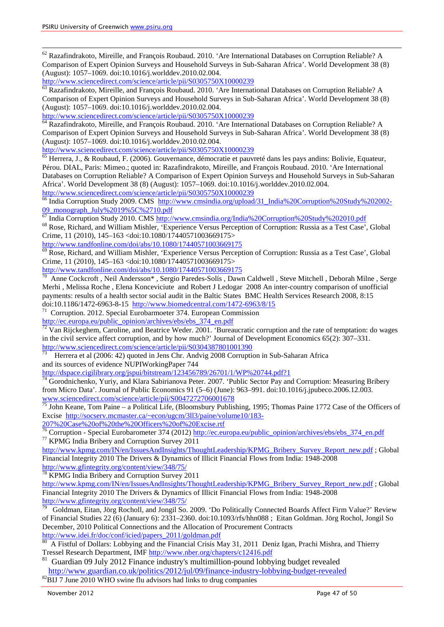<sup>62</sup> Razafindrakoto, Mireille, and François Roubaud. 2010. 'Are International Databases on Corruption Reliable? A Comparison of Expert Opinion Surveys and Household Surveys in Sub-Saharan Africa'. World Development 38 (8) (August): 1057–1069. doi:10.1016/j.worlddev.2010.02.004.

<http://www.sciencedirect.com/science/article/pii/S0305750X10000239>

<sup>63</sup> Razafindrakoto, Mireille, and François Roubaud. 2010. 'Are International Databases on Corruption Reliable? A Comparison of Expert Opinion Surveys and Household Surveys in Sub-Saharan Africa'. World Development 38 (8) (August): 1057–1069. doi:10.1016/j.worlddev.2010.02.004.

<http://www.sciencedirect.com/science/article/pii/S0305750X10000239><br><sup>64</sup> Razafindrakoto, Mireille, and François Roubaud. 2010. 'Are International Databases on Corruption Reliable? A Comparison of Expert Opinion Surveys and Household Surveys in Sub-Saharan Africa'. World Development 38 (8) (August): 1057–1069. doi:10.1016/j.worlddev.2010.02.004.

<http://www.sciencedirect.com/science/article/pii/S0305750X10000239>

 $\overline{65}$  Herrera, J., & Roubaud, F. (2006). Gouvernance, démocratie et pauvreté dans les pays andins: Bolivie, Equateur, Pérou. DIAL, Paris: Mimeo.; quoted in: Razafindrakoto, Mireille, and François Roubaud. 2010. 'Are International Databases on Corruption Reliable? A Comparison of Expert Opinion Surveys and Household Surveys in Sub-Saharan Africa'. World Development 38 (8) (August): 1057–1069. doi:10.1016/j.worlddev.2010.02.004.

<http://www.sciencedirect.com/science/article/pii/S0305750X10000239><br><sup>66</sup> India Corruption Study 2009. CMS [http://www.cmsindia.org/upload/31\\_India%20Corruption%20Study%202002-](http://www.cmsindia.org/upload/31_India%20Corruption%20Study%202002-09_monograph_July%2019%5C%2710.pdf) [09\\_monograph\\_July%2019%5C%2710.pdf](http://www.cmsindia.org/upload/31_India%20Corruption%20Study%202002-09_monograph_July%2019%5C%2710.pdf)<br>
<sup>67</sup> India Corruption Study 2010. CMS<http://www.cmsindia.org/India%20Corruption%20Study%202010.pdf><br>
<sup>68</sup> Rose, Richard, and William Mishler, 'Experience Versus Perception of Corruption:

Crime, 11 (2010), 145–163 <doi:10.1080/17440571003669175><br>http://www.tandfonline.com/doi/abs/10.1080/17440571003669175

 $\frac{1}{69}$  Rose, Richard, and William Mishler, 'Experience Versus Perception of Corruption: Russia as a Test Case', Global Crime, 11 (2010), 145–163 <doi:10.1080/17440571003669175>

<http://www.tandfonline.com/doi/abs/10.1080/17440571003669175>

70 Anne Cockcroft , Neil Andersson\* , Sergio Paredes-Solís , Dawn Caldwell , Steve Mitchell , Deborah Milne , Serge Merhi , Melissa Roche , Elena Konceviciute and Robert J Ledogar 2008 An inter-country comparison of unofficial payments: results of a health sector social audit in the Baltic States BMC Health Services Research 2008, 8:15<br>doi:10.1186/1472-6963-8-15 http://www.biomedcentral.com/1472-6963/8/15

 $11$  Corruption. 2012. Special Eurobarmoeter 374. European Commission

[http://ec.europa.eu/public\\_opinion/archives/ebs/ebs\\_374\\_en.pdf](http://ec.europa.eu/public_opinion/archives/ebs/ebs_374_en.pdf)<br>
<sup>72</sup> Van Rijckeghem, Caroline, and Beatrice Weder. 2001. 'Bureaucratic corruption and the rate of temptation: do wages in the civil service affect corruption, and by how much?' Journal of Development Economics 65(2): 307–331. <http://www.sciencedirect.com/science/article/pii/S0304387801001390>

73 Herrera et al (2006: 42) quoted in Jens Chr. Andvig 2008 Corruption in Sub-Saharan Africa and its sources of evidence NUPIWorkingPaper 744

<http://dspace.cigilibrary.org/jspui/bitstream/123456789/26701/1/WP%20744.pdf?1>

 $74$  Gorodnichenko, Yuriy, and Klara Sabirianova Peter. 2007. 'Public Sector Pay and Corruption: Measuring Bribery from Micro Data'. Journal of Public Economics 91 (5–6) (June): 963–991. doi:10.1016/j.jpubeco.2006.12.003. [www.sciencedirect.com/science/article/pii/S0047272706001678](http://www.sciencedirect.com/science/article/pii/S0047272706001678)

 $^{75}$  John Keane, Tom Paine – a Political Life, (Bloomsbury Publishing, 1995; Thomas Paine 1772 Case of the Officers of Excise [http://socserv.mcmaster.ca/~econ/ugcm/3ll3/paine/volume10/183-](http://socserv.mcmaster.ca/~econ/ugcm/3ll3/paine/volume10/183-207%20Case%20of%20the%20Officers%20of%20Excise.rtf)

[207%20Case%20of%20the%20Officers%20of%20Excise.rtf](http://socserv.mcmaster.ca/~econ/ugcm/3ll3/paine/volume10/183-207%20Case%20of%20the%20Officers%20of%20Excise.rtf)

<sup>76</sup> Corruption - Special Eurobarometer 374 (2012) [http://ec.europa.eu/public\\_opinion/archives/ebs/ebs\\_374\\_en.pdf](http://ec.europa.eu/public_opinion/archives/ebs/ebs_374_en.pdf) <sup>77</sup> KPMG India Bribery and Corruption Survey 2011

[http://www.kpmg.com/IN/en/IssuesAndInsights/ThoughtLeadership/KPMG\\_Bribery\\_Survey\\_Report\\_new.pdf](http://www.kpmg.com/IN/en/IssuesAndInsights/ThoughtLeadership/KPMG_Bribery_Survey_Report_new.pdf) ; Global Financial Integrity 2010 The Drivers & Dynamics of Illicit Financial Flows from India: 1948-2008  $rac{\text{http://www.gfintegrity.org/content/view/348/75}}{78 \text{KDMG L}^{31} \cdot \text{N}^{32}}$ 

KPMG India Bribery and Corruption Survey 2011

[http://www.kpmg.com/IN/en/IssuesAndInsights/ThoughtLeadership/KPMG\\_Bribery\\_Survey\\_Report\\_new.pdf](http://www.kpmg.com/IN/en/IssuesAndInsights/ThoughtLeadership/KPMG_Bribery_Survey_Report_new.pdf) ; Global Financial Integrity 2010 The Drivers & Dynamics of Illicit Financial Flows from India: 1948-2008 <http://www.gfintegrity.org/content/view/348/75/>

79 Goldman, Eitan, Jörg Rocholl, and Jongil So. 2009. 'Do Politically Connected Boards Affect Firm Value?' Review of Financial Studies 22 (6) (January 6): 2331–2360. doi:10.1093/rfs/hhn088 ; Eitan Goldman. Jörg Rochol, Jongil So December, 2010 Political Connections and the Allocation of Procurement Contracts [http://www.idei.fr/doc/conf/icied/papers\\_2011/goldman.pdf](http://www.idei.fr/doc/conf/icied/papers_2011/goldman.pdf)

<sup>80</sup> A Fistful of Dollars: Lobbying and the Financial Crisis May 31, 2011 Deniz Igan, Prachi Mishra, and Thierry Tressel Research Department, IM[F http://www.nber.org/chapters/c12416.pdf](http://www.nber.org/chapters/c12416.pdf)

 $81$  Guardian 09 July 2012 Finance industry's multimillion-pound lobbying budget revealed <http://www.guardian.co.uk/politics/2012/jul/09/finance-industry-lobbying-budget-revealed> <sup>82</sup>BIJ 7 June 2010 WHO swine flu advisors had links to drug companies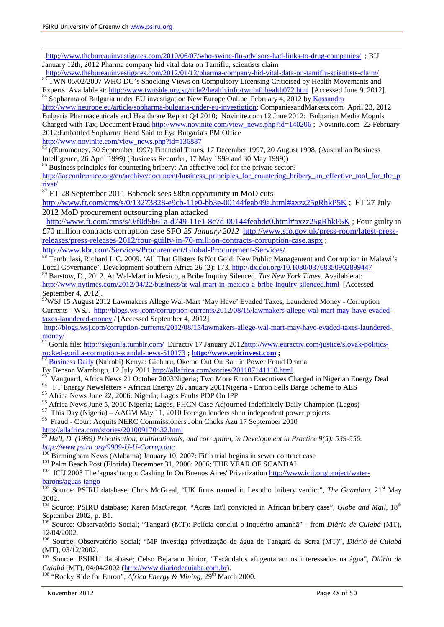<u>.</u>

<http://www.thebureauinvestigates.com/2010/06/07/who-swine-flu-advisors-had-links-to-drug-companies/>; BIJ January 12th, 2012 Pharma company hid vital data on Tamiflu, scientists claim<br>http://www.thebureauinvestigates.com/2012/01/12/pharma-company-hid-vital-data-on-tamiflu-scientists-claim/

83 TWN 05/02/2007 WHO DG's Shocking Views on Compulsory Licensing Criticised by Health Movements and Experts. Available at:<http://www.twnside.org.sg/title2/health.info/twninfohealth072.htm>[Accessed June 9, 2012].<br><sup>84</sup> Sopharma of Bulgaria under EU investigation New Europe Online| February 4, 2012 by [Kassandra](http://www.neurope.eu/author/kassandra)

[http://www.neurope.eu/article/sopharma-bulgaria-under-eu-investigtion;](http://www.neurope.eu/article/sopharma-bulgaria-under-eu-investigtion) CompaniesandMarkets.com April 23, 2012

Bulgaria Pharmaceuticals and Healthcare Report Q4 2010; Novinite.com 12 June 2012: Bulgarian Media Moguls Charged with Tax, Document Fraud [http://www.novinite.com/view\\_news.php?id=140206](http://www.novinite.com/view_news.php?id=140206) ; Novinite.com 22 February 2012:Embattled Sopharma Head Said to Eye Bulgaria's PM Office

[http://www.novinite.com/view\\_news.php?id=136887](http://www.novinite.com/view_news.php?id=136887)<br><sup>85</sup> ((Euromoney, 30 September 1997) Financial Times, 17 December 1997, 20 August 1998, (Australian Business) Intelligence, 26 April 1999) (Business Recorder, 17 May 1999 and 30 May 1999))

<sup>86</sup> Business principles for countering bribery: An effective tool for the private sector?

[http://iacconference.org/en/archive/document/business\\_principles\\_for\\_countering\\_bribery\\_an\\_effective\\_tool\\_for\\_the\\_p](http://iacconference.org/en/archive/document/business_principles_for_countering_bribery_an_effective_tool_for_the_privat/) [rivat/](http://iacconference.org/en/archive/document/business_principles_for_countering_bribery_an_effective_tool_for_the_privat/)

<sup>87</sup> FT 28 September 2011 Babcock sees £8bn opportunity in MoD cuts

<http://www.ft.com/cms/s/0/13273828-e9cb-11e0-bb3e-00144feab49a.html#axzz25gRhkP5K> ; FT 27 July 2012 MoD procurement outsourcing plan attacked

 <http://www.ft.com/cms/s/0/f0d5b61a-d749-11e1-8c7d-00144feabdc0.html#axzz25gRhkP5K> ; Four guilty in £70 million contracts corruption case SFO *25 January 2012* [http://www.sfo.gov.uk/press-room/latest-press](http://www.sfo.gov.uk/press-room/latest-press-releases/press-releases-2012/four-guilty-in-70-million-contracts-corruption-case.aspx)[releases/press-releases-2012/four-guilty-in-70-million-contracts-corruption-case.aspx](http://www.sfo.gov.uk/press-room/latest-press-releases/press-releases-2012/four-guilty-in-70-million-contracts-corruption-case.aspx) ;<br>http://www.kbr.com/Services/Procurement/Global-Procurement-Services/

 $\frac{1}{88}$  Tambulasi, Richard I. C. 2009. 'All That Glisters Is Not Gold: New Public Management and Corruption in Malawi's Local Governance'. Development Southern Africa 26 (2): 173.<http://dx.doi.org/10.1080/03768350902899447>

<sup>89</sup> Barstow, D., 2012. At Wal-Mart in Mexico, a Bribe Inquiry Silenced. *The New York Times*. Available at: <http://www.nytimes.com/2012/04/22/business/at-wal-mart-in-mexico-a-bribe-inquiry-silenced.html> [Accessed September 4, 2012].

<sup>90</sup>WSJ 15 August 2012 Lawmakers Allege Wal-Mart 'May Have' Evaded Taxes, Laundered Money - Corruption Currents - WSJ. [http://blogs.wsj.com/corruption-currents/2012/08/15/lawmakers-allege-wal-mart-may-have-evaded](http://blogs.wsj.com/corruption-currents/2012/08/15/lawmakers-allege-wal-mart-may-have-evaded-taxes-laundered-money)[taxes-laundered-money](http://blogs.wsj.com/corruption-currents/2012/08/15/lawmakers-allege-wal-mart-may-have-evaded-taxes-laundered-money) / [Accessed September 4, 2012].

[http://blogs.wsj.com/corruption-currents/2012/08/15/lawmakers-allege-wal-mart-may-have-evaded-taxes-laundered](http://blogs.wsj.com/corruption-currents/2012/08/15/lawmakers-allege-wal-mart-may-have-evaded-taxes-laundered-money/)[money/](http://blogs.wsj.com/corruption-currents/2012/08/15/lawmakers-allege-wal-mart-may-have-evaded-taxes-laundered-money/)

<sup>91</sup> Gorila file:<http://skgorila.tumblr.com/>Euractiv 17 January 201[2http://www.euractiv.com/justice/slovak-politics](http://www.euractiv.com/justice/slovak-politics-rocked-gorilla-corruption-scandal-news-510173)[rocked-gorilla-corruption-scandal-news-510173](http://www.euractiv.com/justice/slovak-politics-rocked-gorilla-corruption-scandal-news-510173) **; [http://www.epicinvest.com](http://www.epicinvest.com/) ;** 

- $\frac{92}{92}$  [Business Daily](http://www.businessdailyafrica.com/) (Nairobi) Kenya: Gichuru, Okemo Out On Bail in Power Fraud Drama By Benson Wambugu, 12 July 2011 http://allafrica.com/stories/201107141110.html
- $\frac{93}{93}$  Vanguard, Africa News 21 October 2003Nigeria; Two More Enron Executives Charged in Nigerian Energy Deal
- <sup>94</sup> FT Energy Newsletters African Energy 26 January 2001Nigeria Enron Sells Barge Scheme to AES<br><sup>95</sup> Africa News June 22, 2006: Nigeria: Lagos Faults PDP On IPP
- 
- <sup>96</sup> Africa News June 5, 2010 Nigeria; Lagos, PHCN Case Adjourned Indefinitely Daily Champion (Lagos) <sup>97</sup> This Day (Nigeria) AAGM May 11, 2010 Foreign lenders shun independent power projects
- 
- 98 Fraud Court Acquits NERC Commissioners John Chuks Azu 17 September 2010 <http://allafrica.com/stories/201009170432.html>

*<sup>99</sup> Hall, D. (1999) Privatisation, multinationals, and corruption, in Development in Practice 9(5): 539-556.* 

[http://www.psiru.org/9909-U-U-Corrup.doc](http://www.psiru.org/reports/9909-U-U-Corrup.doc)<br>
100 Birmingham News (Alabama) January 10, 2007: Fifth trial begins in sewer contract case<br>
<sup>101</sup> Palm Beach Post (Florida) December 31, 2006: 2006; THE YEAR OF SCANDAL<br>
<sup>102</sup> ICIJ

[barons/aguas-tango](http://www.icij.org/project/water-barons/aguas-tango) <sup>103</sup> Source: PSIRU database; Chris McGreal, "UK firms named in Lesotho bribery verdict", *The Guardian*, 21st May 2002.

<sup>104</sup> Source: PSIRU database; Karen MacGregor, "Acres Int'l convicted in African bribery case", *Globe and Mail*, 18<sup>th</sup> September 2002, p. B1.

<sup>105</sup> Source: Observatório Social; "Tangará (MT): Polícia conclui o inquérito amanhã" - from *Diário de Cuiabá* (MT),

12/04/2002. <sup>106</sup> Source: Observatório Social; "MP investiga privatização de água de Tangará da Serra (MT)", *Diário de Cuiabá*  (MT), 03/12/2002.

<sup>107</sup> Source: PSIRU database; Celso Bejarano Júnior, "Escândalos afugentaram os interessados na água", *Diário de Cuiabá* (MT), 04/04/2002 (http://www.diariodecuiaba.com.br).

<sup>108</sup> "Rocky Ride for Enron", *Africa Energy & Mining*, 29<sup>th</sup> March 2000.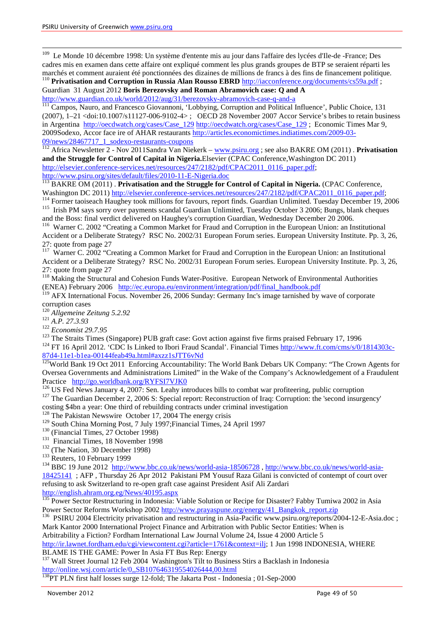<sup>109</sup> Le Monde 10 décembre 1998: Un système d'entente mis au jour dans l'affaire des lycées d'Ile-de -France; Des cadres mis en examen dans cette affaire ont expliqué comment les plus grands groupes de BTP se seraient réparti les <sup>110</sup> Privatisation and Corruption in Russia Alan Rousso EBRD  $\frac{http://iacconference.org/documents/cs59a.pdf}{http://iacconference.org/documents/cs59a.pdf}$  $\frac{http://iacconference.org/documents/cs59a.pdf}{http://iacconference.org/documents/cs59a.pdf}$  $\frac{http://iacconference.org/documents/cs59a.pdf}{http://iacconference.org/documents/cs59a.pdf}$ ;

Guardian 31 August 2012 **Boris Berezovsky and Roman Abramovich case: Q and A**

<http://www.guardian.co.uk/world/2012/aug/31/berezovsky-abramovich-case-q-and-a><br><sup>111</sup> Campos, Nauro, and Francesco Giovannoni, 'Lobbying, Corruption and Political Influence', Public Choice, 131 (2007), 1–21 <doi:10.1007/s11127-006-9102-4> ; OECD 28 November 2007 Accor Service's bribes to retain business in Argentina [http://oecdwatch.org/cases/Case\\_129](http://oecdwatch.org/cases/Case_129) http://oecdwatch.org/cases/Case\_129 ; Economic Times Mar 9, 2009Sodexo, Accor face ire of AHAR restaurants [http://articles.economictimes.indiatimes.com/2009-03-](http://articles.economictimes.indiatimes.com/2009-03-09/news/28467717_1_sodexo-restaurants-coupons) [09/news/28467717\\_1\\_sodexo-restaurants-coupons](http://articles.economictimes.indiatimes.com/2009-03-09/news/28467717_1_sodexo-restaurants-coupons) <sup>112</sup> Africa Newsletter 2 - Nov 2011Sandra Van Niekerk – [www.psiru.org](http://www.psiru.org/) ; see also BAKRE OM (2011) . **Privatisation** 

**and the Struggle for Control of Capital in Nigeria.**Elsevier (CPAC Conference,Washington DC 2011) [http://elsevier.conference-services.net/resources/247/2182/pdf/CPAC2011\\_0116\\_paper.pdf;](http://elsevier.conference-services.net/resources/247/2182/pdf/CPAC2011_0116_paper.pdf)<br>http://www.psiru.org/sites/default/files/2010-11-E-Nigeria.doc

http://www.psiru.org/sites/default and the Struggle for Control of Capital in Nigeria. (CPAC Conference,<br>Washington DC 2011) http://elsevier.conference-services.net/resources/247/2182/pdf/CPAC2011\_0116\_paper.pdf;

<sup>114</sup> Former taoiseach Haughey took millions for favours, report finds. [Guardian Unlimited.](http://www.guardian.co.uk/) Tuesday December 19, 2006<br><sup>115</sup> [Irish PM says sorry over payments scandal](http://www.guardian.co.uk/international/story/0,,1886638,00.html) Guardian Unlimited, Tuesday October 3 2006; Bungs, blank

 $116$  Warner C. 2002 "Creating a Common Market for Fraud and Corruption in the European Union: an Institutional

Accident or a Deliberate Strategy? RSC No. 2002/31 European Forum series. European University Institute. Pp. 3, 26, 27: quote from page 27

<sup>117</sup> Warner C. 2002 "Creating a Common Market for Fraud and Corruption in the European Union: an Institutional Accident or a Deliberate Strategy? RSC No. 2002/31 European Forum series. European University Institute. Pp. 3, 26, 27: quote from page 27

<sup>118</sup> Making the Structural and Cohesion Funds Water-Positive. European Network of Environmental Authorities (ENEA) February 2006 [http://ec.europa.eu/environment/integration/pdf/final\\_handbook.pdf](http://ec.europa.eu/environment/integration/pdf/final_handbook.pdf)

<sup>119</sup> AFX International Focus. November 26, 2006 Sunday: Germany Inc's image tarnished by wave of corporate corruption cases<br><sup>120</sup> Allgemeine Zeitung 5.2.92

<sup>121</sup> A.P. 27.3.93<br><sup>122</sup> Economist 29.7.95<br><sup>122</sup> Economist 29.7.95<br><sup>123</sup> The Straits Times (Singapore) PUB graft case: Govt action against five firms praised February 17, 1996<br><sup>124</sup> FT 16 April 2012. 'CDC Is Linked to Ibo

 $125$ World Bank 19 Oct 2011 Enforcing Accountability: The World Bank Debars UK Company: "The Crown Agents for Oversea Governments and Administrations Limited" in the Wake of the Company's Acknowledgement of a Fraudulent<br>Practice http://go.worldbank.org/RYFSI7VJK0

<sup>126</sup> US Fed News January 4, 2007: Sen. Leahy introduces bills to combat war profiteering, public corruption  $127$  The Guardian December 2, 2006 S: Special report: Reconstruction of Iraq: Corruption: the 'second insurgenc costing \$4bn a year: One third of rebuilding contracts under criminal investigation

<sup>128</sup> The Pakistan Newswire October 17, 2004 The energy crisis <sup>129</sup> South China Morning Post, 7 July 1997; Financial Times, 24 April 1997

<sup>130</sup> (Financial Times, 27 October 1998)<br>
<sup>131</sup> Financial Times, 18 November 1998<br>
<sup>132</sup> (The Nation, 30 December 1998)<br>
<sup>132</sup> Reuters, 10 February 1999<br>
<sup>134</sup> BBC 19 June 2012 <http://www.bbc.co.uk/news/world-asia-18506728>

[18425141](http://www.bbc.co.uk/news/world-asia-18425141) ; AFP , Thursday 26 Apr 2012 Pakistani PM Yousuf Raza Gilani is convicted of contempt of court over refusing to ask Switzerland to re-open graft case against President Asif Ali Zardari

<http://english.ahram.org.eg/News/40195.aspx>

<sup>135</sup> Power Sector Restructuring in Indonesia: Viable Solution or Recipe for Disaster? Fabby Tumiwa 2002 in Asia<br>Power Sector Reforms Workshop 2002 http://www.prayaspune.org/energy/41 Bangkok report.zip

<sup>136</sup> PSIRU 2004 Electricity privatisation and restructuring in Asia-Pacific www.psiru.org/reports/2004-12-E-Asia.doc ; Mark Kantor 2000 International Project Finance and Arbitration with Public Sector Entities: When is

Arbitrability a Fiction? Fordham International Law Journal Volume 24, Issue 4 2000 Article 5

[http://ir.lawnet.fordham.edu/cgi/viewcontent.cgi?article=1761&context=ilj;](http://ir.lawnet.fordham.edu/cgi/viewcontent.cgi?article=1761&context=ilj) 1 Jun 1998 INDONESIA, WHERE BLAME IS THE GAME: Power In Asia FT Bus Rep: Energy

 $137$  Wall Street Journal 12 Feb 2004 Washington's Tilt to Business Stirs a Backlash in Indonesia <http://online.wsj.com/article/0,,SB107646319554026444,00.html>

<sup>138</sup>PT PLN first half losses surge 12-fold; The Jakarta Post - Indonesia ; 01-Sep-2000